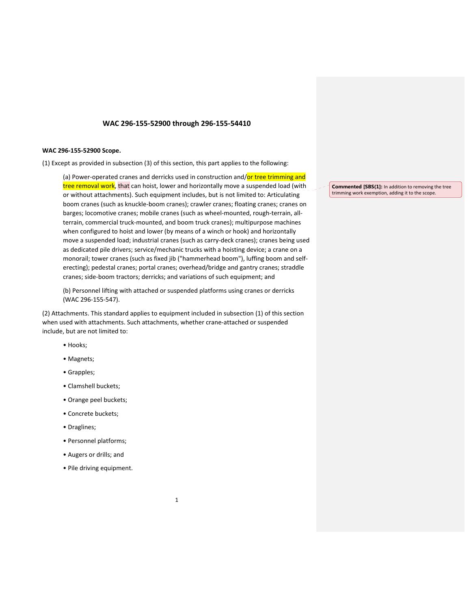# **WAC 296‐155‐52900 through 296‐155‐54410**

## **WAC 296‐155‐52900 Scope.**

(1) Except as provided in subsection (3) of this section, this part applies to the following:

(a) Power-operated cranes and derricks used in construction and/or tree trimming and tree removal work, that can hoist, lower and horizontally move a suspended load (with or without attachments). Such equipment includes, but is not limited to: Articulating boom cranes (such as knuckle‐boom cranes); crawler cranes; floating cranes; cranes on barges; locomotive cranes; mobile cranes (such as wheel-mounted, rough-terrain, allterrain, commercial truck‐mounted, and boom truck cranes); multipurpose machines when configured to hoist and lower (by means of a winch or hook) and horizontally move a suspended load; industrial cranes (such as carry‐deck cranes); cranes being used as dedicated pile drivers; service/mechanic trucks with a hoisting device; a crane on a monorail; tower cranes (such as fixed jib ("hammerhead boom"), luffing boom and self‐ erecting); pedestal cranes; portal cranes; overhead/bridge and gantry cranes; straddle cranes; side‐boom tractors; derricks; and variations of such equipment; and

(b) Personnel lifting with attached or suspended platforms using cranes or derricks (WAC 296‐155‐547).

(2) Attachments. This standard applies to equipment included in subsection (1) of this section when used with attachments. Such attachments, whether crane‐attached or suspended include, but are not limited to:

- Hooks;
- Magnets;
- Grapples;
- Clamshell buckets;
- Orange peel buckets;
- Concrete buckets;
- Draglines;
- Personnel platforms;
- Augers or drills; and
- Pile driving equipment.

**Commented [SBS(1]:** In addition to removing the tree trimming work exemption, adding it to the scope.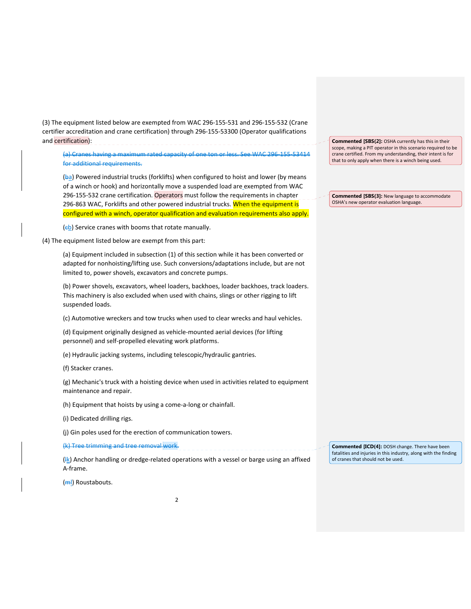(3) The equipment listed below are exempted from WAC 296‐155‐531 and 296‐155‐532 (Crane certifier accreditation and crane certification) through 296‐155‐53300 (Operator qualifications and certification):

(a) Cranes having a maximum rated capacity of one ton or less. See WAC 296‐155‐53414 for additional requirements.

(ba) Powered industrial trucks (forklifts) when configured to hoist and lower (by means of a winch or hook) and horizontally move a suspended load are exempted from WAC 296-155-532 crane certification. Operators must follow the requirements in chapter 296-863 WAC, Forklifts and other powered industrial trucks. When the equipment is configured with a winch, operator qualification and evaluation requirements also apply.

 $(e<sub>b</sub>)$  Service cranes with booms that rotate manually.

(4) The equipment listed below are exempt from this part:

(a) Equipment included in subsection (1) of this section while it has been converted or adapted for nonhoisting/lifting use. Such conversions/adaptations include, but are not limited to, power shovels, excavators and concrete pumps.

(b) Power shovels, excavators, wheel loaders, backhoes, loader backhoes, track loaders. This machinery is also excluded when used with chains, slings or other rigging to lift suspended loads.

(c) Automotive wreckers and tow trucks when used to clear wrecks and haul vehicles.

(d) Equipment originally designed as vehicle‐mounted aerial devices (for lifting personnel) and self‐propelled elevating work platforms.

(e) Hydraulic jacking systems, including telescopic/hydraulic gantries.

(f) Stacker cranes.

(g) Mechanic's truck with a hoisting device when used in activities related to equipment maintenance and repair.

(h) Equipment that hoists by using a come‐a‐long or chainfall.

(i) Dedicated drilling rigs.

(j) Gin poles used for the erection of communication towers.

(k) Tree trimming and tree removal work.

 $(\frac{1}{k})$  Anchor handling or dredge-related operations with a vessel or barge using an affixed A‐frame.

(<del>m</del>l) Roustabouts.

**Commented [SBS(2]:** OSHA currently has this in their scope, making a PIT operator in this scenario required to be crane certified. From my understanding, their intent is for that to only apply when there is a winch being used.

**Commented [SBS(3]:** New language to accommodate OSHA's new operator evaluation language.

**Commented [ICD(4]:** DOSH change. There have been fatalities and injuries in this industry, along with the finding of cranes that should not be used.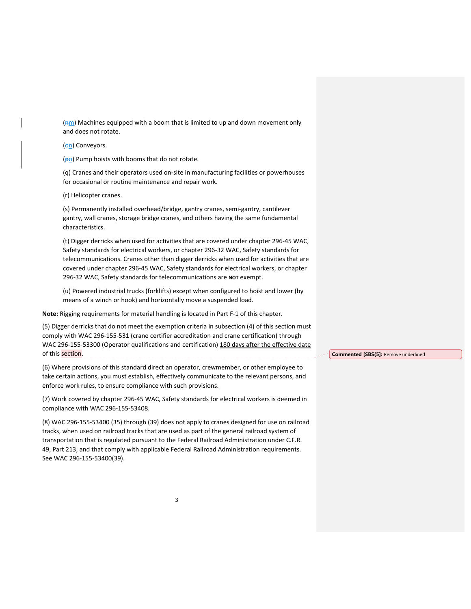$(m)$  Machines equipped with a boom that is limited to up and down movement only and does not rotate.

(on) Conveyors.

 $(p_0)$  Pump hoists with booms that do not rotate.

(q) Cranes and their operators used on‐site in manufacturing facilities or powerhouses for occasional or routine maintenance and repair work.

(r) Helicopter cranes.

(s) Permanently installed overhead/bridge, gantry cranes, semi‐gantry, cantilever gantry, wall cranes, storage bridge cranes, and others having the same fundamental characteristics.

(t) Digger derricks when used for activities that are covered under chapter 296‐45 WAC, Safety standards for electrical workers, or chapter 296‐32 WAC, Safety standards for telecommunications. Cranes other than digger derricks when used for activities that are covered under chapter 296‐45 WAC, Safety standards for electrical workers, or chapter 296‐32 WAC, Safety standards for telecommunications are **NOT** exempt.

(u) Powered industrial trucks (forklifts) except when configured to hoist and lower (by means of a winch or hook) and horizontally move a suspended load.

**Note:** Rigging requirements for material handling is located in Part F‐1 of this chapter.

(5) Digger derricks that do not meet the exemption criteria in subsection (4) of this section must comply with WAC 296‐155‐531 (crane certifier accreditation and crane certification) through WAC 296-155-53300 (Operator qualifications and certification) 180 days after the effective date of this section. 

(6) Where provisions of this standard direct an operator, crewmember, or other employee to take certain actions, you must establish, effectively communicate to the relevant persons, and enforce work rules, to ensure compliance with such provisions.

(7) Work covered by chapter 296‐45 WAC, Safety standards for electrical workers is deemed in compliance with WAC 296‐155‐53408.

(8) WAC 296‐155‐53400 (35) through (39) does not apply to cranes designed for use on railroad tracks, when used on railroad tracks that are used as part of the general railroad system of transportation that is regulated pursuant to the Federal Railroad Administration under C.F.R. 49, Part 213, and that comply with applicable Federal Railroad Administration requirements. See WAC 296‐155‐53400(39).

**Commented [SBS(5]:** Remove underlined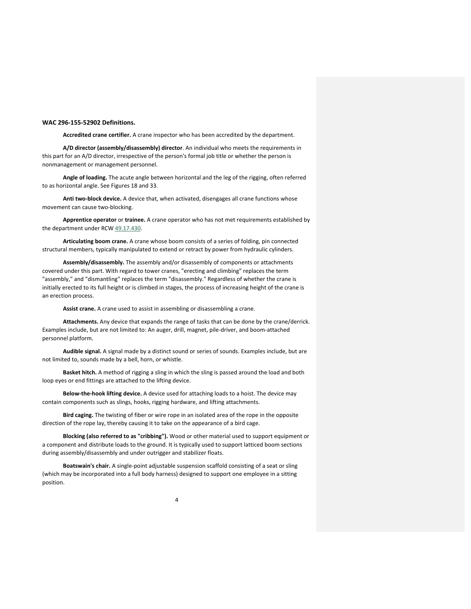### **WAC 296‐155‐52902 Definitions.**

**Accredited crane certifier.** A crane inspector who has been accredited by the department.

**A/D director (assembly/disassembly) director**. An individual who meets the requirements in this part for an A/D director, irrespective of the person's formal job title or whether the person is nonmanagement or management personnel.

**Angle of loading.** The acute angle between horizontal and the leg of the rigging, often referred to as horizontal angle. See Figures 18 and 33.

**Anti two‐block device.** A device that, when activated, disengages all crane functions whose movement can cause two‐blocking.

**Apprentice operator** or **trainee.** A crane operator who has not met requirements established by the department under RCW 49.17.430.

**Articulating boom crane.** A crane whose boom consists of a series of folding, pin connected structural members, typically manipulated to extend or retract by power from hydraulic cylinders.

**Assembly/disassembly.** The assembly and/or disassembly of components or attachments covered under this part. With regard to tower cranes, "erecting and climbing" replaces the term "assembly," and "dismantling" replaces the term "disassembly." Regardless of whether the crane is initially erected to its full height or is climbed in stages, the process of increasing height of the crane is an erection process.

**Assist crane.** A crane used to assist in assembling or disassembling a crane.

**Attachments.** Any device that expands the range of tasks that can be done by the crane/derrick. Examples include, but are not limited to: An auger, drill, magnet, pile‐driver, and boom‐attached personnel platform.

**Audible signal.** A signal made by a distinct sound or series of sounds. Examples include, but are not limited to, sounds made by a bell, horn, or whistle.

**Basket hitch.** A method of rigging a sling in which the sling is passed around the load and both loop eyes or end fittings are attached to the lifting device.

**Below‐the‐hook lifting device.** A device used for attaching loads to a hoist. The device may contain components such as slings, hooks, rigging hardware, and lifting attachments.

**Bird caging.** The twisting of fiber or wire rope in an isolated area of the rope in the opposite direction of the rope lay, thereby causing it to take on the appearance of a bird cage.

**Blocking (also referred to as "cribbing").** Wood or other material used to support equipment or a component and distribute loads to the ground. It is typically used to support latticed boom sections during assembly/disassembly and under outrigger and stabilizer floats.

**Boatswain's chair.** A single‐point adjustable suspension scaffold consisting of a seat or sling (which may be incorporated into a full body harness) designed to support one employee in a sitting position.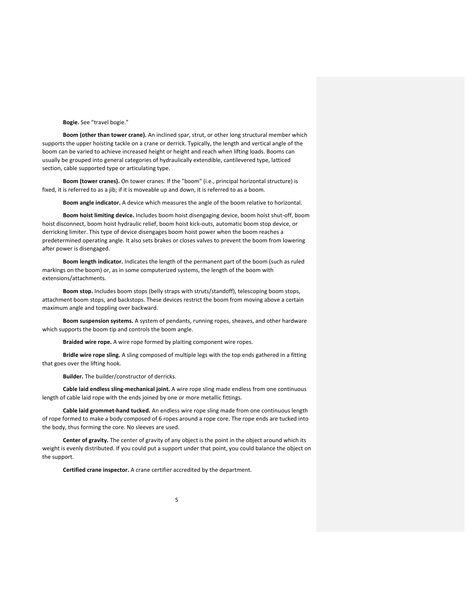**Bogie.** See "travel bogie."

**Boom (other than tower crane).** An inclined spar, strut, or other long structural member which supports the upper hoisting tackle on a crane or derrick. Typically, the length and vertical angle of the boom can be varied to achieve increased height or height and reach when lifting loads. Booms can usually be grouped into general categories of hydraulically extendible, cantilevered type, latticed section, cable supported type or articulating type.

**Boom (tower cranes).** On tower cranes: If the "boom" (i.e., principal horizontal structure) is fixed, it is referred to as a jib; if it is moveable up and down, it is referred to as a boom.

**Boom angle indicator.** A device which measures the angle of the boom relative to horizontal.

**Boom hoist limiting device.** Includes boom hoist disengaging device, boom hoist shut‐off, boom hoist disconnect, boom hoist hydraulic relief, boom hoist kick‐outs, automatic boom stop device, or derricking limiter. This type of device disengages boom hoist power when the boom reaches a predetermined operating angle. It also sets brakes or closes valves to prevent the boom from lowering after power is disengaged.

**Boom length indicator.** Indicates the length of the permanent part of the boom (such as ruled markings on the boom) or, as in some computerized systems, the length of the boom with extensions/attachments.

**Boom stop.** Includes boom stops (belly straps with struts/standoff), telescoping boom stops, attachment boom stops, and backstops. These devices restrict the boom from moving above a certain maximum angle and toppling over backward.

**Boom suspension systems.** A system of pendants, running ropes, sheaves, and other hardware which supports the boom tip and controls the boom angle.

**Braided wire rope.** A wire rope formed by plaiting component wire ropes.

**Bridle wire rope sling.** A sling composed of multiple legs with the top ends gathered in a fitting that goes over the lifting hook.

**Builder.** The builder/constructor of derricks.

**Cable laid endless sling‐mechanical joint.** A wire rope sling made endless from one continuous length of cable laid rope with the ends joined by one or more metallic fittings.

**Cable laid grommet‐hand tucked.** An endless wire rope sling made from one continuous length of rope formed to make a body composed of 6 ropes around a rope core. The rope ends are tucked into the body, thus forming the core. No sleeves are used.

**Center of gravity.** The center of gravity of any object is the point in the object around which its weight is evenly distributed. If you could put a support under that point, you could balance the object on the support.

**Certified crane inspector.** A crane certifier accredited by the department.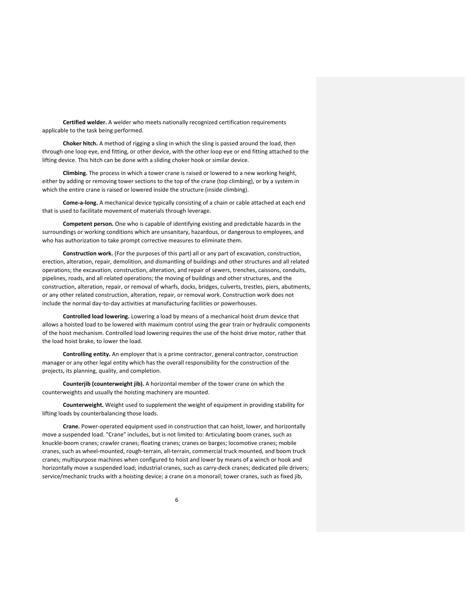**Certified welder.** A welder who meets nationally recognized certification requirements applicable to the task being performed.

**Choker hitch.** A method of rigging a sling in which the sling is passed around the load, then through one loop eye, end fitting, or other device, with the other loop eye or end fitting attached to the lifting device. This hitch can be done with a sliding choker hook or similar device.

**Climbing.** The process in which a tower crane is raised or lowered to a new working height, either by adding or removing tower sections to the top of the crane (top climbing), or by a system in which the entire crane is raised or lowered inside the structure (inside climbing).

**Come‐a‐long.** A mechanical device typically consisting of a chain or cable attached at each end that is used to facilitate movement of materials through leverage.

**Competent person.** One who is capable of identifying existing and predictable hazards in the surroundings or working conditions which are unsanitary, hazardous, or dangerous to employees, and who has authorization to take prompt corrective measures to eliminate them.

**Construction work.** (For the purposes of this part) all or any part of excavation, construction, erection, alteration, repair, demolition, and dismantling of buildings and other structures and all related operations; the excavation, construction, alteration, and repair of sewers, trenches, caissons, conduits, pipelines, roads, and all related operations; the moving of buildings and other structures, and the construction, alteration, repair, or removal of wharfs, docks, bridges, culverts, trestles, piers, abutments, or any other related construction, alteration, repair, or removal work. Construction work does not include the normal day‐to‐day activities at manufacturing facilities or powerhouses.

**Controlled load lowering.** Lowering a load by means of a mechanical hoist drum device that allows a hoisted load to be lowered with maximum control using the gear train or hydraulic components of the hoist mechanism. Controlled load lowering requires the use of the hoist drive motor, rather that the load hoist brake, to lower the load.

**Controlling entity.** An employer that is a prime contractor, general contractor, construction manager or any other legal entity which has the overall responsibility for the construction of the projects, its planning, quality, and completion.

**Counterjib (counterweight jib).** A horizontal member of the tower crane on which the counterweights and usually the hoisting machinery are mounted.

**Counterweight.** Weight used to supplement the weight of equipment in providing stability for lifting loads by counterbalancing those loads.

**Crane.** Power‐operated equipment used in construction that can hoist, lower, and horizontally move a suspended load. "Crane" includes, but is not limited to: Articulating boom cranes, such as knuckle‐boom cranes; crawler cranes; floating cranes; cranes on barges; locomotive cranes; mobile cranes, such as wheel‐mounted, rough‐terrain, all‐terrain, commercial truck mounted, and boom truck cranes; multipurpose machines when configured to hoist and lower by means of a winch or hook and horizontally move a suspended load; industrial cranes, such as carry-deck cranes; dedicated pile drivers; service/mechanic trucks with a hoisting device; a crane on a monorail; tower cranes, such as fixed jib,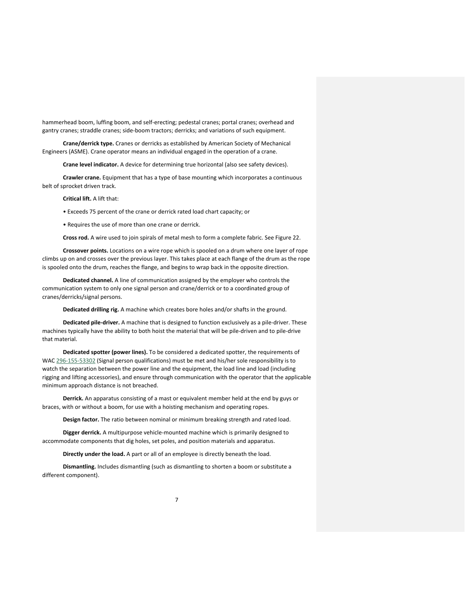hammerhead boom, luffing boom, and self‐erecting; pedestal cranes; portal cranes; overhead and gantry cranes; straddle cranes; side‐boom tractors; derricks; and variations of such equipment.

**Crane/derrick type.** Cranes or derricks as established by American Society of Mechanical Engineers (ASME). Crane operator means an individual engaged in the operation of a crane.

**Crane level indicator.** A device for determining true horizontal (also see safety devices).

**Crawler crane.** Equipment that has a type of base mounting which incorporates a continuous belt of sprocket driven track.

**Critical lift.** A lift that:

• Exceeds 75 percent of the crane or derrick rated load chart capacity; or

• Requires the use of more than one crane or derrick.

**Cross rod.** A wire used to join spirals of metal mesh to form a complete fabric. See Figure 22.

**Crossover points.** Locations on a wire rope which is spooled on a drum where one layer of rope climbs up on and crosses over the previous layer. This takes place at each flange of the drum as the rope is spooled onto the drum, reaches the flange, and begins to wrap back in the opposite direction.

**Dedicated channel.** A line of communication assigned by the employer who controls the communication system to only one signal person and crane/derrick or to a coordinated group of cranes/derricks/signal persons.

**Dedicated drilling rig.** A machine which creates bore holes and/or shafts in the ground.

**Dedicated pile‐driver.** A machine that is designed to function exclusively as a pile‐driver. These machines typically have the ability to both hoist the material that will be pile‐driven and to pile‐drive that material.

**Dedicated spotter (power lines).** To be considered a dedicated spotter, the requirements of WAC 296‐155‐53302 (Signal person qualifications) must be met and his/her sole responsibility is to watch the separation between the power line and the equipment, the load line and load (including rigging and lifting accessories), and ensure through communication with the operator that the applicable minimum approach distance is not breached.

**Derrick.** An apparatus consisting of a mast or equivalent member held at the end by guys or braces, with or without a boom, for use with a hoisting mechanism and operating ropes.

**Design factor.** The ratio between nominal or minimum breaking strength and rated load.

**Digger derrick.** A multipurpose vehicle‐mounted machine which is primarily designed to accommodate components that dig holes, set poles, and position materials and apparatus.

**Directly under the load.** A part or all of an employee is directly beneath the load.

**Dismantling.** Includes dismantling (such as dismantling to shorten a boom or substitute a different component).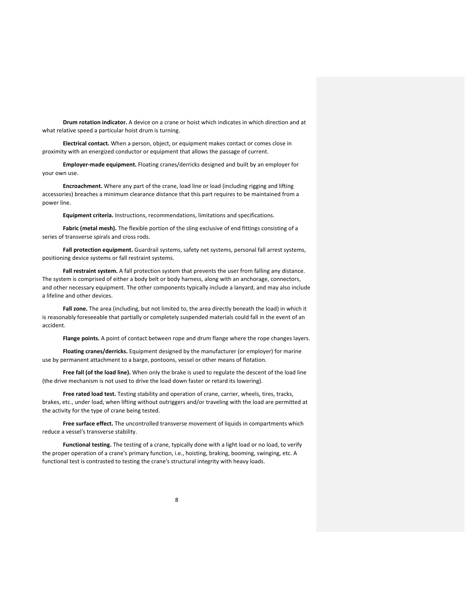**Drum rotation indicator.** A device on a crane or hoist which indicates in which direction and at what relative speed a particular hoist drum is turning.

**Electrical contact.** When a person, object, or equipment makes contact or comes close in proximity with an energized conductor or equipment that allows the passage of current.

**Employer‐made equipment.** Floating cranes/derricks designed and built by an employer for your own use.

**Encroachment.** Where any part of the crane, load line or load (including rigging and lifting accessories) breaches a minimum clearance distance that this part requires to be maintained from a power line.

**Equipment criteria.** Instructions, recommendations, limitations and specifications.

**Fabric (metal mesh).** The flexible portion of the sling exclusive of end fittings consisting of a series of transverse spirals and cross rods.

**Fall protection equipment.** Guardrail systems, safety net systems, personal fall arrest systems, positioning device systems or fall restraint systems.

**Fall restraint system.** A fall protection system that prevents the user from falling any distance. The system is comprised of either a body belt or body harness, along with an anchorage, connectors, and other necessary equipment. The other components typically include a lanyard, and may also include a lifeline and other devices.

**Fall zone.** The area (including, but not limited to, the area directly beneath the load) in which it is reasonably foreseeable that partially or completely suspended materials could fall in the event of an accident.

**Flange points.** A point of contact between rope and drum flange where the rope changes layers.

**Floating cranes/derricks.** Equipment designed by the manufacturer (or employer) for marine use by permanent attachment to a barge, pontoons, vessel or other means of flotation.

**Free fall (of the load line).** When only the brake is used to regulate the descent of the load line (the drive mechanism is not used to drive the load down faster or retard its lowering).

**Free rated load test.** Testing stability and operation of crane, carrier, wheels, tires, tracks, brakes, etc., under load, when lifting without outriggers and/or traveling with the load are permitted at the activity for the type of crane being tested.

**Free surface effect.** The uncontrolled transverse movement of liquids in compartments which reduce a vessel's transverse stability.

**Functional testing.** The testing of a crane, typically done with a light load or no load, to verify the proper operation of a crane's primary function, i.e., hoisting, braking, booming, swinging, etc. A functional test is contrasted to testing the crane's structural integrity with heavy loads.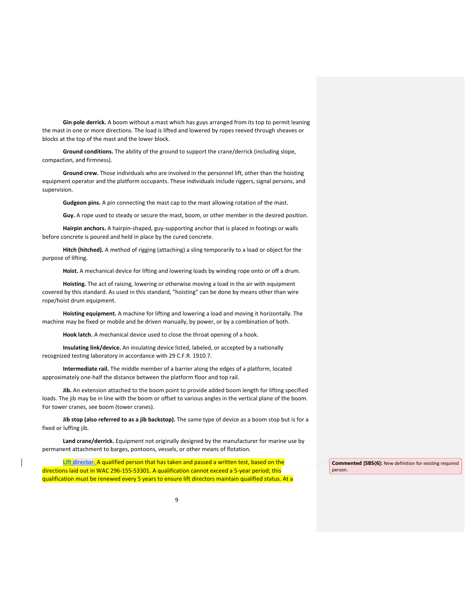**Gin pole derrick.** A boom without a mast which has guys arranged from its top to permit leaning the mast in one or more directions. The load is lifted and lowered by ropes reeved through sheaves or blocks at the top of the mast and the lower block.

**Ground conditions.** The ability of the ground to support the crane/derrick (including slope, compaction, and firmness).

**Ground crew.** Those individuals who are involved in the personnel lift, other than the hoisting equipment operator and the platform occupants. These individuals include riggers, signal persons, and supervision.

**Gudgeon pins.** A pin connecting the mast cap to the mast allowing rotation of the mast.

**Guy.** A rope used to steady or secure the mast, boom, or other member in the desired position.

**Hairpin anchors.** A hairpin‐shaped, guy‐supporting anchor that is placed in footings or walls before concrete is poured and held in place by the cured concrete.

**Hitch (hitched).** A method of rigging (attaching) a sling temporarily to a load or object for the purpose of lifting.

**Hoist.** A mechanical device for lifting and lowering loads by winding rope onto or off a drum.

**Hoisting.** The act of raising, lowering or otherwise moving a load in the air with equipment covered by this standard. As used in this standard, "hoisting" can be done by means other than wire rope/hoist drum equipment.

**Hoisting equipment.** A machine for lifting and lowering a load and moving it horizontally. The machine may be fixed or mobile and be driven manually, by power, or by a combination of both.

**Hook latch.** A mechanical device used to close the throat opening of a hook.

**Insulating link/device.** An insulating device listed, labeled, or accepted by a nationally recognized testing laboratory in accordance with 29 C.F.R. 1910.7.

**Intermediate rail.** The middle member of a barrier along the edges of a platform, located approximately one‐half the distance between the platform floor and top rail.

**Jib.** An extension attached to the boom point to provide added boom length for lifting specified loads. The jib may be in line with the boom or offset to various angles in the vertical plane of the boom. For tower cranes, see boom (tower cranes).

**Jib stop (also referred to as a jib backstop).** The same type of device as a boom stop but is for a fixed or luffing jib.

**Land crane/derrick.** Equipment not originally designed by the manufacturer for marine use by permanent attachment to barges, pontoons, vessels, or other means of flotation.

**Lift director.** A qualified person that has taken and passed a written test, based on the directions laid out in WAC 296‐155‐53301. A qualification cannot exceed a 5‐year period; this qualification must be renewed every 5 years to ensure lift directors maintain qualified status. At a

**Commented [SBS(6]:** New definition for existing required person.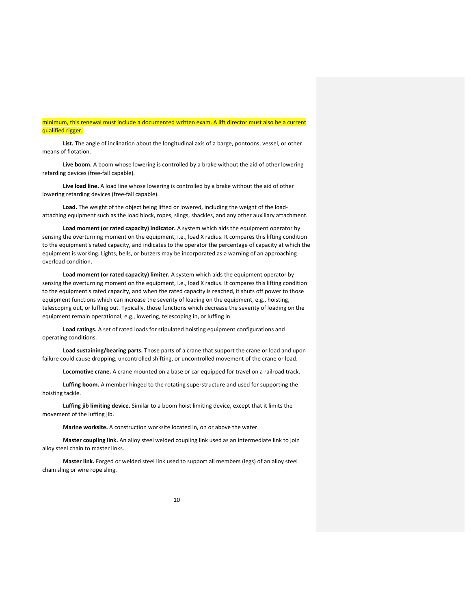# minimum, this renewal must include a documented written exam. A lift director must also be a current qualified rigger.

**List.** The angle of inclination about the longitudinal axis of a barge, pontoons, vessel, or other means of flotation.

**Live boom.** A boom whose lowering is controlled by a brake without the aid of other lowering retarding devices (free‐fall capable).

**Live load line.** A load line whose lowering is controlled by a brake without the aid of other lowering retarding devices (free‐fall capable).

Load. The weight of the object being lifted or lowered, including the weight of the loadattaching equipment such as the load block, ropes, slings, shackles, and any other auxiliary attachment.

**Load moment (or rated capacity) indicator.** A system which aids the equipment operator by sensing the overturning moment on the equipment, i.e., load X radius. It compares this lifting condition to the equipment's rated capacity, and indicates to the operator the percentage of capacity at which the equipment is working. Lights, bells, or buzzers may be incorporated as a warning of an approaching overload condition.

**Load moment (or rated capacity) limiter.** A system which aids the equipment operator by sensing the overturning moment on the equipment, i.e., load X radius. It compares this lifting condition to the equipment's rated capacity, and when the rated capacity is reached, it shuts off power to those equipment functions which can increase the severity of loading on the equipment, e.g., hoisting, telescoping out, or luffing out. Typically, those functions which decrease the severity of loading on the equipment remain operational, e.g., lowering, telescoping in, or luffing in.

**Load ratings.** A set of rated loads for stipulated hoisting equipment configurations and operating conditions.

**Load sustaining/bearing parts.** Those parts of a crane that support the crane or load and upon failure could cause dropping, uncontrolled shifting, or uncontrolled movement of the crane or load.

**Locomotive crane.** A crane mounted on a base or car equipped for travel on a railroad track.

**Luffing boom.** A member hinged to the rotating superstructure and used for supporting the hoisting tackle.

**Luffing jib limiting device.** Similar to a boom hoist limiting device, except that it limits the movement of the luffing jib.

**Marine worksite.** A construction worksite located in, on or above the water.

**Master coupling link.** An alloy steel welded coupling link used as an intermediate link to join alloy steel chain to master links.

**Master link.** Forged or welded steel link used to support all members (legs) of an alloy steel chain sling or wire rope sling.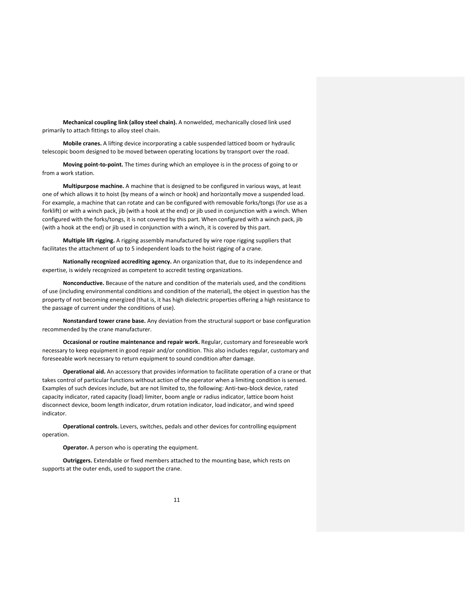**Mechanical coupling link (alloy steel chain).** A nonwelded, mechanically closed link used primarily to attach fittings to alloy steel chain.

**Mobile cranes.** A lifting device incorporating a cable suspended latticed boom or hydraulic telescopic boom designed to be moved between operating locations by transport over the road.

**Moving point‐to‐point.** The times during which an employee is in the process of going to or from a work station.

**Multipurpose machine.** A machine that is designed to be configured in various ways, at least one of which allows it to hoist (by means of a winch or hook) and horizontally move a suspended load. For example, a machine that can rotate and can be configured with removable forks/tongs (for use as a forklift) or with a winch pack, jib (with a hook at the end) or jib used in conjunction with a winch. When configured with the forks/tongs, it is not covered by this part. When configured with a winch pack, jib (with a hook at the end) or jib used in conjunction with a winch, it is covered by this part.

**Multiple lift rigging.** A rigging assembly manufactured by wire rope rigging suppliers that facilitates the attachment of up to 5 independent loads to the hoist rigging of a crane.

**Nationally recognized accrediting agency.** An organization that, due to its independence and expertise, is widely recognized as competent to accredit testing organizations.

**Nonconductive.** Because of the nature and condition of the materials used, and the conditions of use (including environmental conditions and condition of the material), the object in question has the property of not becoming energized (that is, it has high dielectric properties offering a high resistance to the passage of current under the conditions of use).

**Nonstandard tower crane base.** Any deviation from the structural support or base configuration recommended by the crane manufacturer.

**Occasional or routine maintenance and repair work.** Regular, customary and foreseeable work necessary to keep equipment in good repair and/or condition. This also includes regular, customary and foreseeable work necessary to return equipment to sound condition after damage.

**Operational aid.** An accessory that provides information to facilitate operation of a crane or that takes control of particular functions without action of the operator when a limiting condition is sensed. Examples of such devices include, but are not limited to, the following: Anti-two-block device, rated capacity indicator, rated capacity (load) limiter, boom angle or radius indicator, lattice boom hoist disconnect device, boom length indicator, drum rotation indicator, load indicator, and wind speed indicator.

**Operational controls.** Levers, switches, pedals and other devices for controlling equipment operation.

**Operator.** A person who is operating the equipment.

**Outriggers.** Extendable or fixed members attached to the mounting base, which rests on supports at the outer ends, used to support the crane.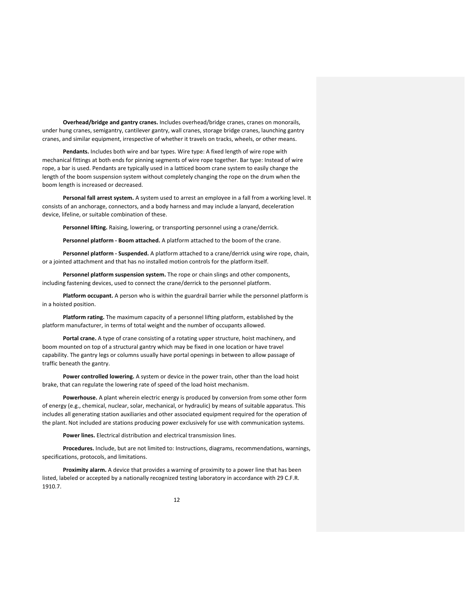**Overhead/bridge and gantry cranes.** Includes overhead/bridge cranes, cranes on monorails, under hung cranes, semigantry, cantilever gantry, wall cranes, storage bridge cranes, launching gantry cranes, and similar equipment, irrespective of whether it travels on tracks, wheels, or other means.

**Pendants.** Includes both wire and bar types. Wire type: A fixed length of wire rope with mechanical fittings at both ends for pinning segments of wire rope together. Bar type: Instead of wire rope, a bar is used. Pendants are typically used in a latticed boom crane system to easily change the length of the boom suspension system without completely changing the rope on the drum when the boom length is increased or decreased.

**Personal fall arrest system.** A system used to arrest an employee in a fall from a working level. It consists of an anchorage, connectors, and a body harness and may include a lanyard, deceleration device, lifeline, or suitable combination of these.

**Personnel lifting.** Raising, lowering, or transporting personnel using a crane/derrick.

**Personnel platform ‐ Boom attached.** A platform attached to the boom of the crane.

**Personnel platform ‐ Suspended.** A platform attached to a crane/derrick using wire rope, chain, or a jointed attachment and that has no installed motion controls for the platform itself.

**Personnel platform suspension system.** The rope or chain slings and other components, including fastening devices, used to connect the crane/derrick to the personnel platform.

**Platform occupant.** A person who is within the guardrail barrier while the personnel platform is in a hoisted position.

**Platform rating.** The maximum capacity of a personnel lifting platform, established by the platform manufacturer, in terms of total weight and the number of occupants allowed.

**Portal crane.** A type of crane consisting of a rotating upper structure, hoist machinery, and boom mounted on top of a structural gantry which may be fixed in one location or have travel capability. The gantry legs or columns usually have portal openings in between to allow passage of traffic beneath the gantry.

**Power controlled lowering.** A system or device in the power train, other than the load hoist brake, that can regulate the lowering rate of speed of the load hoist mechanism.

**Powerhouse.** A plant wherein electric energy is produced by conversion from some other form of energy (e.g., chemical, nuclear, solar, mechanical, or hydraulic) by means of suitable apparatus. This includes all generating station auxiliaries and other associated equipment required for the operation of the plant. Not included are stations producing power exclusively for use with communication systems.

**Power lines.** Electrical distribution and electrical transmission lines.

**Procedures.** Include, but are not limited to: Instructions, diagrams, recommendations, warnings, specifications, protocols, and limitations.

**Proximity alarm.** A device that provides a warning of proximity to a power line that has been listed, labeled or accepted by a nationally recognized testing laboratory in accordance with 29 C.F.R. 1910.7.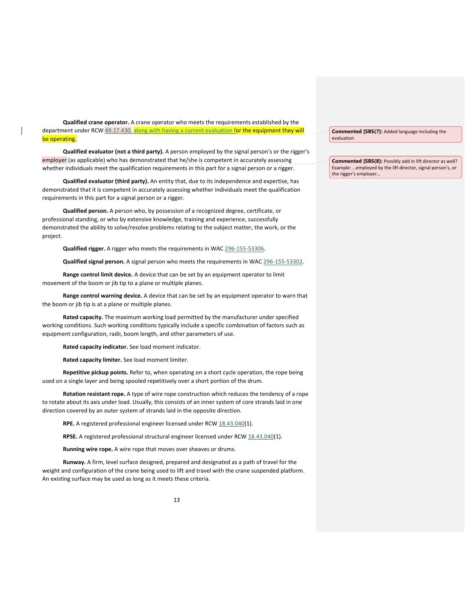**Qualified crane operator.** A crane operator who meets the requirements established by the department under RCW 49.17.430, along with having a current evaluation for the equipment they will be operating.

**Qualified evaluator (not a third party).** A person employed by the signal person's or the rigger's employer (as applicable) who has demonstrated that he/she is competent in accurately assessing whether individuals meet the qualification requirements in this part for a signal person or a rigger.

**Qualified evaluator (third party).** An entity that, due to its independence and expertise, has demonstrated that it is competent in accurately assessing whether individuals meet the qualification requirements in this part for a signal person or a rigger.

**Qualified person.** A person who, by possession of a recognized degree, certificate, or professional standing, or who by extensive knowledge, training and experience, successfully demonstrated the ability to solve/resolve problems relating to the subject matter, the work, or the project.

**Qualified rigger.** A rigger who meets the requirements in WAC 296‐155‐53306.

**Qualified signal person.** A signal person who meets the requirements in WAC 296‐155‐53302.

**Range control limit device.** A device that can be set by an equipment operator to limit movement of the boom or jib tip to a plane or multiple planes.

**Range control warning device.** A device that can be set by an equipment operator to warn that the boom or jib tip is at a plane or multiple planes.

**Rated capacity.** The maximum working load permitted by the manufacturer under specified working conditions. Such working conditions typically include a specific combination of factors such as equipment configuration, radii, boom length, and other parameters of use.

**Rated capacity indicator.** See load moment indicator.

**Rated capacity limiter.** See load moment limiter.

**Repetitive pickup points.** Refer to, when operating on a short cycle operation, the rope being used on a single layer and being spooled repetitively over a short portion of the drum.

**Rotation resistant rope.** A type of wire rope construction which reduces the tendency of a rope to rotate about its axis under load. Usually, this consists of an inner system of core strands laid in one direction covered by an outer system of strands laid in the opposite direction.

RPE. A registered professional engineer licensed under RCW 18.43.040(1).

**RPSE.** A registered professional structural engineer licensed under RCW 18.43.040(1).

**Running wire rope.** A wire rope that moves over sheaves or drums.

**Runway.** A firm, level surface designed, prepared and designated as a path of travel for the weight and configuration of the crane being used to lift and travel with the crane suspended platform. An existing surface may be used as long as it meets these criteria.

**Commented [SBS(7]:** Added language including the evaluation

**Commented [SBS(8]:** Possibly add in lift director as well? Example: …employed by the lift director, signal person's, or the rigger's employer…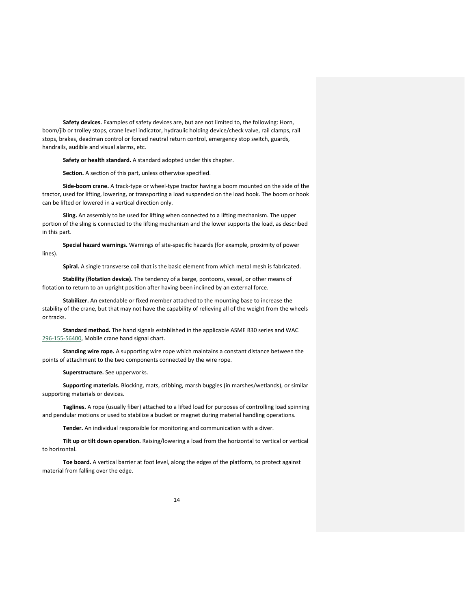**Safety devices.** Examples of safety devices are, but are not limited to, the following: Horn, boom/jib or trolley stops, crane level indicator, hydraulic holding device/check valve, rail clamps, rail stops, brakes, deadman control or forced neutral return control, emergency stop switch, guards, handrails, audible and visual alarms, etc.

**Safety or health standard.** A standard adopted under this chapter.

**Section.** A section of this part, unless otherwise specified.

**Side‐boom crane.** A track‐type or wheel‐type tractor having a boom mounted on the side of the tractor, used for lifting, lowering, or transporting a load suspended on the load hook. The boom or hook can be lifted or lowered in a vertical direction only.

**Sling.** An assembly to be used for lifting when connected to a lifting mechanism. The upper portion of the sling is connected to the lifting mechanism and the lower supports the load, as described in this part.

**Special hazard warnings.** Warnings of site‐specific hazards (for example, proximity of power lines).

**Spiral.** A single transverse coil that is the basic element from which metal mesh is fabricated.

**Stability (flotation device).** The tendency of a barge, pontoons, vessel, or other means of flotation to return to an upright position after having been inclined by an external force.

**Stabilizer.** An extendable or fixed member attached to the mounting base to increase the stability of the crane, but that may not have the capability of relieving all of the weight from the wheels or tracks.

**Standard method.** The hand signals established in the applicable ASME B30 series and WAC 296‐155‐56400, Mobile crane hand signal chart.

**Standing wire rope.** A supporting wire rope which maintains a constant distance between the points of attachment to the two components connected by the wire rope.

**Superstructure.** See upperworks.

**Supporting materials.** Blocking, mats, cribbing, marsh buggies (in marshes/wetlands), or similar supporting materials or devices.

**Taglines.** A rope (usually fiber) attached to a lifted load for purposes of controlling load spinning and pendular motions or used to stabilize a bucket or magnet during material handling operations.

**Tender.** An individual responsible for monitoring and communication with a diver.

**Tilt up or tilt down operation.** Raising/lowering a load from the horizontal to vertical or vertical to horizontal.

**Toe board.** A vertical barrier at foot level, along the edges of the platform, to protect against material from falling over the edge.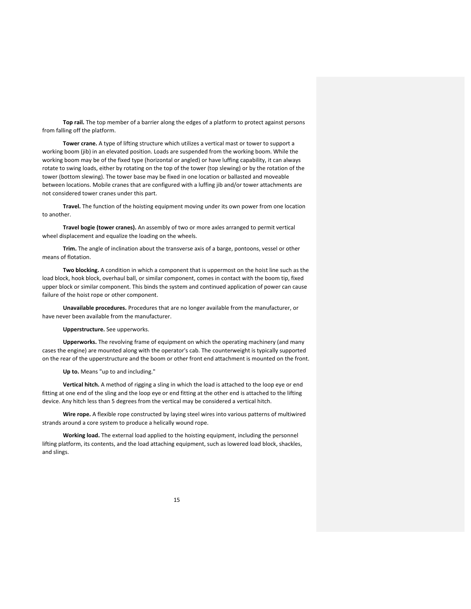**Top rail.** The top member of a barrier along the edges of a platform to protect against persons from falling off the platform.

**Tower crane.** A type of lifting structure which utilizes a vertical mast or tower to support a working boom (jib) in an elevated position. Loads are suspended from the working boom. While the working boom may be of the fixed type (horizontal or angled) or have luffing capability, it can always rotate to swing loads, either by rotating on the top of the tower (top slewing) or by the rotation of the tower (bottom slewing). The tower base may be fixed in one location or ballasted and moveable between locations. Mobile cranes that are configured with a luffing jib and/or tower attachments are not considered tower cranes under this part.

**Travel.** The function of the hoisting equipment moving under its own power from one location to another.

**Travel bogie (tower cranes).** An assembly of two or more axles arranged to permit vertical wheel displacement and equalize the loading on the wheels.

**Trim.** The angle of inclination about the transverse axis of a barge, pontoons, vessel or other means of flotation.

**Two blocking.** A condition in which a component that is uppermost on the hoist line such as the load block, hook block, overhaul ball, or similar component, comes in contact with the boom tip, fixed upper block or similar component. This binds the system and continued application of power can cause failure of the hoist rope or other component.

**Unavailable procedures.** Procedures that are no longer available from the manufacturer, or have never been available from the manufacturer.

### **Upperstructure.** See upperworks.

**Upperworks.** The revolving frame of equipment on which the operating machinery (and many cases the engine) are mounted along with the operator's cab. The counterweight is typically supported on the rear of the upperstructure and the boom or other front end attachment is mounted on the front.

**Up to.** Means "up to and including."

**Vertical hitch.** A method of rigging a sling in which the load is attached to the loop eye or end fitting at one end of the sling and the loop eye or end fitting at the other end is attached to the lifting device. Any hitch less than 5 degrees from the vertical may be considered a vertical hitch.

**Wire rope.** A flexible rope constructed by laying steel wires into various patterns of multiwired strands around a core system to produce a helically wound rope.

**Working load.** The external load applied to the hoisting equipment, including the personnel lifting platform, its contents, and the load attaching equipment, such as lowered load block, shackles, and slings.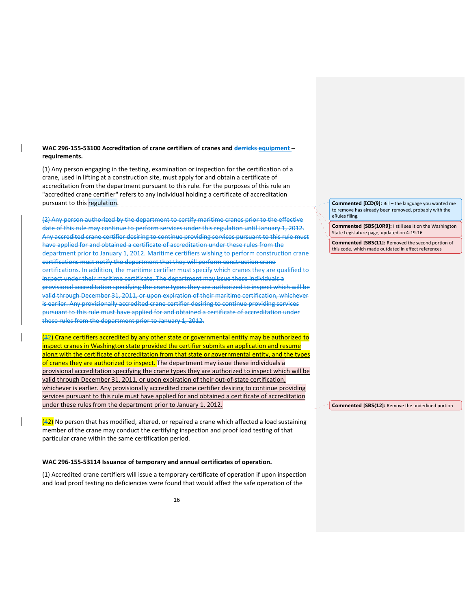# **WAC 296‐155‐53100 Accreditation of crane certifiers of cranes and derricks equipment – requirements.**

(1) Any person engaging in the testing, examination or inspection for the certification of a crane, used in lifting at a construction site, must apply for and obtain a certificate of accreditation from the department pursuant to this rule. For the purposes of this rule an "accredited crane certifier" refers to any individual holding a certificate of accreditation pursuant to this regulation. **purplemental contracts** 

(2) Any person authorized by the department to certify maritime cranes prior to the effective date of this rule may continue to perform services under this regulation until January 1, 2012. Any accredited crane certifier desiring to continue providing services pursuant to this rule must have applied for and obtained a certificate of accreditation under these rules from the department prior to January 1, 2012. Maritime certifiers wishing to perform construction crane certifications must notify the department that they will perform construction crane certifications. In addition, the maritime certifier must specify which cranes they are qualified to inspect under their maritime certificate. The department may issue these individuals a provisional accreditation specifying the crane types they are authorized to inspect which will be valid through December 31, 2011, or upon expiration of their maritime certification, whichever is earlier. Any provisionally accredited crane certifier desiring to continue providing services pursuant to this rule must have applied for and obtained a certificate of accreditation under these rules from the department prior to January 1, 2012.

(32) Crane certifiers accredited by any other state or governmental entity may be authorized to inspect cranes in Washington state provided the certifier submits an application and resume along with the certificate of accreditation from that state or governmental entity, and the types of cranes they are authorized to inspect. The department may issue these individuals a provisional accreditation specifying the crane types they are authorized to inspect which will be valid through December 31, 2011, or upon expiration of their out‐of‐state certification, whichever is earlier. Any provisionally accredited crane certifier desiring to continue providing services pursuant to this rule must have applied for and obtained a certificate of accreditation under these rules from the department prior to January 1, 2012.

(42) No person that has modified, altered, or repaired a crane which affected a load sustaining member of the crane may conduct the certifying inspection and proof load testing of that particular crane within the same certification period.

#### **WAC 296‐155‐53114 Issuance of temporary and annual certificates of operation.**

(1) Accredited crane certifiers will issue a temporary certificate of operation if upon inspection and load proof testing no deficiencies were found that would affect the safe operation of the

**Commented [ICD(9]:** Bill – the language you wanted me to remove has already been removed, probably with the eRules filing.

**Commented [SBS(10R9]:** I still see it on the Washington State Legislature page, updated on 4‐19‐16

**Commented [SBS(11]:** Removed the second portion of this code, which made outdated in effect references

**Commented [SBS(12]:** Remove the underlined portion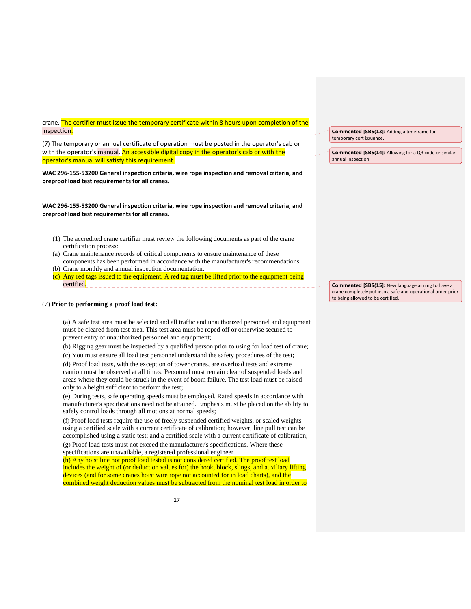crane. The certifier must issue the temporary certificate within 8 hours upon completion of the inspection. -------------------------

(7) The temporary or annual certificate of operation must be posted in the operator's cab or with the operator's manual. An accessible digital copy in the operator's cab or with the operator's manual will satisfy this requirement.

**WAC 296‐155‐53200 General inspection criteria, wire rope inspection and removal criteria, and preproof load test requirements for all cranes.**

**WAC 296‐155‐53200 General inspection criteria, wire rope inspection and removal criteria, and preproof load test requirements for all cranes.** 

- (1) The accredited crane certifier must review the following documents as part of the crane certification process:
- (a) Crane maintenance records of critical components to ensure maintenance of these components has been performed in accordance with the manufacturer's recommendations. (b) Crane monthly and annual inspection documentation.
- 
- (c) Any red tags issued to the equipment. A red tag must be lifted prior to the equipment being certified.

# (7) **Prior to performing a proof load test:**

(a) A safe test area must be selected and all traffic and unauthorized personnel and equipment must be cleared from test area. This test area must be roped off or otherwise secured to prevent entry of unauthorized personnel and equipment;

(b) Rigging gear must be inspected by a qualified person prior to using for load test of crane;

(c) You must ensure all load test personnel understand the safety procedures of the test;

(d) Proof load tests, with the exception of tower cranes, are overload tests and extreme caution must be observed at all times. Personnel must remain clear of suspended loads and areas where they could be struck in the event of boom failure. The test load must be raised only to a height sufficient to perform the test;

(e) During tests, safe operating speeds must be employed. Rated speeds in accordance with manufacturer's specifications need not be attained. Emphasis must be placed on the ability to safely control loads through all motions at normal speeds;

(f) Proof load tests require the use of freely suspended certified weights, or scaled weights using a certified scale with a current certificate of calibration; however, line pull test can be accomplished using a static test; and a certified scale with a current certificate of calibration;

(g) Proof load tests must not exceed the manufacturer's specifications. Where these specifications are unavailable, a registered professional engineer

(h) Any hoist line not proof load tested is not considered certified. The proof test load includes the weight of (or deduction values for) the hook, block, slings, and auxiliary lifting devices (and for some cranes hoist wire rope not accounted for in load charts), and the combined weight deduction values must be subtracted from the nominal test load in order to **Commented [SBS(13]:** Adding a timeframe for temporary cert issuance.

**Commented [SBS(14]:** Allowing for a QR code or similar annual inspection

**Commented [SBS(15]:** New language aiming to have a crane completely put into a safe and operational order prior to being allowed to be certified.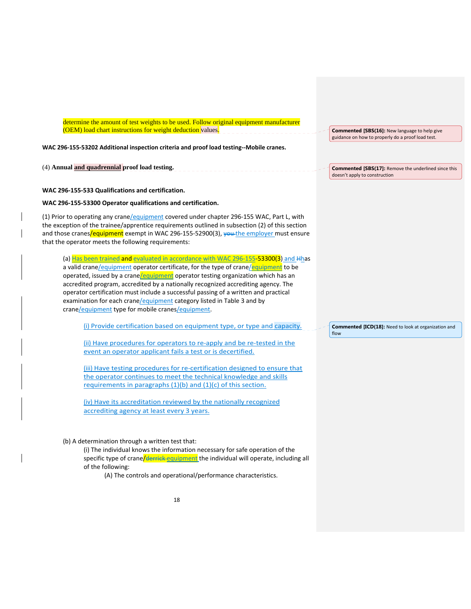determine the amount of test weights to be used. Follow original equipment manufacturer (OEM) load chart instructions for weight deduction values.

**WAC 296‐155‐53202 Additional inspection criteria and proof load testing‐‐Mobile cranes.**

(4) **Annual and quadrennial proof load testing.** 

### **WAC 296‐155‐533 Qualifications and certification.**

# **WAC 296‐155‐53300 Operator qualifications and certification.**

(1) Prior to operating any crane/equipment covered under chapter 296‐155 WAC, Part L, with the exception of the trainee/apprentice requirements outlined in subsection (2) of this section and those cranes/equipment exempt in WAC 296-155-52900(3), vou the employer must ensure that the operator meets the following requirements:

(a) Has been trained and evaluated in accordance with WAC 296-155-53300(3) and Hhas a valid crane/equipment operator certificate, for the type of crane/equipment to be operated, issued by a crane/equipment operator testing organization which has an accredited program, accredited by a nationally recognized accrediting agency. The operator certification must include a successful passing of a written and practical examination for each crane/equipment category listed in Table 3 and by crane/equipment type for mobile cranes/equipment.

(i) Provide certification based on equipment type, or type and capacity.

(ii) Have procedures for operators to re‐apply and be re‐tested in the event an operator applicant fails a test or is decertified.

(iii) Have testing procedures for re-certification designed to ensure that the operator continues to meet the technical knowledge and skills requirements in paragraphs (1)(b) and (1)(c) of this section.

(iv) Have its accreditation reviewed by the nationally recognized accrediting agency at least every 3 years.

## (b) A determination through a written test that:

(i) The individual knows the information necessary for safe operation of the specific type of crane/derrick equipment the individual will operate, including all of the following:

(A) The controls and operational/performance characteristics.

**Commented [SBS(16]:** New language to help give guidance on how to properly do a proof load test.

**Commented [SBS(17]:** Remove the underlined since this doesn't apply to construction

**Commented [ICD(18]:** Need to look at organization and flow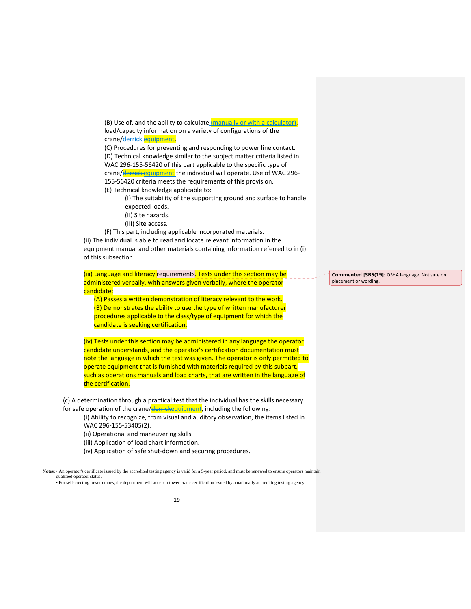(B) Use of, and the ability to calculate  $(mannually or with a calculator)$ , load/capacity information on a variety of configurations of the crane/derrick equipment.

(C) Procedures for preventing and responding to power line contact. (D) Technical knowledge similar to the subject matter criteria listed in WAC 296‐155‐56420 of this part applicable to the specific type of crane/derrick equipment the individual will operate. Use of WAC 296-155‐56420 criteria meets the requirements of this provision. (E) Technical knowledge applicable to:

(I) The suitability of the supporting ground and surface to handle expected loads.

- (II) Site hazards.
- (III) Site access.

(F) This part, including applicable incorporated materials.

(ii) The individual is able to read and locate relevant information in the equipment manual and other materials containing information referred to in (i) of this subsection.

(iii) Language and literacy requirements. Tests under this section may be administered verbally, with answers given verbally, where the operator candidate:

(A) Passes a written demonstration of literacy relevant to the work. (B) Demonstrates the ability to use the type of written manufacturer procedures applicable to the class/type of equipment for which the candidate is seeking certification.

(iv) Tests under this section may be administered in any language the operator candidate understands, and the operator's certification documentation must note the language in which the test was given. The operator is only permitted to operate equipment that is furnished with materials required by this subpart, such as operations manuals and load charts, that are written in the language of the certification.

(c) A determination through a practical test that the individual has the skills necessary for safe operation of the crane/derrickequipment, including the following:

(i) Ability to recognize, from visual and auditory observation, the items listed in WAC 296-155-53405(2).

- (ii) Operational and maneuvering skills.
- (iii) Application of load chart information.
- (iv) Application of safe shut‐down and securing procedures.

**Notes:** • An operator's certificate issued by the accredited testing agency is valid for a 5-year period, and must be renewed to ensure operators maintain qualified operator statu • For self-erecting tower cranes, the department will accept a tower crane certification issued by a nationally accrediting testing agency.

**Commented [SBS(19]:** OSHA language. Not sure on placement or wording.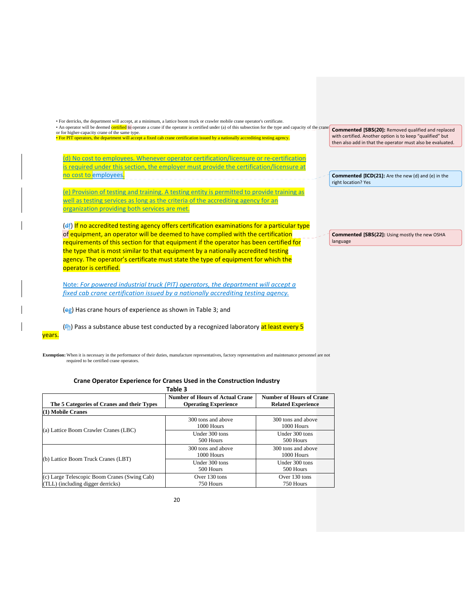| • An operator will be deemed certified to operate a crane if the operator is certified under (a) of this subsection for the type and capacity of the crane<br>or for higher-capacity crane of the same type.<br>· For PIT operators, the department will accept a fixed cab crane certification issued by a nationally accrediting testing agency.                                                                                                                                                                                                                                                                                                       | <b>Commented [SBS(20]: Removed qualified and replaced</b><br>with certified. Another option is to keep "qualified" but<br>then also add in that the operator must also be evaluated. |
|----------------------------------------------------------------------------------------------------------------------------------------------------------------------------------------------------------------------------------------------------------------------------------------------------------------------------------------------------------------------------------------------------------------------------------------------------------------------------------------------------------------------------------------------------------------------------------------------------------------------------------------------------------|--------------------------------------------------------------------------------------------------------------------------------------------------------------------------------------|
| No cost to employees. Whenever operator certification/licensure or re-certification<br>is required under this section, the employer must provide the certification/licensure at<br>no cost to employees.                                                                                                                                                                                                                                                                                                                                                                                                                                                 | <b>Commented [ICD(21]:</b> Are the new (d) and (e) in the<br>right location? Yes                                                                                                     |
| (e) Provision of testing and training. A testing entity is permitted to provide training as<br>well as testing services as long as the criteria of the accrediting agency for an<br>organization providing both services are met.                                                                                                                                                                                                                                                                                                                                                                                                                        |                                                                                                                                                                                      |
|                                                                                                                                                                                                                                                                                                                                                                                                                                                                                                                                                                                                                                                          |                                                                                                                                                                                      |
|                                                                                                                                                                                                                                                                                                                                                                                                                                                                                                                                                                                                                                                          | <b>Commented [SBS(22]: Using mostly the new OSHA</b><br>language                                                                                                                     |
| $(d)$ If no accredited testing agency offers certification examinations for a particular type<br>of equipment, an operator will be deemed to have complied with the certification<br>requirements of this section for that equipment if the operator has been certified for<br>the type that is most similar to that equipment by a nationally accredited testing<br>agency. The operator's certificate must state the type of equipment for which the<br>operator is certified.<br>Note: For powered industrial truck (PIT) operators, the department will accept a<br>fixed cab crane certification issued by a nationally accrediting testing agency. |                                                                                                                                                                                      |

# (fh) Pass a substance abuse test conducted by a recognized laboratory at least every 5 years.

**Exemption:** When it is necessary in the performance of their duties, manufacture representatives, factory representatives and maintenance personnel are not required to be certified crane operators.

# **Crane Operator Experience for Cranes Used in the Construction Industry**

| Table 3                                                                           |                                                                       |                                                              |  |  |  |
|-----------------------------------------------------------------------------------|-----------------------------------------------------------------------|--------------------------------------------------------------|--|--|--|
| The 5 Categories of Cranes and their Types                                        | <b>Number of Hours of Actual Crane</b><br><b>Operating Experience</b> | <b>Number of Hours of Crane</b><br><b>Related Experience</b> |  |  |  |
| $(1)$ Mobile Cranes                                                               |                                                                       |                                                              |  |  |  |
| (a) Lattice Boom Crawler Cranes (LBC)                                             | 300 tons and above<br>1000 Hours                                      | 300 tons and above<br>1000 Hours                             |  |  |  |
|                                                                                   | Under 300 tons<br>500 Hours                                           | Under 300 tons<br>500 Hours                                  |  |  |  |
|                                                                                   | 300 tons and above<br>1000 Hours                                      | 300 tons and above<br>1000 Hours                             |  |  |  |
| (b) Lattice Boom Truck Cranes (LBT)                                               | Under 300 tons<br>500 Hours                                           | Under 300 tons<br>500 Hours                                  |  |  |  |
| (c) Large Telescopic Boom Cranes (Swing Cab)<br>(TLL) (including digger derricks) | Over $130$ tons<br>750 Hours                                          | Over $130$ tons<br>750 Hours                                 |  |  |  |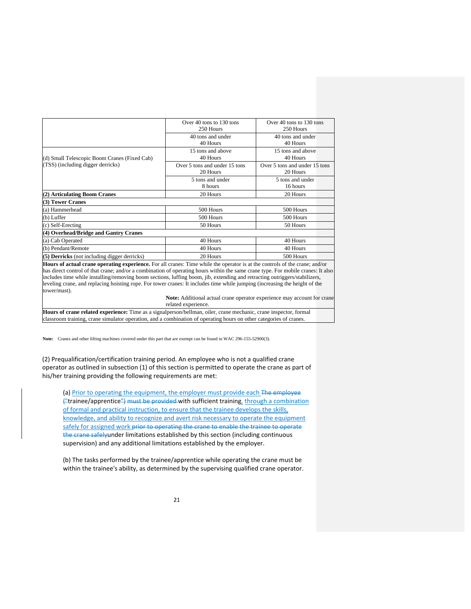|                                                                                                                              | Over 40 tons to 130 tons      | Over 40 tons to 130 tons      |  |
|------------------------------------------------------------------------------------------------------------------------------|-------------------------------|-------------------------------|--|
|                                                                                                                              | 250 Hours                     | 250 Hours                     |  |
|                                                                                                                              | 40 tons and under             | 40 tons and under             |  |
|                                                                                                                              | 40 Hours                      | 40 Hours                      |  |
|                                                                                                                              | 15 tons and above             | 15 tons and above             |  |
| (d) Small Telescopic Boom Cranes (Fixed Cab)                                                                                 | 40 Hours                      | 40 Hours                      |  |
| (TSS) (including digger derricks)                                                                                            | Over 5 tons and under 15 tons | Over 5 tons and under 15 tons |  |
|                                                                                                                              | 20 Hours                      | 20 Hours                      |  |
|                                                                                                                              | 5 tons and under              | 5 tons and under              |  |
|                                                                                                                              | 8 hours                       | 16 hours                      |  |
| (2) Articulating Boom Cranes                                                                                                 | 20 Hours                      | 20 Hours                      |  |
| (3) Tower Cranes                                                                                                             |                               |                               |  |
| (a) Hammerhead                                                                                                               | 500 Hours                     | 500 Hours                     |  |
| (b) Luffer                                                                                                                   | 500 Hours                     | 500 Hours                     |  |
| (c) Self-Erecting                                                                                                            | 50 Hours                      | 50 Hours                      |  |
| (4) Overhead/Bridge and Gantry Cranes                                                                                        |                               |                               |  |
| (a) Cab Operated                                                                                                             | 40 Hours                      | 40 Hours                      |  |
| (b) Pendant/Remote                                                                                                           | 40 Hours                      | 40 Hours                      |  |
| (5) Derricks (not including digger derricks)                                                                                 | 20 Hours                      | 500 Hours                     |  |
| House of octual events approxima experience. For all exerces Time while the eperator is at the controls of the exerce and/or |                               |                               |  |

**Hours of actual crane operating experience.** For all cranes: Time while the operator is at the controls of the crane; and/or has direct control of that crane; and/or a combination of operating hours within the same crane type. For mobile cranes: It also includes time while installing/removing boom sections, luffing boom, jib, extending and retracting outriggers/stabilizers, leveling crane, and replacing hoisting rope. For tower cranes: It includes time while jumping (increasing the height of the tower/mast).

 **Note:** Additional actual crane operator experience may account for crane related experience.

**Hours of crane related experience:** Time as a signalperson/bellman, oiler, crane mechanic, crane inspector, formal classroom training, crane simulator operation, and a combination of operating hours on other categories of cranes.

**Note:** Cranes and other lifting machines covered under this part that are exempt can be found in WAC 296-155-52900(3).

(2) Prequalification/certification training period. An employee who is not a qualified crane operator as outlined in subsection (1) of this section is permitted to operate the crane as part of his/her training providing the following requirements are met:

(a) Prior to operating the equipment, the employer must provide each The employee  $\frac{1}{2}$ trainee/apprentice<sup>"</sup>) must be provided with sufficient training, through a combination of formal and practical instruction, to ensure that the trainee develops the skills, knowledge, and ability to recognize and avert risk necessary to operate the equipment safely for assigned work prior to operating the crane to enable the trainee to operate the crane safelyunder limitations established by this section (including continuous supervision) and any additional limitations established by the employer.

(b) The tasks performed by the trainee/apprentice while operating the crane must be within the trainee's ability, as determined by the supervising qualified crane operator.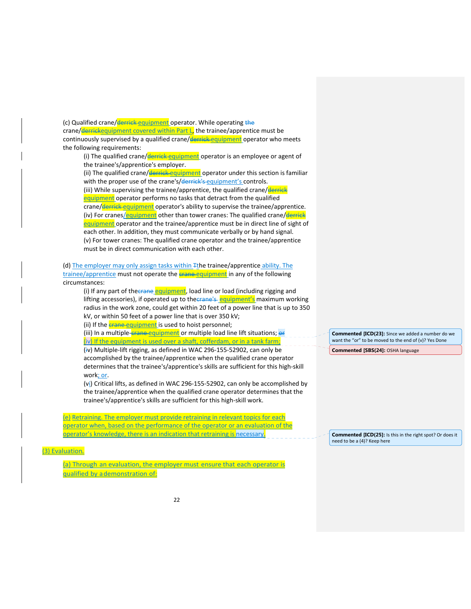(c) Qualified crane/derrick equipment operator. While operating the crane/derrickequipment covered within Part L, the trainee/apprentice must be continuously supervised by a qualified crane/derrick equipment operator who meets the following requirements:

(i) The qualified crane/**derrick equipment** operator is an employee or agent of the trainee's/apprentice's employer.

(ii) The qualified crane/derrick equipment operator under this section is familiar with the proper use of the crane's/derrick's equipment's controls. (iii) While supervising the trainee/apprentice, the qualified crane/derrick equipment operator performs no tasks that detract from the qualified crane/derrick equipment operator's ability to supervise the trainee/apprentice. (iv) For cranes/equipment other than tower cranes: The qualified crane/derrick equipment operator and the trainee/apprentice must be in direct line of sight of each other. In addition, they must communicate verbally or by hand signal. (v) For tower cranes: The qualified crane operator and the trainee/apprentice must be in direct communication with each other.

(d) The employer may only assign tasks within Tthe trainee/apprentice ability. The trainee/apprentice must not operate the **crane** equipment in any of the following circumstances:

(i) If any part of the **crane equipment**, load line or load (including rigging and lifting accessories), if operated up to the crane's equipment's maximum working radius in the work zone, could get within 20 feet of a power line that is up to 350 kV, or within 50 feet of a power line that is over 350 kV;

(ii) If the **crane equipment** is used to hoist personnel;

(iii) In a multiple-crane-equipment or multiple load line lift situations; or  $\left(\frac{iv}{i}\right)$  If the equipment is used over a shaft, cofferdam, or in a tank farm;

(iv) Multiple‐lift rigging, as defined in WAC 296‐155‐52902, can only be accomplished by the trainee/apprentice when the qualified crane operator determines that the trainee's/apprentice's skills are sufficient for this high‐skill work; or.

(vi) Critical lifts, as defined in WAC 296‐155‐52902, can only be accomplished by the trainee/apprentice when the qualified crane operator determines that the trainee's/apprentice's skills are sufficient for this high‐skill work.

(e) Retraining. The employer must provide retraining in relevant topics for each operator when, based on the performance of the operator or an evaluation of the operator's knowledge, there is an indication that retraining is necessary

(3) Evaluation*.*

(a) Through an evaluation, the employer must ensure that each operator is qualified by ademonstration of:

**Commented [ICD(23]:** Since we added a number do we want the "or" to be moved to the end of (v)? Yes Done

**Commented [SBS(24]:** OSHA language

**Commented [ICD(25]:** Is this in the right spot? Or does it need to be a (4)? Keep here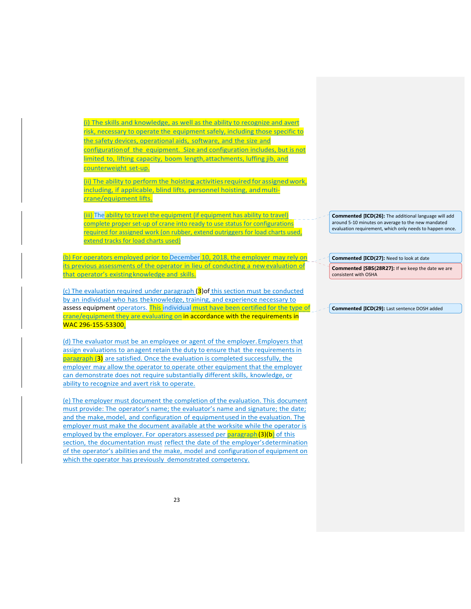(i) The skills and knowledge, as well as the ability to recognize and avert risk, necessary to operate the equipment safely, including those specific to the safety devices, operational aids, software, and the size and configurationof the equipment. Size and configuration includes, but is not limited to, lifting capacity, boom length,attachments, luffing jib, and counterweight set‐up.

(ii) The ability to perform the hoisting activities required for assigned work, including, if applicable, blind lifts, personnel hoisting, and multicrane/equipment lifts.

(iii) The ability to travel the equipment (if equipment has ability to travel) complete proper set-up of crane into ready to use status for configurations required for assigned work (on rubber, extend outriggers for load charts used, extend tracks for load charts used)

(b) For operators employed prior to December 10, 2018, the employer may rely on its previous assessments of the operator in lieu of conducting a newevaluation of that operator's existingknowledge and skills.

(c) The evaluation required under paragraph (3) of this section must be conducted by an individual who has theknowledge, training, and experience necessary to assess equipment operators. This individual must have been certified for the type of crane/equipment they are evaluating on in accordance with the requirements in WAC 296‐155‐53300.

(d) The evaluator must be an employee or agent of the employer.Employers that assign evaluations to anagent retain the duty to ensure that the requirements in paragraph (3) are satisfied. Once the evaluation is completed successfully, the employer may allow the operator to operate other equipment that the employer can demonstrate does not require substantially different skills, knowledge, or ability to recognize and avert risk to operate.

(e) The employer must document the completion of the evaluation. This document must provide: The operator's name; the evaluator's name and signature; the date; and the make, model, and configuration of equipmentused in the evaluation. The employer must make the document available at the worksite while the operator is employed by the employer. For operators assessed per **paragraph(3)(b)** of this section, the documentation must reflect the date of the employer'sdetermination of the operator's abilities and the make, model and configurationof equipment on which the operator has previously demonstrated competency.

**Commented [ICD(26]:** The additional language will add around 5‐10 minutes on average to the new mandated evaluation requirement, which only needs to happen once.

**Commented [ICD(27]:** Need to look at date

**Commented [SBS(28R27]:** If we keep the date we are consistent with OSHA

**Commented [ICD(29]:** Last sentence DOSH added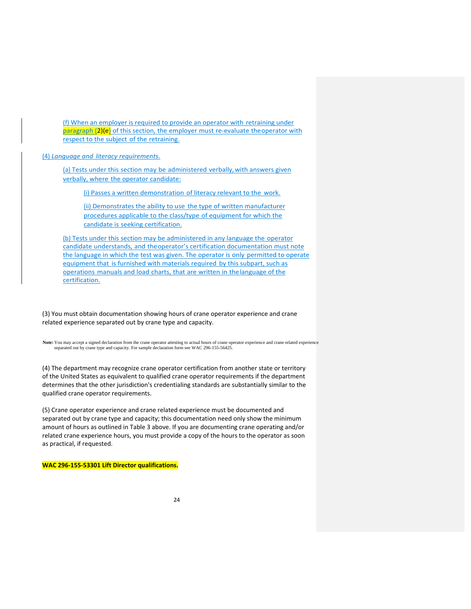(f) When an employer is required to provide an operator with retraining under paragraph (2)(e) of this section, the employer must re-evaluate the operator with respect to the subject of the retraining.

(4) *Language and literacy requirements.* 

(a) Tests under this section may be administered verbally, with answers given verbally, where the operator candidate:

(i) Passes a written demonstration of literacy relevant to the work.

(ii) Demonstrates the ability to use the type of written manufacturer procedures applicable to the class/type of equipment for which the candidate is seeking certification.

(b) Tests under this section may be administered in any language the operator candidate understands, and theoperator's certification documentation must note the language in which the test was given. The operator is only permitted to operate equipment that is furnished with materials required by this subpart, such as operations manuals and load charts, that are written in thelanguage of the certification.

(3) You must obtain documentation showing hours of crane operator experience and crane related experience separated out by crane type and capacity.

**Note:** You may accept a signed declaration from the crane operator attesting to actual hours of crane operator experience and crane related experience separated out by crane type and capacity. For sample declaration form see WAC 296-155-56425.

(4) The department may recognize crane operator certification from another state or territory of the United States as equivalent to qualified crane operator requirements if the department determines that the other jurisdiction's credentialing standards are substantially similar to the qualified crane operator requirements.

(5) Crane operator experience and crane related experience must be documented and separated out by crane type and capacity; this documentation need only show the minimum amount of hours as outlined in Table 3 above. If you are documenting crane operating and/or related crane experience hours, you must provide a copy of the hours to the operator as soon as practical, if requested.

**WAC 296‐155‐53301 Lift Director qualifications.**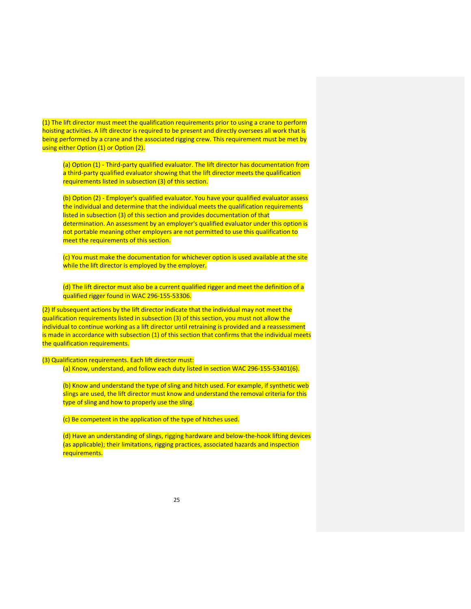(1) The lift director must meet the qualification requirements prior to using a crane to perform hoisting activities. A lift director is required to be present and directly oversees all work that is being performed by a crane and the associated rigging crew. This requirement must be met by using either Option (1) or Option (2).

(a) Option (1) ‐ Third‐party qualified evaluator. The lift director has documentation from a third-party qualified evaluator showing that the lift director meets the qualification requirements listed in subsection (3) of this section.

(b) Option (2) ‐ Employer's qualified evaluator. You have your qualified evaluator assess the individual and determine that the individual meets the qualification requirements listed in subsection (3) of this section and provides documentation of that determination. An assessment by an employer's qualified evaluator under this option is not portable meaning other employers are not permitted to use this qualification to meet the requirements of this section.

(c) You must make the documentation for whichever option is used available at the site while the lift director is employed by the employer.

(d) The lift director must also be a current qualified rigger and meet the definition of a qualified rigger found in WAC 296‐155‐53306.

(2) If subsequent actions by the lift director indicate that the individual may not meet the qualification requirements listed in subsection (3) of this section, you must not allow the individual to continue working as a lift director until retraining is provided and a reassessment is made in accordance with subsection (1) of this section that confirms that the individual meets the qualification requirements.

(3) Qualification requirements. Each lift director must: (a) Know, understand, and follow each duty listed in section WAC 296‐155‐53401(6).

(b) Know and understand the type of sling and hitch used. For example, if synthetic web slings are used, the lift director must know and understand the removal criteria for this type of sling and how to properly use the sling.

(c) Be competent in the application of the type of hitches used.

(d) Have an understanding of slings, rigging hardware and below‐the‐hook lifting devices (as applicable); their limitations, rigging practices, associated hazards and inspection requirements.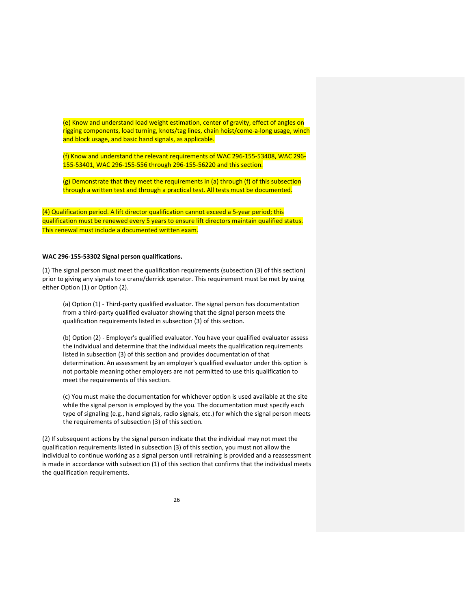(e) Know and understand load weight estimation, center of gravity, effect of angles on rigging components, load turning, knots/tag lines, chain hoist/come‐a‐long usage, winch and block usage, and basic hand signals, as applicable.

(f) Know and understand the relevant requirements of WAC 296‐155‐53408, WAC 296‐ 155‐53401, WAC 296‐155‐556 through 296‐155‐56220 and this section.

(g) Demonstrate that they meet the requirements in (a) through (f) of this subsection through a written test and through a practical test. All tests must be documented.

(4) Qualification period. A lift director qualification cannot exceed a 5‐year period; this qualification must be renewed every 5 years to ensure lift directors maintain qualified status. This renewal must include a documented written exam.

## **WAC 296‐155‐53302 Signal person qualifications.**

(1) The signal person must meet the qualification requirements (subsection (3) of this section) prior to giving any signals to a crane/derrick operator. This requirement must be met by using either Option (1) or Option (2).

(a) Option (1) ‐ Third‐party qualified evaluator. The signal person has documentation from a third‐party qualified evaluator showing that the signal person meets the qualification requirements listed in subsection (3) of this section.

(b) Option (2) ‐ Employer's qualified evaluator. You have your qualified evaluator assess the individual and determine that the individual meets the qualification requirements listed in subsection (3) of this section and provides documentation of that determination. An assessment by an employer's qualified evaluator under this option is not portable meaning other employers are not permitted to use this qualification to meet the requirements of this section.

(c) You must make the documentation for whichever option is used available at the site while the signal person is employed by the you. The documentation must specify each type of signaling (e.g., hand signals, radio signals, etc.) for which the signal person meets the requirements of subsection (3) of this section.

(2) If subsequent actions by the signal person indicate that the individual may not meet the qualification requirements listed in subsection (3) of this section, you must not allow the individual to continue working as a signal person until retraining is provided and a reassessment is made in accordance with subsection (1) of this section that confirms that the individual meets the qualification requirements.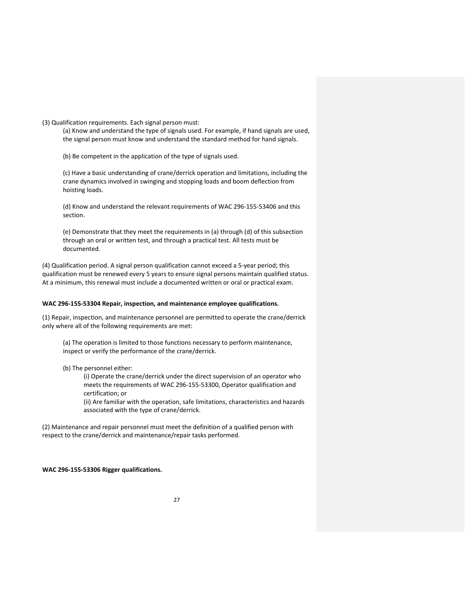(3) Qualification requirements. Each signal person must:

(a) Know and understand the type of signals used. For example, if hand signals are used, the signal person must know and understand the standard method for hand signals.

(b) Be competent in the application of the type of signals used.

(c) Have a basic understanding of crane/derrick operation and limitations, including the crane dynamics involved in swinging and stopping loads and boom deflection from hoisting loads.

(d) Know and understand the relevant requirements of WAC 296‐155‐53406 and this section.

(e) Demonstrate that they meet the requirements in (a) through (d) of this subsection through an oral or written test, and through a practical test. All tests must be documented.

(4) Qualification period. A signal person qualification cannot exceed a 5‐year period; this qualification must be renewed every 5 years to ensure signal persons maintain qualified status. At a minimum, this renewal must include a documented written or oral or practical exam.

# **WAC 296‐155‐53304 Repair, inspection, and maintenance employee qualifications.**

(1) Repair, inspection, and maintenance personnel are permitted to operate the crane/derrick only where all of the following requirements are met:

(a) The operation is limited to those functions necessary to perform maintenance, inspect or verify the performance of the crane/derrick.

(b) The personnel either:

(i) Operate the crane/derrick under the direct supervision of an operator who meets the requirements of WAC 296‐155‐53300, Operator qualification and certification; or

(ii) Are familiar with the operation, safe limitations, characteristics and hazards associated with the type of crane/derrick.

(2) Maintenance and repair personnel must meet the definition of a qualified person with respect to the crane/derrick and maintenance/repair tasks performed.

**WAC 296‐155‐53306 Rigger qualifications.**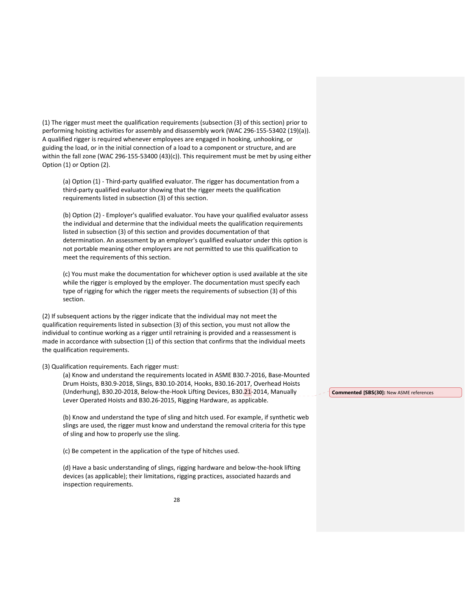(1) The rigger must meet the qualification requirements (subsection (3) of this section) prior to performing hoisting activities for assembly and disassembly work (WAC 296-155-53402 (19)(a)). A qualified rigger is required whenever employees are engaged in hooking, unhooking, or guiding the load, or in the initial connection of a load to a component or structure, and are within the fall zone (WAC 296-155-53400 (43)(c)). This requirement must be met by using either Option (1) or Option (2).

(a) Option (1) ‐ Third‐party qualified evaluator. The rigger has documentation from a third‐party qualified evaluator showing that the rigger meets the qualification requirements listed in subsection (3) of this section.

(b) Option (2) ‐ Employer's qualified evaluator. You have your qualified evaluator assess the individual and determine that the individual meets the qualification requirements listed in subsection (3) of this section and provides documentation of that determination. An assessment by an employer's qualified evaluator under this option is not portable meaning other employers are not permitted to use this qualification to meet the requirements of this section.

(c) You must make the documentation for whichever option is used available at the site while the rigger is employed by the employer. The documentation must specify each type of rigging for which the rigger meets the requirements of subsection (3) of this section.

(2) If subsequent actions by the rigger indicate that the individual may not meet the qualification requirements listed in subsection (3) of this section, you must not allow the individual to continue working as a rigger until retraining is provided and a reassessment is made in accordance with subsection (1) of this section that confirms that the individual meets the qualification requirements.

(3) Qualification requirements. Each rigger must:

(a) Know and understand the requirements located in ASME B30.7‐2016, Base‐Mounted Drum Hoists, B30.9‐2018, Slings, B30.10‐2014, Hooks, B30.16‐2017, Overhead Hoists (Underhung), B30.20-2018, Below-the-Hook Lifting Devices, B30.21-2014, Manually Lever Operated Hoists and B30.26‐2015, Rigging Hardware, as applicable.

(b) Know and understand the type of sling and hitch used. For example, if synthetic web slings are used, the rigger must know and understand the removal criteria for this type of sling and how to properly use the sling.

(c) Be competent in the application of the type of hitches used.

(d) Have a basic understanding of slings, rigging hardware and below‐the‐hook lifting devices (as applicable); their limitations, rigging practices, associated hazards and inspection requirements.

**Commented [SBS(30]:** New ASME references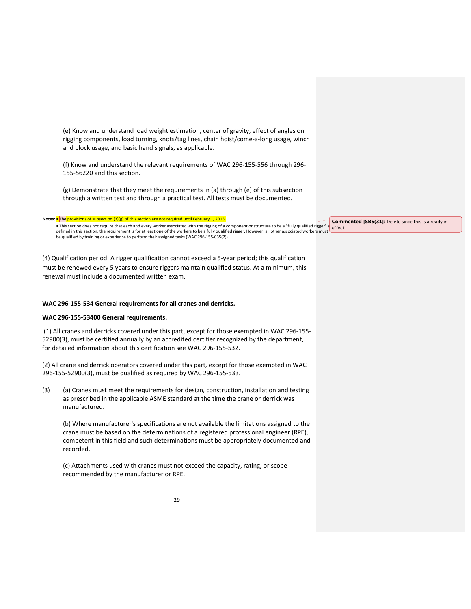|     | (e) Know and understand load weight estimation, center of gravity, effect of angles on<br>rigging components, load turning, knots/tag lines, chain hoist/come-a-long usage, winch<br>and block usage, and basic hand signals, as applicable.                                                                                                                                                                                                                                                                              |                                                                      |
|-----|---------------------------------------------------------------------------------------------------------------------------------------------------------------------------------------------------------------------------------------------------------------------------------------------------------------------------------------------------------------------------------------------------------------------------------------------------------------------------------------------------------------------------|----------------------------------------------------------------------|
|     | (f) Know and understand the relevant requirements of WAC 296-155-556 through 296-<br>155-56220 and this section.                                                                                                                                                                                                                                                                                                                                                                                                          |                                                                      |
|     | (g) Demonstrate that they meet the requirements in (a) through (e) of this subsection<br>through a written test and through a practical test. All tests must be documented.                                                                                                                                                                                                                                                                                                                                               |                                                                      |
|     |                                                                                                                                                                                                                                                                                                                                                                                                                                                                                                                           |                                                                      |
|     | Notes: • The provisions of subsection $(3)(g)$ of this section are not required until February 1, 2013<br>• This section does not require that each and every worker associated with the rigging of a component or structure to be a "fully qualified rigger" a<br>defined in this section, the requirement is for at least one of the workers to be a fully qualified rigger. However, all other associated workers must<br>be qualified by training or experience to perform their assigned tasks (WAC 296-155-035(2)). | <b>Commented [SBS(31]:</b> Delete since this is already in<br>effect |
|     | (4) Qualification period. A rigger qualification cannot exceed a 5-year period; this qualification<br>must be renewed every 5 years to ensure riggers maintain qualified status. At a minimum, this<br>renewal must include a documented written exam.                                                                                                                                                                                                                                                                    |                                                                      |
|     | WAC 296-155-534 General requirements for all cranes and derricks.                                                                                                                                                                                                                                                                                                                                                                                                                                                         |                                                                      |
|     | WAC 296-155-53400 General requirements.                                                                                                                                                                                                                                                                                                                                                                                                                                                                                   |                                                                      |
|     | (1) All cranes and derricks covered under this part, except for those exempted in WAC 296-155-<br>52900(3), must be certified annually by an accredited certifier recognized by the department,<br>for detailed information about this certification see WAC 296-155-532.                                                                                                                                                                                                                                                 |                                                                      |
|     | (2) All crane and derrick operators covered under this part, except for those exempted in WAC<br>296-155-52900(3), must be qualified as required by WAC 296-155-533.                                                                                                                                                                                                                                                                                                                                                      |                                                                      |
| (3) | (a) Cranes must meet the requirements for design, construction, installation and testing<br>as prescribed in the applicable ASME standard at the time the crane or derrick was<br>manufactured.                                                                                                                                                                                                                                                                                                                           |                                                                      |
|     | (b) Where manufacturer's specifications are not available the limitations assigned to the<br>crane must be based on the determinations of a registered professional engineer (RPE),<br>competent in this field and such determinations must be appropriately documented and<br>recorded.                                                                                                                                                                                                                                  |                                                                      |
|     | (c) Attachments used with cranes must not exceed the capacity, rating, or scope<br>recommended by the manufacturer or RPE.                                                                                                                                                                                                                                                                                                                                                                                                |                                                                      |
|     | 29                                                                                                                                                                                                                                                                                                                                                                                                                                                                                                                        |                                                                      |
|     |                                                                                                                                                                                                                                                                                                                                                                                                                                                                                                                           |                                                                      |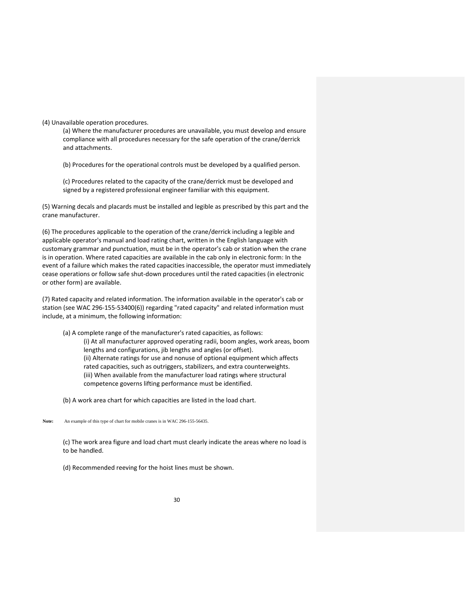(4) Unavailable operation procedures.

(a) Where the manufacturer procedures are unavailable, you must develop and ensure compliance with all procedures necessary for the safe operation of the crane/derrick and attachments.

(b) Procedures for the operational controls must be developed by a qualified person.

(c) Procedures related to the capacity of the crane/derrick must be developed and signed by a registered professional engineer familiar with this equipment.

(5) Warning decals and placards must be installed and legible as prescribed by this part and the crane manufacturer.

(6) The procedures applicable to the operation of the crane/derrick including a legible and applicable operator's manual and load rating chart, written in the English language with customary grammar and punctuation, must be in the operator's cab or station when the crane is in operation. Where rated capacities are available in the cab only in electronic form: In the event of a failure which makes the rated capacities inaccessible, the operator must immediately cease operations or follow safe shut‐down procedures until the rated capacities (in electronic or other form) are available.

(7) Rated capacity and related information. The information available in the operator's cab or station (see WAC 296‐155‐53400(6)) regarding "rated capacity" and related information must include, at a minimum, the following information:

(a) A complete range of the manufacturer's rated capacities, as follows: (i) At all manufacturer approved operating radii, boom angles, work areas, boom lengths and configurations, jib lengths and angles (or offset). (ii) Alternate ratings for use and nonuse of optional equipment which affects rated capacities, such as outriggers, stabilizers, and extra counterweights. (iii) When available from the manufacturer load ratings where structural competence governs lifting performance must be identified.

(b) A work area chart for which capacities are listed in the load chart.

**Note:** An example of this type of chart for mobile cranes is in WAC 296-155-56435.

(c) The work area figure and load chart must clearly indicate the areas where no load is to be handled.

(d) Recommended reeving for the hoist lines must be shown.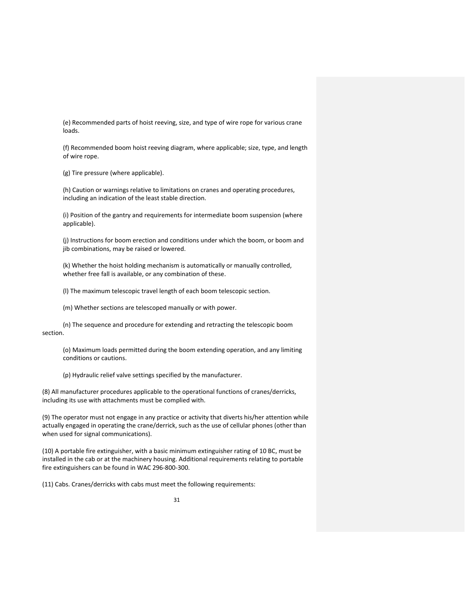(e) Recommended parts of hoist reeving, size, and type of wire rope for various crane loads.

(f) Recommended boom hoist reeving diagram, where applicable; size, type, and length of wire rope.

(g) Tire pressure (where applicable).

(h) Caution or warnings relative to limitations on cranes and operating procedures, including an indication of the least stable direction.

(i) Position of the gantry and requirements for intermediate boom suspension (where applicable).

(j) Instructions for boom erection and conditions under which the boom, or boom and jib combinations, may be raised or lowered.

(k) Whether the hoist holding mechanism is automatically or manually controlled, whether free fall is available, or any combination of these.

(l) The maximum telescopic travel length of each boom telescopic section.

(m) Whether sections are telescoped manually or with power.

(n) The sequence and procedure for extending and retracting the telescopic boom section.

(o) Maximum loads permitted during the boom extending operation, and any limiting conditions or cautions.

(p) Hydraulic relief valve settings specified by the manufacturer.

(8) All manufacturer procedures applicable to the operational functions of cranes/derricks, including its use with attachments must be complied with.

(9) The operator must not engage in any practice or activity that diverts his/her attention while actually engaged in operating the crane/derrick, such as the use of cellular phones (other than when used for signal communications).

(10) A portable fire extinguisher, with a basic minimum extinguisher rating of 10 BC, must be installed in the cab or at the machinery housing. Additional requirements relating to portable fire extinguishers can be found in WAC 296‐800‐300.

(11) Cabs. Cranes/derricks with cabs must meet the following requirements: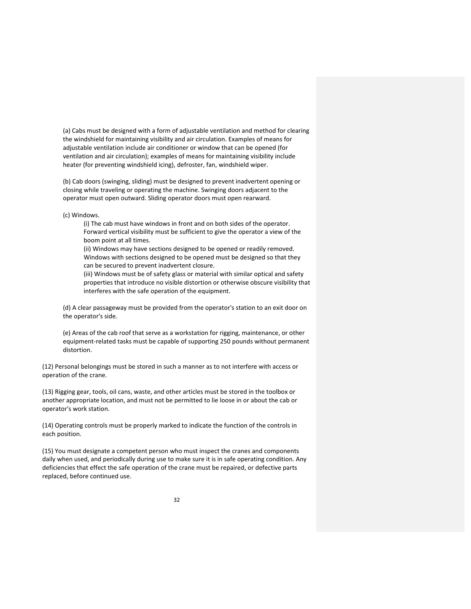(a) Cabs must be designed with a form of adjustable ventilation and method for clearing the windshield for maintaining visibility and air circulation. Examples of means for adjustable ventilation include air conditioner or window that can be opened (for ventilation and air circulation); examples of means for maintaining visibility include heater (for preventing windshield icing), defroster, fan, windshield wiper.

(b) Cab doors (swinging, sliding) must be designed to prevent inadvertent opening or closing while traveling or operating the machine. Swinging doors adjacent to the operator must open outward. Sliding operator doors must open rearward.

(c) Windows.

(i) The cab must have windows in front and on both sides of the operator. Forward vertical visibility must be sufficient to give the operator a view of the boom point at all times.

(ii) Windows may have sections designed to be opened or readily removed. Windows with sections designed to be opened must be designed so that they can be secured to prevent inadvertent closure.

(iii) Windows must be of safety glass or material with similar optical and safety properties that introduce no visible distortion or otherwise obscure visibility that interferes with the safe operation of the equipment.

(d) A clear passageway must be provided from the operator's station to an exit door on the operator's side.

(e) Areas of the cab roof that serve as a workstation for rigging, maintenance, or other equipment‐related tasks must be capable of supporting 250 pounds without permanent distortion.

(12) Personal belongings must be stored in such a manner as to not interfere with access or operation of the crane.

(13) Rigging gear, tools, oil cans, waste, and other articles must be stored in the toolbox or another appropriate location, and must not be permitted to lie loose in or about the cab or operator's work station.

(14) Operating controls must be properly marked to indicate the function of the controls in each position.

(15) You must designate a competent person who must inspect the cranes and components daily when used, and periodically during use to make sure it is in safe operating condition. Any deficiencies that effect the safe operation of the crane must be repaired, or defective parts replaced, before continued use.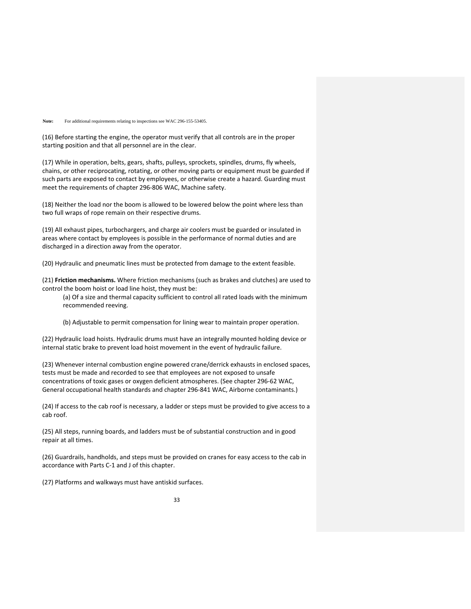#### Note: For additional requirements relating to inspections see WAC 296-155-53405.

(16) Before starting the engine, the operator must verify that all controls are in the proper starting position and that all personnel are in the clear.

(17) While in operation, belts, gears, shafts, pulleys, sprockets, spindles, drums, fly wheels, chains, or other reciprocating, rotating, or other moving parts or equipment must be guarded if such parts are exposed to contact by employees, or otherwise create a hazard. Guarding must meet the requirements of chapter 296‐806 WAC, Machine safety.

(18) Neither the load nor the boom is allowed to be lowered below the point where less than two full wraps of rope remain on their respective drums.

(19) All exhaust pipes, turbochargers, and charge air coolers must be guarded or insulated in areas where contact by employees is possible in the performance of normal duties and are discharged in a direction away from the operator.

(20) Hydraulic and pneumatic lines must be protected from damage to the extent feasible.

(21) **Friction mechanisms.** Where friction mechanisms (such as brakes and clutches) are used to control the boom hoist or load line hoist, they must be:

(a) Of a size and thermal capacity sufficient to control all rated loads with the minimum recommended reeving.

(b) Adjustable to permit compensation for lining wear to maintain proper operation.

(22) Hydraulic load hoists. Hydraulic drums must have an integrally mounted holding device or internal static brake to prevent load hoist movement in the event of hydraulic failure.

(23) Whenever internal combustion engine powered crane/derrick exhausts in enclosed spaces, tests must be made and recorded to see that employees are not exposed to unsafe concentrations of toxic gases or oxygen deficient atmospheres. (See chapter 296‐62 WAC, General occupational health standards and chapter 296‐841 WAC, Airborne contaminants.)

(24) If access to the cab roof is necessary, a ladder or steps must be provided to give access to a cab roof.

(25) All steps, running boards, and ladders must be of substantial construction and in good repair at all times.

(26) Guardrails, handholds, and steps must be provided on cranes for easy access to the cab in accordance with Parts C‐1 and J of this chapter.

(27) Platforms and walkways must have antiskid surfaces.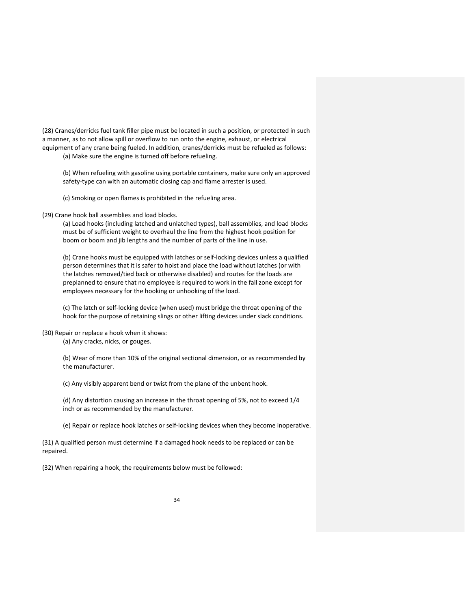(28) Cranes/derricks fuel tank filler pipe must be located in such a position, or protected in such a manner, as to not allow spill or overflow to run onto the engine, exhaust, or electrical equipment of any crane being fueled. In addition, cranes/derricks must be refueled as follows:

(a) Make sure the engine is turned off before refueling.

(b) When refueling with gasoline using portable containers, make sure only an approved safety-type can with an automatic closing cap and flame arrester is used.

(c) Smoking or open flames is prohibited in the refueling area.

(29) Crane hook ball assemblies and load blocks.

(a) Load hooks (including latched and unlatched types), ball assemblies, and load blocks must be of sufficient weight to overhaul the line from the highest hook position for boom or boom and jib lengths and the number of parts of the line in use.

(b) Crane hooks must be equipped with latches or self‐locking devices unless a qualified person determines that it is safer to hoist and place the load without latches (or with the latches removed/tied back or otherwise disabled) and routes for the loads are preplanned to ensure that no employee is required to work in the fall zone except for employees necessary for the hooking or unhooking of the load.

(c) The latch or self‐locking device (when used) must bridge the throat opening of the hook for the purpose of retaining slings or other lifting devices under slack conditions.

(30) Repair or replace a hook when it shows:

(a) Any cracks, nicks, or gouges.

(b) Wear of more than 10% of the original sectional dimension, or as recommended by the manufacturer.

(c) Any visibly apparent bend or twist from the plane of the unbent hook.

(d) Any distortion causing an increase in the throat opening of 5%, not to exceed 1/4 inch or as recommended by the manufacturer.

(e) Repair or replace hook latches or self‐locking devices when they become inoperative.

(31) A qualified person must determine if a damaged hook needs to be replaced or can be repaired.

(32) When repairing a hook, the requirements below must be followed: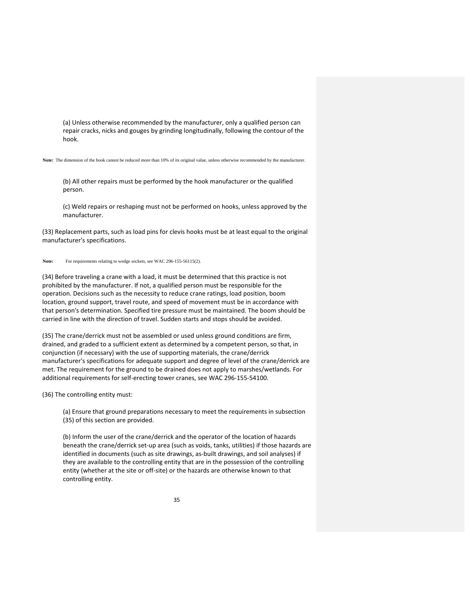(a) Unless otherwise recommended by the manufacturer, only a qualified person can repair cracks, nicks and gouges by grinding longitudinally, following the contour of the hook.

**Note:** The dimension of the hook cannot be reduced more than 10% of its original value, unless otherwise recommended by the manufacturer.

(b) All other repairs must be performed by the hook manufacturer or the qualified person.

(c) Weld repairs or reshaping must not be performed on hooks, unless approved by the manufacturer.

(33) Replacement parts, such as load pins for clevis hooks must be at least equal to the original manufacturer's specifications.

#### Note: For requirements relating to wedge sockets, see WAC 296-155-56115(2).

(34) Before traveling a crane with a load, it must be determined that this practice is not prohibited by the manufacturer. If not, a qualified person must be responsible for the operation. Decisions such as the necessity to reduce crane ratings, load position, boom location, ground support, travel route, and speed of movement must be in accordance with that person's determination. Specified tire pressure must be maintained. The boom should be carried in line with the direction of travel. Sudden starts and stops should be avoided.

(35) The crane/derrick must not be assembled or used unless ground conditions are firm, drained, and graded to a sufficient extent as determined by a competent person, so that, in conjunction (if necessary) with the use of supporting materials, the crane/derrick manufacturer's specifications for adequate support and degree of level of the crane/derrick are met. The requirement for the ground to be drained does not apply to marshes/wetlands. For additional requirements for self‐erecting tower cranes, see WAC 296‐155‐54100.

(36) The controlling entity must:

(a) Ensure that ground preparations necessary to meet the requirements in subsection (35) of this section are provided.

(b) Inform the user of the crane/derrick and the operator of the location of hazards beneath the crane/derrick set‐up area (such as voids, tanks, utilities) if those hazards are identified in documents (such as site drawings, as-built drawings, and soil analyses) if they are available to the controlling entity that are in the possession of the controlling entity (whether at the site or off‐site) or the hazards are otherwise known to that controlling entity.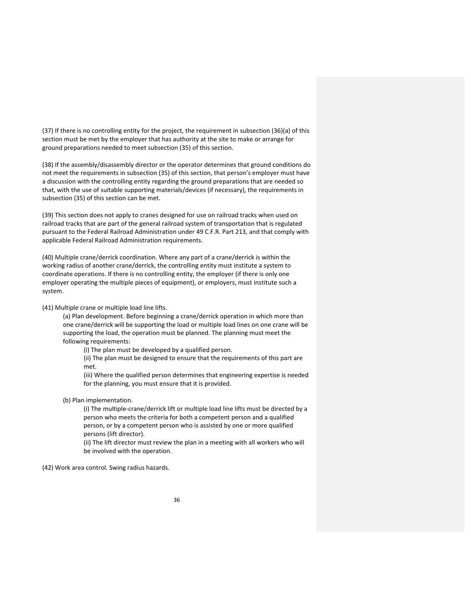(37) If there is no controlling entity for the project, the requirement in subsection (36)(a) of this section must be met by the employer that has authority at the site to make or arrange for ground preparations needed to meet subsection (35) of this section.

(38) If the assembly/disassembly director or the operator determines that ground conditions do not meet the requirements in subsection (35) of this section, that person's employer must have a discussion with the controlling entity regarding the ground preparations that are needed so that, with the use of suitable supporting materials/devices (if necessary), the requirements in subsection (35) of this section can be met.

(39) This section does not apply to cranes designed for use on railroad tracks when used on railroad tracks that are part of the general railroad system of transportation that is regulated pursuant to the Federal Railroad Administration under 49 C.F.R. Part 213, and that comply with applicable Federal Railroad Administration requirements.

(40) Multiple crane/derrick coordination. Where any part of a crane/derrick is within the working radius of another crane/derrick, the controlling entity must institute a system to coordinate operations. If there is no controlling entity, the employer (if there is only one employer operating the multiple pieces of equipment), or employers, must institute such a system.

(41) Multiple crane or multiple load line lifts.

(a) Plan development. Before beginning a crane/derrick operation in which more than one crane/derrick will be supporting the load or multiple load lines on one crane will be supporting the load, the operation must be planned. The planning must meet the following requirements:

(i) The plan must be developed by a qualified person.

(ii) The plan must be designed to ensure that the requirements of this part are met.

(iii) Where the qualified person determines that engineering expertise is needed for the planning, you must ensure that it is provided.

(b) Plan implementation.

(i) The multiple‐crane/derrick lift or multiple load line lifts must be directed by a person who meets the criteria for both a competent person and a qualified person, or by a competent person who is assisted by one or more qualified persons (lift director).

(ii) The lift director must review the plan in a meeting with all workers who will be involved with the operation.

(42) Work area control. Swing radius hazards.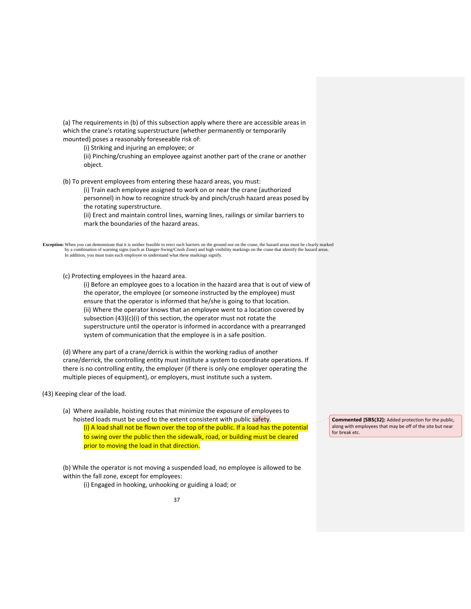(a) The requirements in (b) of this subsection apply where there are accessible areas in which the crane's rotating superstructure (whether permanently or temporarily mounted) poses a reasonably foreseeable risk of:

(i) Striking and injuring an employee; or

(ii) Pinching/crushing an employee against another part of the crane or another object.

(b) To prevent employees from entering these hazard areas, you must:

(i) Train each employee assigned to work on or near the crane (authorized personnel) in how to recognize struck‐by and pinch/crush hazard areas posed by the rotating superstructure.

(ii) Erect and maintain control lines, warning lines, railings or similar barriers to mark the boundaries of the hazard areas.

Exception: When you can demonstrate that it is neither feasible to erect such barriers on the ground nor on the crane, the hazard areas must be clearly marked<br>by a combination of warning signs (such as Danger-Swing/Crush Z In addition, you must train each employee to understand what these markings signify.

(c) Protecting employees in the hazard area.

(i) Before an employee goes to a location in the hazard area that is out of view of the operator, the employee (or someone instructed by the employee) must ensure that the operator is informed that he/she is going to that location. (ii) Where the operator knows that an employee went to a location covered by subsection (43)(c)(i) of this section, the operator must not rotate the superstructure until the operator is informed in accordance with a prearranged system of communication that the employee is in a safe position.

(d) Where any part of a crane/derrick is within the working radius of another crane/derrick, the controlling entity must institute a system to coordinate operations. If there is no controlling entity, the employer (if there is only one employer operating the multiple pieces of equipment), or employers, must institute such a system.

(43) Keeping clear of the load.

(a) Where available, hoisting routes that minimize the exposure of employees to hoisted loads must be used to the extent consistent with public safety. (i) A load shall not be flown over the top of the public. If a load has the potential to swing over the public then the sidewalk, road, or building must be cleared prior to moving the load in that direction.

(b) While the operator is not moving a suspended load, no employee is allowed to be within the fall zone, except for employees:

(i) Engaged in hooking, unhooking or guiding a load; or

**Commented [SBS(32]:** Added protection for the public, along with employees that may be off of the site but near for break etc.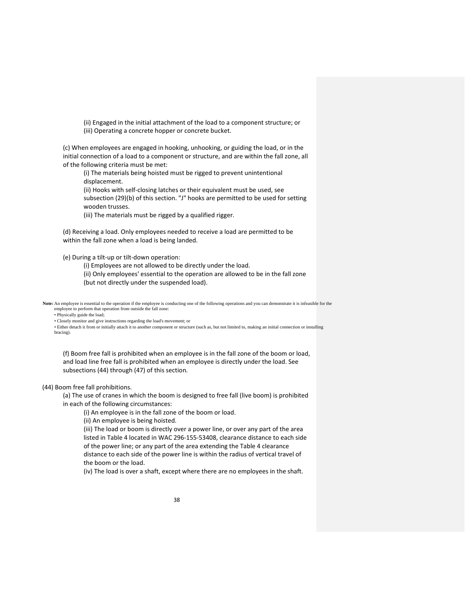(ii) Engaged in the initial attachment of the load to a component structure; or (iii) Operating a concrete hopper or concrete bucket.

(c) When employees are engaged in hooking, unhooking, or guiding the load, or in the initial connection of a load to a component or structure, and are within the fall zone, all of the following criteria must be met:

(i) The materials being hoisted must be rigged to prevent unintentional displacement.

(ii) Hooks with self‐closing latches or their equivalent must be used, see

subsection (29)(b) of this section. "J" hooks are permitted to be used for setting wooden trusses.

(iii) The materials must be rigged by a qualified rigger.

(d) Receiving a load. Only employees needed to receive a load are permitted to be within the fall zone when a load is being landed.

(e) During a tilt‐up or tilt‐down operation:

(i) Employees are not allowed to be directly under the load.

(ii) Only employees' essential to the operation are allowed to be in the fall zone (but not directly under the suspended load).

Note: An employee is essential to the operation if the employee is conducting one of the following operations and you can demonstrate it is infeasible for the employee to perform that operation from outside the fall zone:

• Physically guide the load;

• Closely monitor and give instructions regarding the load's movement; or

 • Either detach it from or initially attach it to another component or structure (such as, but not limited to, making an initial connection or installing bracing).

(f) Boom free fall is prohibited when an employee is in the fall zone of the boom or load, and load line free fall is prohibited when an employee is directly under the load. See subsections (44) through (47) of this section.

(44) Boom free fall prohibitions.

(a) The use of cranes in which the boom is designed to free fall (live boom) is prohibited in each of the following circumstances:

(i) An employee is in the fall zone of the boom or load.

(ii) An employee is being hoisted.

(iii) The load or boom is directly over a power line, or over any part of the area listed in Table 4 located in WAC 296‐155‐53408, clearance distance to each side of the power line; or any part of the area extending the Table 4 clearance distance to each side of the power line is within the radius of vertical travel of the boom or the load.

(iv) The load is over a shaft, except where there are no employees in the shaft.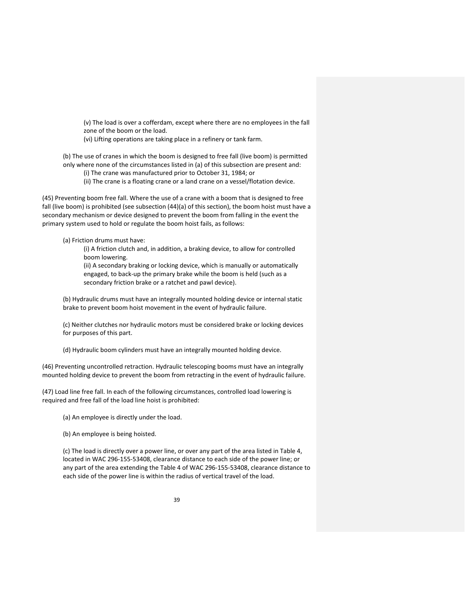(v) The load is over a cofferdam, except where there are no employees in the fall zone of the boom or the load.

(vi) Lifting operations are taking place in a refinery or tank farm.

(b) The use of cranes in which the boom is designed to free fall (live boom) is permitted only where none of the circumstances listed in (a) of this subsection are present and:

(i) The crane was manufactured prior to October 31, 1984; or

(ii) The crane is a floating crane or a land crane on a vessel/flotation device.

(45) Preventing boom free fall. Where the use of a crane with a boom that is designed to free fall (live boom) is prohibited (see subsection (44)(a) of this section), the boom hoist must have a secondary mechanism or device designed to prevent the boom from falling in the event the primary system used to hold or regulate the boom hoist fails, as follows:

(a) Friction drums must have:

(i) A friction clutch and, in addition, a braking device, to allow for controlled boom lowering.

(ii) A secondary braking or locking device, which is manually or automatically engaged, to back‐up the primary brake while the boom is held (such as a secondary friction brake or a ratchet and pawl device).

(b) Hydraulic drums must have an integrally mounted holding device or internal static brake to prevent boom hoist movement in the event of hydraulic failure.

(c) Neither clutches nor hydraulic motors must be considered brake or locking devices for purposes of this part.

(d) Hydraulic boom cylinders must have an integrally mounted holding device.

(46) Preventing uncontrolled retraction. Hydraulic telescoping booms must have an integrally mounted holding device to prevent the boom from retracting in the event of hydraulic failure.

(47) Load line free fall. In each of the following circumstances, controlled load lowering is required and free fall of the load line hoist is prohibited:

(a) An employee is directly under the load.

(b) An employee is being hoisted.

(c) The load is directly over a power line, or over any part of the area listed in Table 4, located in WAC 296‐155‐53408, clearance distance to each side of the power line; or any part of the area extending the Table 4 of WAC 296‐155‐53408, clearance distance to each side of the power line is within the radius of vertical travel of the load.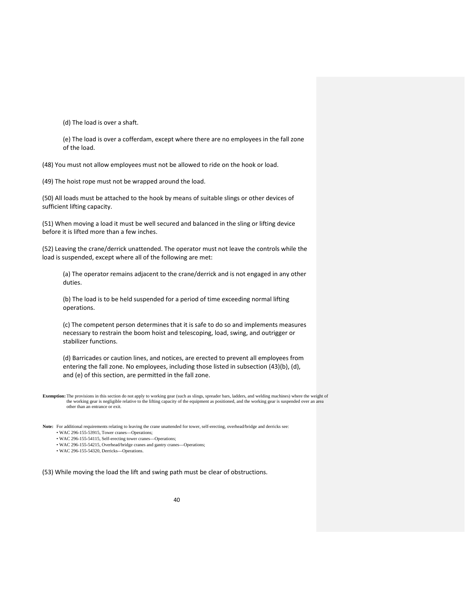(d) The load is over a shaft.

(e) The load is over a cofferdam, except where there are no employees in the fall zone of the load.

(48) You must not allow employees must not be allowed to ride on the hook or load.

(49) The hoist rope must not be wrapped around the load.

(50) All loads must be attached to the hook by means of suitable slings or other devices of sufficient lifting capacity.

(51) When moving a load it must be well secured and balanced in the sling or lifting device before it is lifted more than a few inches.

(52) Leaving the crane/derrick unattended. The operator must not leave the controls while the load is suspended, except where all of the following are met:

(a) The operator remains adjacent to the crane/derrick and is not engaged in any other duties.

(b) The load is to be held suspended for a period of time exceeding normal lifting operations.

(c) The competent person determines that it is safe to do so and implements measures necessary to restrain the boom hoist and telescoping, load, swing, and outrigger or stabilizer functions.

(d) Barricades or caution lines, and notices, are erected to prevent all employees from entering the fall zone. No employees, including those listed in subsection (43)(b), (d), and (e) of this section, are permitted in the fall zone.

**Exemption:** The provisions in this section do not apply to working gear (such as slings, spreader bars, ladders, and welding machines) where the weight of the working gear is negligible relative to the lifting capacity of the equipment as positioned, and the working gear is suspended over an area other than an entrance or exit.

**Note:** For additional requirements relating to leaving the crane unattended for tower, self-erecting, overhead/bridge and derricks see: • WAC 296-155-53915, Tower cranes—Operations;

• WAC 296-155-54115, Self-erecting tower cranes—Operations;

• WAC 296-155-54215, Overhead/bridge cranes and gantry cranes—Operations;

• WAC 296-155-54320, Derricks—Operations.

(53) While moving the load the lift and swing path must be clear of obstructions.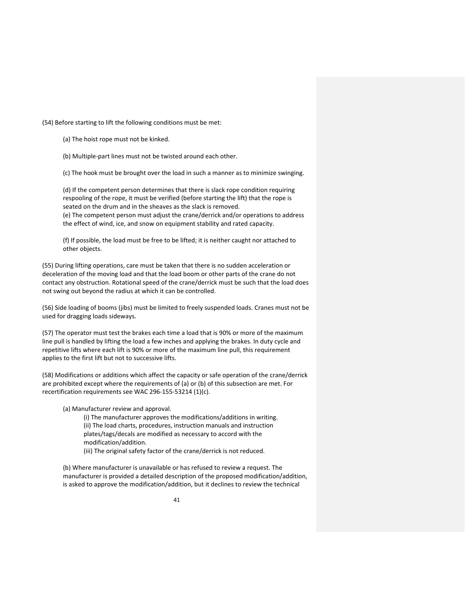(54) Before starting to lift the following conditions must be met:

(a) The hoist rope must not be kinked.

(b) Multiple‐part lines must not be twisted around each other.

(c) The hook must be brought over the load in such a manner as to minimize swinging.

(d) If the competent person determines that there is slack rope condition requiring respooling of the rope, it must be verified (before starting the lift) that the rope is seated on the drum and in the sheaves as the slack is removed. (e) The competent person must adjust the crane/derrick and/or operations to address the effect of wind, ice, and snow on equipment stability and rated capacity.

(f) If possible, the load must be free to be lifted; it is neither caught nor attached to other objects.

(55) During lifting operations, care must be taken that there is no sudden acceleration or deceleration of the moving load and that the load boom or other parts of the crane do not contact any obstruction. Rotational speed of the crane/derrick must be such that the load does not swing out beyond the radius at which it can be controlled.

(56) Side loading of booms (jibs) must be limited to freely suspended loads. Cranes must not be used for dragging loads sideways.

(57) The operator must test the brakes each time a load that is 90% or more of the maximum line pull is handled by lifting the load a few inches and applying the brakes. In duty cycle and repetitive lifts where each lift is 90% or more of the maximum line pull, this requirement applies to the first lift but not to successive lifts.

(58) Modifications or additions which affect the capacity or safe operation of the crane/derrick are prohibited except where the requirements of (a) or (b) of this subsection are met. For recertification requirements see WAC 296‐155‐53214 (1)(c).

(a) Manufacturer review and approval.

(i) The manufacturer approves the modifications/additions in writing. (ii) The load charts, procedures, instruction manuals and instruction plates/tags/decals are modified as necessary to accord with the modification/addition.

(iii) The original safety factor of the crane/derrick is not reduced.

(b) Where manufacturer is unavailable or has refused to review a request. The manufacturer is provided a detailed description of the proposed modification/addition, is asked to approve the modification/addition, but it declines to review the technical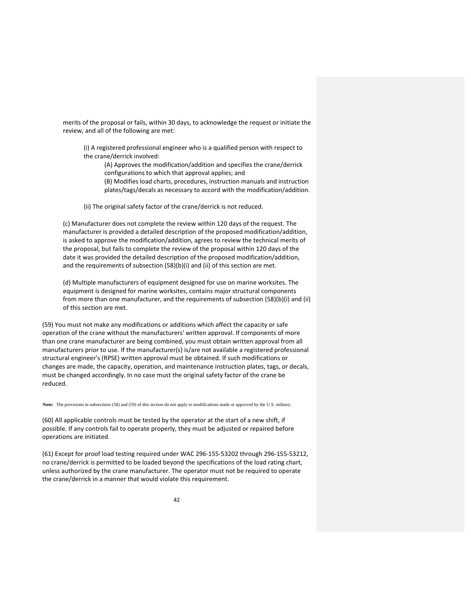merits of the proposal or fails, within 30 days, to acknowledge the request or initiate the review, and all of the following are met:

(i) A registered professional engineer who is a qualified person with respect to the crane/derrick involved:

(A) Approves the modification/addition and specifies the crane/derrick configurations to which that approval applies; and

(B) Modifies load charts, procedures, instruction manuals and instruction plates/tags/decals as necessary to accord with the modification/addition.

(ii) The original safety factor of the crane/derrick is not reduced.

(c) Manufacturer does not complete the review within 120 days of the request. The manufacturer is provided a detailed description of the proposed modification/addition, is asked to approve the modification/addition, agrees to review the technical merits of the proposal, but fails to complete the review of the proposal within 120 days of the date it was provided the detailed description of the proposed modification/addition, and the requirements of subsection (58)(b)(i) and (ii) of this section are met.

(d) Multiple manufacturers of equipment designed for use on marine worksites. The equipment is designed for marine worksites, contains major structural components from more than one manufacturer, and the requirements of subsection (58)(b)(i) and (ii) of this section are met.

(59) You must not make any modifications or additions which affect the capacity or safe operation of the crane without the manufacturers' written approval. If components of more than one crane manufacturer are being combined, you must obtain written approval from all manufacturers prior to use. If the manufacturer(s) is/are not available a registered professional structural engineer's (RPSE) written approval must be obtained. If such modifications or changes are made, the capacity, operation, and maintenance instruction plates, tags, or decals, must be changed accordingly. In no case must the original safety factor of the crane be reduced.

**Note:** The provisions in subsections (58) and (59) of this section do not apply to modifications made or approved by the U.S. military.

(60) All applicable controls must be tested by the operator at the start of a new shift, if possible. If any controls fail to operate properly, they must be adjusted or repaired before operations are initiated.

(61) Except for proof load testing required under WAC 296‐155‐53202 through 296‐155‐53212, no crane/derrick is permitted to be loaded beyond the specifications of the load rating chart, unless authorized by the crane manufacturer. The operator must not be required to operate the crane/derrick in a manner that would violate this requirement.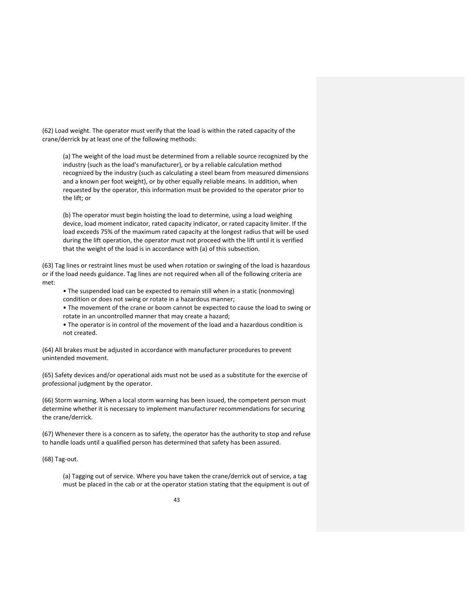(62) Load weight. The operator must verify that the load is within the rated capacity of the crane/derrick by at least one of the following methods:

(a) The weight of the load must be determined from a reliable source recognized by the industry (such as the load's manufacturer), or by a reliable calculation method recognized by the industry (such as calculating a steel beam from measured dimensions and a known per foot weight), or by other equally reliable means. In addition, when requested by the operator, this information must be provided to the operator prior to the lift; or

(b) The operator must begin hoisting the load to determine, using a load weighing device, load moment indicator, rated capacity indicator, or rated capacity limiter. If the load exceeds 75% of the maximum rated capacity at the longest radius that will be used during the lift operation, the operator must not proceed with the lift until it is verified that the weight of the load is in accordance with (a) of this subsection.

(63) Tag lines or restraint lines must be used when rotation or swinging of the load is hazardous or if the load needs guidance. Tag lines are not required when all of the following criteria are met:

- The suspended load can be expected to remain still when in a static (nonmoving) condition or does not swing or rotate in a hazardous manner;
- The movement of the crane or boom cannot be expected to cause the load to swing or rotate in an uncontrolled manner that may create a hazard;
- The operator is in control of the movement of the load and a hazardous condition is not created.

(64) All brakes must be adjusted in accordance with manufacturer procedures to prevent unintended movement.

(65) Safety devices and/or operational aids must not be used as a substitute for the exercise of professional judgment by the operator.

(66) Storm warning. When a local storm warning has been issued, the competent person must determine whether it is necessary to implement manufacturer recommendations for securing the crane/derrick.

(67) Whenever there is a concern as to safety, the operator has the authority to stop and refuse to handle loads until a qualified person has determined that safety has been assured.

(68) Tag‐out.

(a) Tagging out of service. Where you have taken the crane/derrick out of service, a tag must be placed in the cab or at the operator station stating that the equipment is out of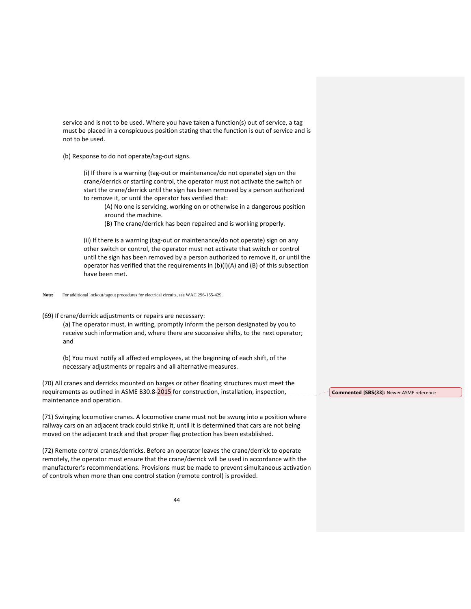service and is not to be used. Where you have taken a function(s) out of service, a tag must be placed in a conspicuous position stating that the function is out of service and is not to be used.

(b) Response to do not operate/tag‐out signs.

(i) If there is a warning (tag‐out or maintenance/do not operate) sign on the crane/derrick or starting control, the operator must not activate the switch or start the crane/derrick until the sign has been removed by a person authorized to remove it, or until the operator has verified that:

(A) No one is servicing, working on or otherwise in a dangerous position around the machine.

(B) The crane/derrick has been repaired and is working properly.

(ii) If there is a warning (tag‐out or maintenance/do not operate) sign on any other switch or control, the operator must not activate that switch or control until the sign has been removed by a person authorized to remove it, or until the operator has verified that the requirements in (b)(i)(A) and (B) of this subsection have been met.

#### **Note:** For additional lockout/tagout procedures for electrical circuits, see WAC 296-155-429.

(69) If crane/derrick adjustments or repairs are necessary:

(a) The operator must, in writing, promptly inform the person designated by you to receive such information and, where there are successive shifts, to the next operator; and

(b) You must notify all affected employees, at the beginning of each shift, of the necessary adjustments or repairs and all alternative measures.

(70) All cranes and derricks mounted on barges or other floating structures must meet the requirements as outlined in ASME B30.8-2015 for construction, installation, inspection, maintenance and operation.

(71) Swinging locomotive cranes. A locomotive crane must not be swung into a position where railway cars on an adjacent track could strike it, until it is determined that cars are not being moved on the adjacent track and that proper flag protection has been established.

(72) Remote control cranes/derricks. Before an operator leaves the crane/derrick to operate remotely, the operator must ensure that the crane/derrick will be used in accordance with the manufacturer's recommendations. Provisions must be made to prevent simultaneous activation of controls when more than one control station (remote control) is provided.

**Commented [SBS(33]:** Newer ASME reference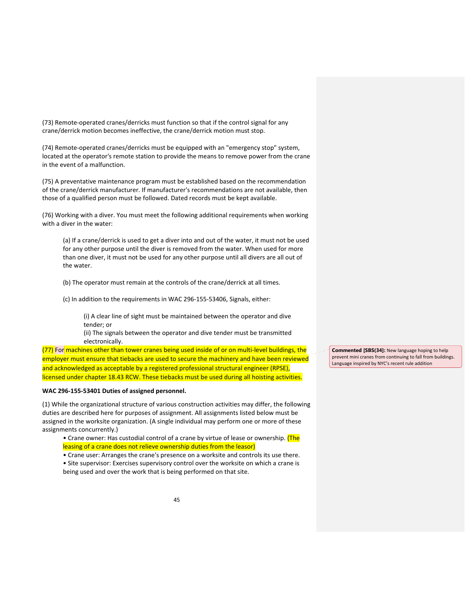(73) Remote‐operated cranes/derricks must function so that if the control signal for any crane/derrick motion becomes ineffective, the crane/derrick motion must stop.

(74) Remote-operated cranes/derricks must be equipped with an "emergency stop" system, located at the operator's remote station to provide the means to remove power from the crane in the event of a malfunction.

(75) A preventative maintenance program must be established based on the recommendation of the crane/derrick manufacturer. If manufacturer's recommendations are not available, then those of a qualified person must be followed. Dated records must be kept available.

(76) Working with a diver. You must meet the following additional requirements when working with a diver in the water:

(a) If a crane/derrick is used to get a diver into and out of the water, it must not be used for any other purpose until the diver is removed from the water. When used for more than one diver, it must not be used for any other purpose until all divers are all out of the water.

(b) The operator must remain at the controls of the crane/derrick at all times.

(c) In addition to the requirements in WAC 296‐155‐53406, Signals, either:

(i) A clear line of sight must be maintained between the operator and dive tender; or

(ii) The signals between the operator and dive tender must be transmitted electronically.

(77) For machines other than tower cranes being used inside of or on multi-level buildings, the employer must ensure that tiebacks are used to secure the machinery and have been reviewed and acknowledged as acceptable by a registered professional structural engineer (RPSE), licensed under chapter 18.43 RCW. These tiebacks must be used during all hoisting activities.

# **WAC 296‐155‐53401 Duties of assigned personnel.**

(1) While the organizational structure of various construction activities may differ, the following duties are described here for purposes of assignment. All assignments listed below must be assigned in the worksite organization. (A single individual may perform one or more of these assignments concurrently.)

- Crane owner: Has custodial control of a crane by virtue of lease or ownership. (The leasing of a crane does not relieve ownership duties from the leasor)
- Crane user: Arranges the crane's presence on a worksite and controls its use there.

• Site supervisor: Exercises supervisory control over the worksite on which a crane is being used and over the work that is being performed on that site.

**Commented [SBS(34]:** New language hoping to help prevent mini cranes from continuing to fall from buildings. Language inspired by NYC's recent rule addition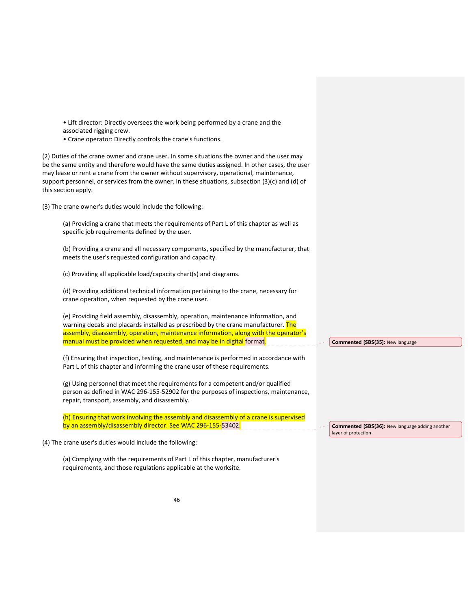• Lift director: Directly oversees the work being performed by a crane and the associated rigging crew. • Crane operator: Directly controls the crane's functions. (2) Duties of the crane owner and crane user. In some situations the owner and the user may be the same entity and therefore would have the same duties assigned. In other cases, the user may lease or rent a crane from the owner without supervisory, operational, maintenance, support personnel, or services from the owner. In these situations, subsection (3)(c) and (d) of this section apply. (3) The crane owner's duties would include the following: (a) Providing a crane that meets the requirements of Part L of this chapter as well as specific job requirements defined by the user. (b) Providing a crane and all necessary components, specified by the manufacturer, that meets the user's requested configuration and capacity. (c) Providing all applicable load/capacity chart(s) and diagrams. (d) Providing additional technical information pertaining to the crane, necessary for crane operation, when requested by the crane user. (e) Providing field assembly, disassembly, operation, maintenance information, and warning decals and placards installed as prescribed by the crane manufacturer. The assembly, disassembly, operation, maintenance information, along with the operator's manual must be provided when requested, and may be in digital format. (f) Ensuring that inspection, testing, and maintenance is performed in accordance with Part L of this chapter and informing the crane user of these requirements. (g) Using personnel that meet the requirements for a competent and/or qualified person as defined in WAC 296‐155‐52902 for the purposes of inspections, maintenance, repair, transport, assembly, and disassembly. (h) Ensuring that work involving the assembly and disassembly of a crane is supervised by an assembly/disassembly director. See WAC 296-155-53402. (4) The crane user's duties would include the following: **Commented [SBS(35]:** New language **Commented [SBS(36]:** New language adding another layer of protection

(a) Complying with the requirements of Part L of this chapter, manufacturer's requirements, and those regulations applicable at the worksite.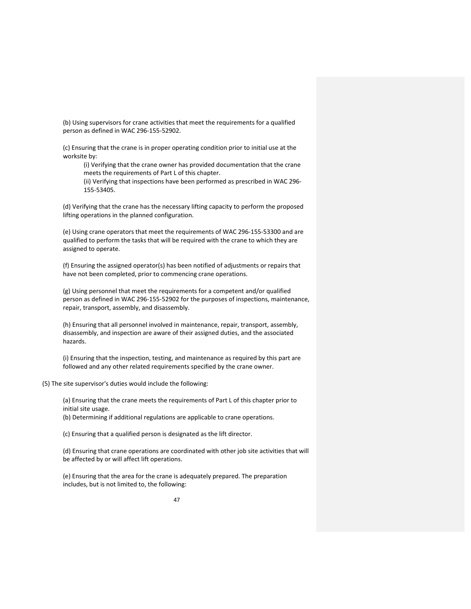(b) Using supervisors for crane activities that meet the requirements for a qualified person as defined in WAC 296‐155‐52902.

(c) Ensuring that the crane is in proper operating condition prior to initial use at the worksite by:

(i) Verifying that the crane owner has provided documentation that the crane meets the requirements of Part L of this chapter.

(ii) Verifying that inspections have been performed as prescribed in WAC 296‐ 155‐53405.

(d) Verifying that the crane has the necessary lifting capacity to perform the proposed lifting operations in the planned configuration.

(e) Using crane operators that meet the requirements of WAC 296‐155‐53300 and are qualified to perform the tasks that will be required with the crane to which they are assigned to operate.

(f) Ensuring the assigned operator(s) has been notified of adjustments or repairs that have not been completed, prior to commencing crane operations.

(g) Using personnel that meet the requirements for a competent and/or qualified person as defined in WAC 296‐155‐52902 for the purposes of inspections, maintenance, repair, transport, assembly, and disassembly.

(h) Ensuring that all personnel involved in maintenance, repair, transport, assembly, disassembly, and inspection are aware of their assigned duties, and the associated hazards.

(i) Ensuring that the inspection, testing, and maintenance as required by this part are followed and any other related requirements specified by the crane owner.

(5) The site supervisor's duties would include the following:

(a) Ensuring that the crane meets the requirements of Part L of this chapter prior to initial site usage. (b) Determining if additional regulations are applicable to crane operations.

(c) Ensuring that a qualified person is designated as the lift director.

(d) Ensuring that crane operations are coordinated with other job site activities that will be affected by or will affect lift operations.

(e) Ensuring that the area for the crane is adequately prepared. The preparation includes, but is not limited to, the following: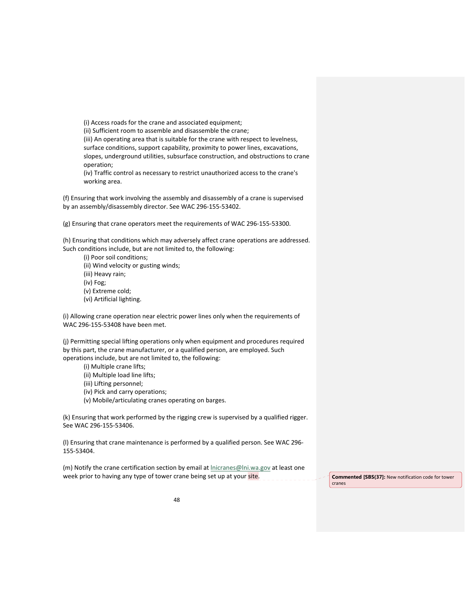(i) Access roads for the crane and associated equipment;

(ii) Sufficient room to assemble and disassemble the crane;

(iii) An operating area that is suitable for the crane with respect to levelness, surface conditions, support capability, proximity to power lines, excavations, slopes, underground utilities, subsurface construction, and obstructions to crane operation;

(iv) Traffic control as necessary to restrict unauthorized access to the crane's working area.

(f) Ensuring that work involving the assembly and disassembly of a crane is supervised by an assembly/disassembly director. See WAC 296‐155‐53402.

(g) Ensuring that crane operators meet the requirements of WAC 296‐155‐53300.

(h) Ensuring that conditions which may adversely affect crane operations are addressed. Such conditions include, but are not limited to, the following:

(i) Poor soil conditions; (ii) Wind velocity or gusting winds; (iii) Heavy rain; (iv) Fog;

(v) Extreme cold;

(vi) Artificial lighting.

(i) Allowing crane operation near electric power lines only when the requirements of WAC 296‐155‐53408 have been met.

(j) Permitting special lifting operations only when equipment and procedures required by this part, the crane manufacturer, or a qualified person, are employed. Such operations include, but are not limited to, the following:

(i) Multiple crane lifts;

(ii) Multiple load line lifts;

(iii) Lifting personnel;

(iv) Pick and carry operations;

(v) Mobile/articulating cranes operating on barges.

(k) Ensuring that work performed by the rigging crew is supervised by a qualified rigger. See WAC 296‐155‐53406.

(l) Ensuring that crane maintenance is performed by a qualified person. See WAC 296‐ 155‐53404.

(m) Notify the crane certification section by email at **Inicranes@lni.wa.gov** at least one week prior to having any type of tower crane being set up at your site. **Commented [SBS(37]:** New notification code for tower

cranes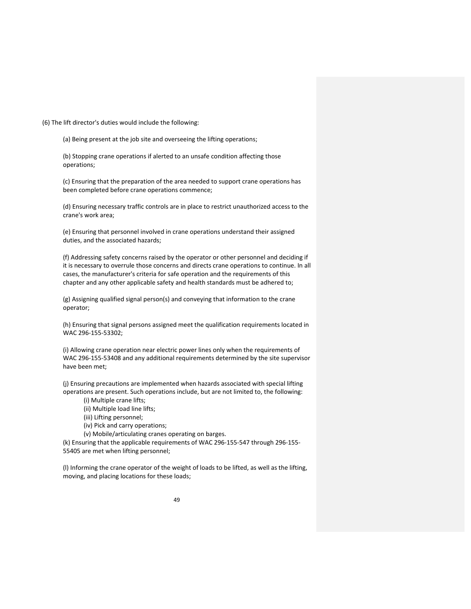(6) The lift director's duties would include the following:

(a) Being present at the job site and overseeing the lifting operations;

(b) Stopping crane operations if alerted to an unsafe condition affecting those operations;

(c) Ensuring that the preparation of the area needed to support crane operations has been completed before crane operations commence;

(d) Ensuring necessary traffic controls are in place to restrict unauthorized access to the crane's work area;

(e) Ensuring that personnel involved in crane operations understand their assigned duties, and the associated hazards;

(f) Addressing safety concerns raised by the operator or other personnel and deciding if it is necessary to overrule those concerns and directs crane operations to continue. In all cases, the manufacturer's criteria for safe operation and the requirements of this chapter and any other applicable safety and health standards must be adhered to;

(g) Assigning qualified signal person(s) and conveying that information to the crane operator;

(h) Ensuring that signal persons assigned meet the qualification requirements located in WAC 296‐155‐53302;

(i) Allowing crane operation near electric power lines only when the requirements of WAC 296‐155‐53408 and any additional requirements determined by the site supervisor have been met;

(j) Ensuring precautions are implemented when hazards associated with special lifting operations are present. Such operations include, but are not limited to, the following:

(i) Multiple crane lifts;

- (ii) Multiple load line lifts;
- (iii) Lifting personnel;

(iv) Pick and carry operations;

(v) Mobile/articulating cranes operating on barges.

(k) Ensuring that the applicable requirements of WAC 296‐155‐547 through 296‐155‐ 55405 are met when lifting personnel;

(l) Informing the crane operator of the weight of loads to be lifted, as well as the lifting, moving, and placing locations for these loads;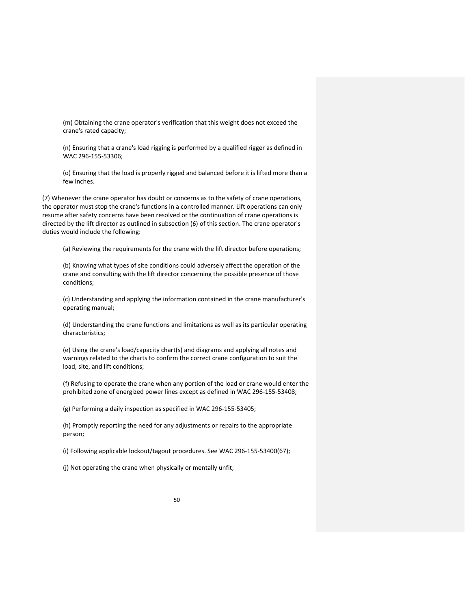(m) Obtaining the crane operator's verification that this weight does not exceed the crane's rated capacity;

(n) Ensuring that a crane's load rigging is performed by a qualified rigger as defined in WAC 296‐155‐53306;

(o) Ensuring that the load is properly rigged and balanced before it is lifted more than a few inches.

(7) Whenever the crane operator has doubt or concerns as to the safety of crane operations, the operator must stop the crane's functions in a controlled manner. Lift operations can only resume after safety concerns have been resolved or the continuation of crane operations is directed by the lift director as outlined in subsection (6) of this section. The crane operator's duties would include the following:

(a) Reviewing the requirements for the crane with the lift director before operations;

(b) Knowing what types of site conditions could adversely affect the operation of the crane and consulting with the lift director concerning the possible presence of those conditions;

(c) Understanding and applying the information contained in the crane manufacturer's operating manual;

(d) Understanding the crane functions and limitations as well as its particular operating characteristics;

(e) Using the crane's load/capacity chart(s) and diagrams and applying all notes and warnings related to the charts to confirm the correct crane configuration to suit the load, site, and lift conditions;

(f) Refusing to operate the crane when any portion of the load or crane would enter the prohibited zone of energized power lines except as defined in WAC 296‐155‐53408;

(g) Performing a daily inspection as specified in WAC 296‐155‐53405;

(h) Promptly reporting the need for any adjustments or repairs to the appropriate person;

(i) Following applicable lockout/tagout procedures. See WAC 296‐155‐53400(67);

(j) Not operating the crane when physically or mentally unfit;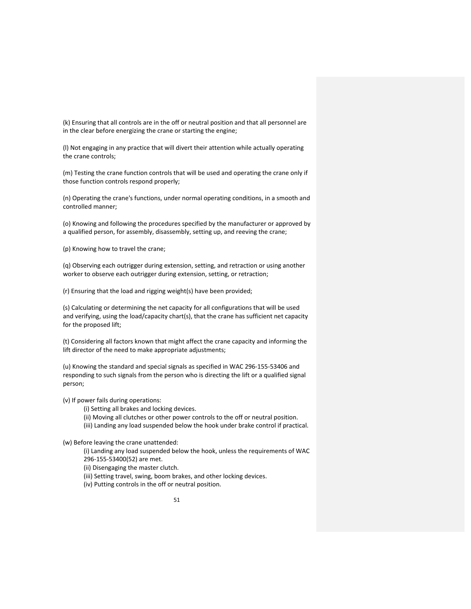(k) Ensuring that all controls are in the off or neutral position and that all personnel are in the clear before energizing the crane or starting the engine;

(l) Not engaging in any practice that will divert their attention while actually operating the crane controls;

(m) Testing the crane function controls that will be used and operating the crane only if those function controls respond properly;

(n) Operating the crane's functions, under normal operating conditions, in a smooth and controlled manner;

(o) Knowing and following the procedures specified by the manufacturer or approved by a qualified person, for assembly, disassembly, setting up, and reeving the crane;

(p) Knowing how to travel the crane;

(q) Observing each outrigger during extension, setting, and retraction or using another worker to observe each outrigger during extension, setting, or retraction;

(r) Ensuring that the load and rigging weight(s) have been provided;

(s) Calculating or determining the net capacity for all configurations that will be used and verifying, using the load/capacity chart(s), that the crane has sufficient net capacity for the proposed lift;

(t) Considering all factors known that might affect the crane capacity and informing the lift director of the need to make appropriate adjustments;

(u) Knowing the standard and special signals as specified in WAC 296‐155‐53406 and responding to such signals from the person who is directing the lift or a qualified signal person;

(v) If power fails during operations:

(i) Setting all brakes and locking devices.

(ii) Moving all clutches or other power controls to the off or neutral position.

(iii) Landing any load suspended below the hook under brake control if practical.

(w) Before leaving the crane unattended:

(i) Landing any load suspended below the hook, unless the requirements of WAC 296‐155‐53400(52) are met.

(ii) Disengaging the master clutch.

(iii) Setting travel, swing, boom brakes, and other locking devices.

(iv) Putting controls in the off or neutral position.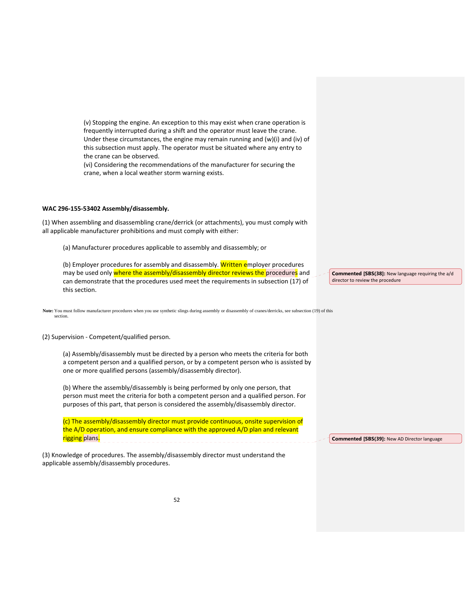(v) Stopping the engine. An exception to this may exist when crane operation is frequently interrupted during a shift and the operator must leave the crane. Under these circumstances, the engine may remain running and (w)(i) and (iv) of this subsection must apply. The operator must be situated where any entry to the crane can be observed.

(vi) Considering the recommendations of the manufacturer for securing the crane, when a local weather storm warning exists.

#### **WAC 296‐155‐53402 Assembly/disassembly.**

(1) When assembling and disassembling crane/derrick (or attachments), you must comply with all applicable manufacturer prohibitions and must comply with either:

(a) Manufacturer procedures applicable to assembly and disassembly; or

(b) Employer procedures for assembly and disassembly. Written employer procedures may be used only where the assembly/disassembly director reviews the procedures and can demonstrate that the procedures used meet the requirements in subsection (17) of this section.

Note: You must follow manufacturer procedures when you use synthetic slings during assembly or disassembly of cranes/derricks, see subsection (19) of this section.

(2) Supervision ‐ Competent/qualified person.

(a) Assembly/disassembly must be directed by a person who meets the criteria for both a competent person and a qualified person, or by a competent person who is assisted by one or more qualified persons (assembly/disassembly director).

(b) Where the assembly/disassembly is being performed by only one person, that person must meet the criteria for both a competent person and a qualified person. For purposes of this part, that person is considered the assembly/disassembly director.

(c) The assembly/disassembly director must provide continuous, onsite supervision of the A/D operation, and ensure compliance with the approved A/D plan and relevant rigging plans.

(3) Knowledge of procedures. The assembly/disassembly director must understand the applicable assembly/disassembly procedures.

**Commented [SBS(38]:** New language requiring the a/d director to review the procedure

**Commented [SBS(39]:** New AD Director language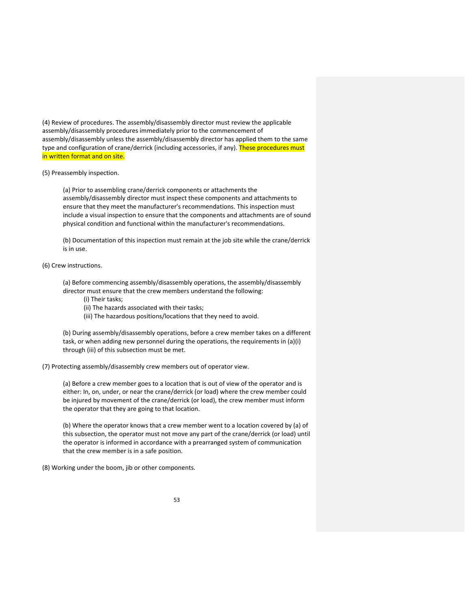(4) Review of procedures. The assembly/disassembly director must review the applicable assembly/disassembly procedures immediately prior to the commencement of assembly/disassembly unless the assembly/disassembly director has applied them to the same type and configuration of crane/derrick (including accessories, if any). These procedures must in written format and on site.

(5) Preassembly inspection.

(a) Prior to assembling crane/derrick components or attachments the assembly/disassembly director must inspect these components and attachments to ensure that they meet the manufacturer's recommendations. This inspection must include a visual inspection to ensure that the components and attachments are of sound physical condition and functional within the manufacturer's recommendations.

(b) Documentation of this inspection must remain at the job site while the crane/derrick is in use.

## (6) Crew instructions.

(a) Before commencing assembly/disassembly operations, the assembly/disassembly director must ensure that the crew members understand the following:

- (i) Their tasks;
- (ii) The hazards associated with their tasks;
- (iii) The hazardous positions/locations that they need to avoid.

(b) During assembly/disassembly operations, before a crew member takes on a different task, or when adding new personnel during the operations, the requirements in (a)(i) through (iii) of this subsection must be met.

(7) Protecting assembly/disassembly crew members out of operator view.

(a) Before a crew member goes to a location that is out of view of the operator and is either: In, on, under, or near the crane/derrick (or load) where the crew member could be injured by movement of the crane/derrick (or load), the crew member must inform the operator that they are going to that location.

(b) Where the operator knows that a crew member went to a location covered by (a) of this subsection, the operator must not move any part of the crane/derrick (or load) until the operator is informed in accordance with a prearranged system of communication that the crew member is in a safe position.

(8) Working under the boom, jib or other components.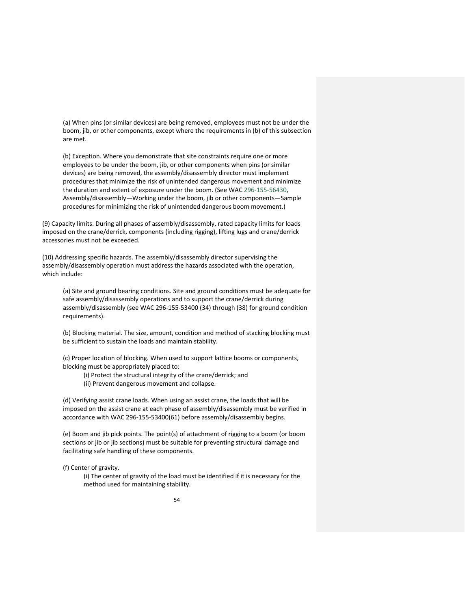(a) When pins (or similar devices) are being removed, employees must not be under the boom, jib, or other components, except where the requirements in (b) of this subsection are met.

(b) Exception. Where you demonstrate that site constraints require one or more employees to be under the boom, jib, or other components when pins (or similar devices) are being removed, the assembly/disassembly director must implement procedures that minimize the risk of unintended dangerous movement and minimize the duration and extent of exposure under the boom. (See WAC 296-155-56430, Assembly/disassembly—Working under the boom, jib or other components—Sample procedures for minimizing the risk of unintended dangerous boom movement.)

(9) Capacity limits. During all phases of assembly/disassembly, rated capacity limits for loads imposed on the crane/derrick, components (including rigging), lifting lugs and crane/derrick accessories must not be exceeded.

(10) Addressing specific hazards. The assembly/disassembly director supervising the assembly/disassembly operation must address the hazards associated with the operation, which include:

(a) Site and ground bearing conditions. Site and ground conditions must be adequate for safe assembly/disassembly operations and to support the crane/derrick during assembly/disassembly (see WAC 296‐155‐53400 (34) through (38) for ground condition requirements).

(b) Blocking material. The size, amount, condition and method of stacking blocking must be sufficient to sustain the loads and maintain stability.

(c) Proper location of blocking. When used to support lattice booms or components, blocking must be appropriately placed to:

- (i) Protect the structural integrity of the crane/derrick; and
- (ii) Prevent dangerous movement and collapse.

(d) Verifying assist crane loads. When using an assist crane, the loads that will be imposed on the assist crane at each phase of assembly/disassembly must be verified in accordance with WAC 296‐155‐53400(61) before assembly/disassembly begins.

(e) Boom and jib pick points. The point(s) of attachment of rigging to a boom (or boom sections or jib or jib sections) must be suitable for preventing structural damage and facilitating safe handling of these components.

(f) Center of gravity.

(i) The center of gravity of the load must be identified if it is necessary for the method used for maintaining stability.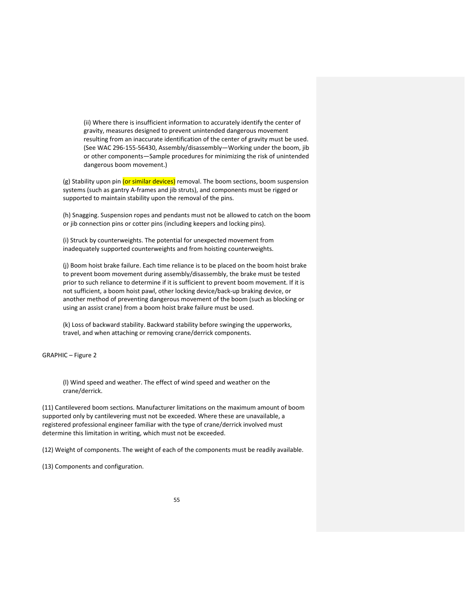(ii) Where there is insufficient information to accurately identify the center of gravity, measures designed to prevent unintended dangerous movement resulting from an inaccurate identification of the center of gravity must be used. (See WAC 296‐155‐56430, Assembly/disassembly—Working under the boom, jib or other components—Sample procedures for minimizing the risk of unintended dangerous boom movement.)

(g) Stability upon pin (or similar devices) removal. The boom sections, boom suspension systems (such as gantry A‐frames and jib struts), and components must be rigged or supported to maintain stability upon the removal of the pins.

(h) Snagging. Suspension ropes and pendants must not be allowed to catch on the boom or jib connection pins or cotter pins (including keepers and locking pins).

(i) Struck by counterweights. The potential for unexpected movement from inadequately supported counterweights and from hoisting counterweights.

(j) Boom hoist brake failure. Each time reliance is to be placed on the boom hoist brake to prevent boom movement during assembly/disassembly, the brake must be tested prior to such reliance to determine if it is sufficient to prevent boom movement. If it is not sufficient, a boom hoist pawl, other locking device/back‐up braking device, or another method of preventing dangerous movement of the boom (such as blocking or using an assist crane) from a boom hoist brake failure must be used.

(k) Loss of backward stability. Backward stability before swinging the upperworks, travel, and when attaching or removing crane/derrick components.

GRAPHIC – Figure 2

(l) Wind speed and weather. The effect of wind speed and weather on the crane/derrick.

(11) Cantilevered boom sections. Manufacturer limitations on the maximum amount of boom supported only by cantilevering must not be exceeded. Where these are unavailable, a registered professional engineer familiar with the type of crane/derrick involved must determine this limitation in writing, which must not be exceeded.

(12) Weight of components. The weight of each of the components must be readily available.

(13) Components and configuration.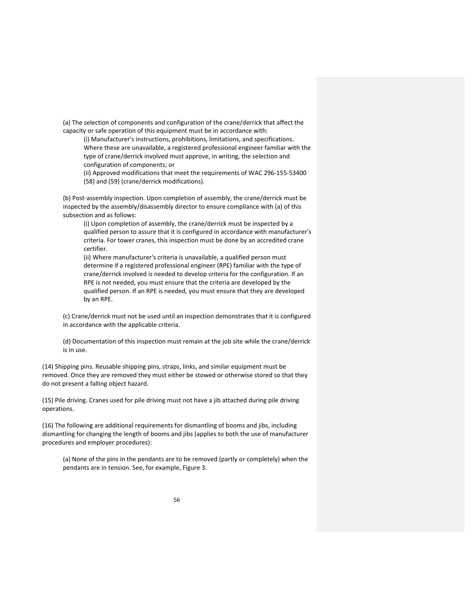(a) The selection of components and configuration of the crane/derrick that affect the capacity or safe operation of this equipment must be in accordance with:

(i) Manufacturer's instructions, prohibitions, limitations, and specifications. Where these are unavailable, a registered professional engineer familiar with the type of crane/derrick involved must approve, in writing, the selection and configuration of components; or

(ii) Approved modifications that meet the requirements of WAC 296‐155‐53400 (58) and (59) (crane/derrick modifications).

(b) Post‐assembly inspection. Upon completion of assembly, the crane/derrick must be inspected by the assembly/disassembly director to ensure compliance with (a) of this subsection and as follows:

(i) Upon completion of assembly, the crane/derrick must be inspected by a qualified person to assure that it is configured in accordance with manufacturer's criteria. For tower cranes, this inspection must be done by an accredited crane certifier.

(ii) Where manufacturer's criteria is unavailable, a qualified person must determine if a registered professional engineer (RPE) familiar with the type of crane/derrick involved is needed to develop criteria for the configuration. If an RPE is not needed, you must ensure that the criteria are developed by the qualified person. If an RPE is needed, you must ensure that they are developed by an RPE.

(c) Crane/derrick must not be used until an inspection demonstrates that it is configured in accordance with the applicable criteria.

(d) Documentation of this inspection must remain at the job site while the crane/derrick is in use.

(14) Shipping pins. Reusable shipping pins, straps, links, and similar equipment must be removed. Once they are removed they must either be stowed or otherwise stored so that they do not present a falling object hazard.

(15) Pile driving. Cranes used for pile driving must not have a jib attached during pile driving operations.

(16) The following are additional requirements for dismantling of booms and jibs, including dismantling for changing the length of booms and jibs (applies to both the use of manufacturer procedures and employer procedures):

(a) None of the pins in the pendants are to be removed (partly or completely) when the pendants are in tension. See, for example, Figure 3.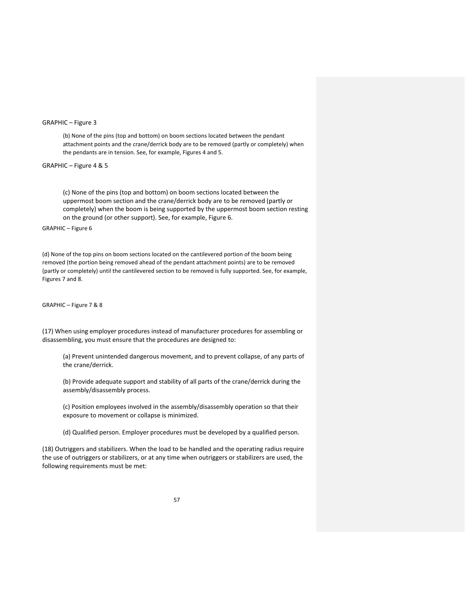# GRAPHIC – Figure 3

(b) None of the pins (top and bottom) on boom sections located between the pendant attachment points and the crane/derrick body are to be removed (partly or completely) when the pendants are in tension. See, for example, Figures 4 and 5.

# GRAPHIC – Figure 4 & 5

(c) None of the pins (top and bottom) on boom sections located between the uppermost boom section and the crane/derrick body are to be removed (partly or completely) when the boom is being supported by the uppermost boom section resting on the ground (or other support). See, for example, Figure 6.

### GRAPHIC – Figure 6

(d) None of the top pins on boom sections located on the cantilevered portion of the boom being removed (the portion being removed ahead of the pendant attachment points) are to be removed (partly or completely) until the cantilevered section to be removed is fully supported. See, for example, Figures 7 and 8.

#### GRAPHIC – Figure 7 & 8

(17) When using employer procedures instead of manufacturer procedures for assembling or disassembling, you must ensure that the procedures are designed to:

(a) Prevent unintended dangerous movement, and to prevent collapse, of any parts of the crane/derrick.

(b) Provide adequate support and stability of all parts of the crane/derrick during the assembly/disassembly process.

(c) Position employees involved in the assembly/disassembly operation so that their exposure to movement or collapse is minimized.

(d) Qualified person. Employer procedures must be developed by a qualified person.

(18) Outriggers and stabilizers. When the load to be handled and the operating radius require the use of outriggers or stabilizers, or at any time when outriggers or stabilizers are used, the following requirements must be met: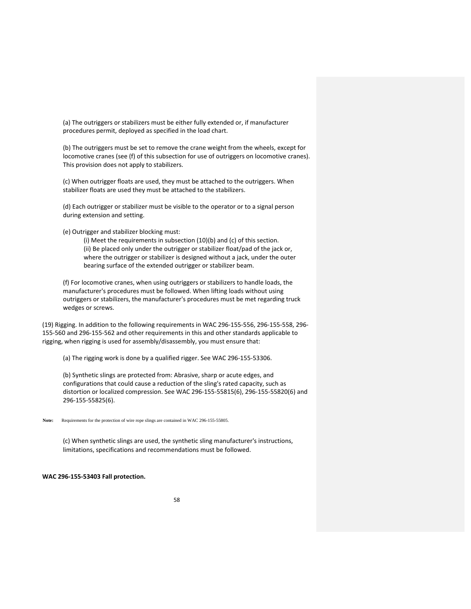(a) The outriggers or stabilizers must be either fully extended or, if manufacturer procedures permit, deployed as specified in the load chart.

(b) The outriggers must be set to remove the crane weight from the wheels, except for locomotive cranes (see (f) of this subsection for use of outriggers on locomotive cranes). This provision does not apply to stabilizers.

(c) When outrigger floats are used, they must be attached to the outriggers. When stabilizer floats are used they must be attached to the stabilizers.

(d) Each outrigger or stabilizer must be visible to the operator or to a signal person during extension and setting.

(e) Outrigger and stabilizer blocking must:

(i) Meet the requirements in subsection (10)(b) and (c) of this section. (ii) Be placed only under the outrigger or stabilizer float/pad of the jack or, where the outrigger or stabilizer is designed without a jack, under the outer bearing surface of the extended outrigger or stabilizer beam.

(f) For locomotive cranes, when using outriggers or stabilizers to handle loads, the manufacturer's procedures must be followed. When lifting loads without using outriggers or stabilizers, the manufacturer's procedures must be met regarding truck wedges or screws.

(19) Rigging. In addition to the following requirements in WAC 296‐155‐556, 296‐155‐558, 296‐ 155‐560 and 296‐155‐562 and other requirements in this and other standards applicable to rigging, when rigging is used for assembly/disassembly, you must ensure that:

(a) The rigging work is done by a qualified rigger. See WAC 296‐155‐53306.

(b) Synthetic slings are protected from: Abrasive, sharp or acute edges, and configurations that could cause a reduction of the sling's rated capacity, such as distortion or localized compression. See WAC 296‐155‐55815(6), 296‐155‐55820(6) and 296‐155‐55825(6).

Note: Requirements for the protection of wire rope slings are contained in WAC 296-155-55805.

(c) When synthetic slings are used, the synthetic sling manufacturer's instructions, limitations, specifications and recommendations must be followed.

#### **WAC 296‐155‐53403 Fall protection.**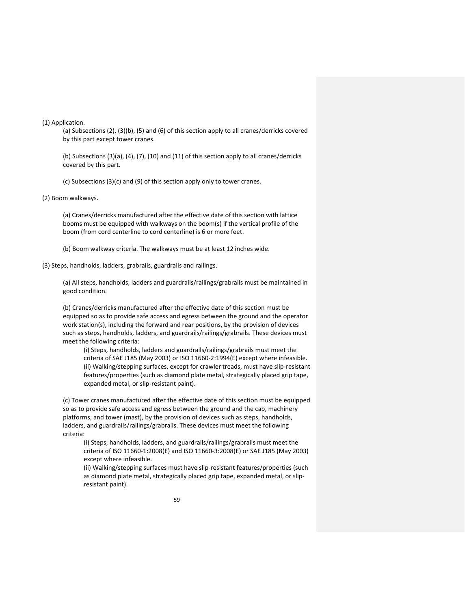(1) Application.

(a) Subsections (2), (3)(b), (5) and (6) of this section apply to all cranes/derricks covered by this part except tower cranes.

(b) Subsections (3)(a), (4), (7), (10) and (11) of this section apply to all cranes/derricks covered by this part.

(c) Subsections (3)(c) and (9) of this section apply only to tower cranes.

### (2) Boom walkways.

(a) Cranes/derricks manufactured after the effective date of this section with lattice booms must be equipped with walkways on the boom(s) if the vertical profile of the boom (from cord centerline to cord centerline) is 6 or more feet.

(b) Boom walkway criteria. The walkways must be at least 12 inches wide.

(3) Steps, handholds, ladders, grabrails, guardrails and railings.

(a) All steps, handholds, ladders and guardrails/railings/grabrails must be maintained in good condition.

(b) Cranes/derricks manufactured after the effective date of this section must be equipped so as to provide safe access and egress between the ground and the operator work station(s), including the forward and rear positions, by the provision of devices such as steps, handholds, ladders, and guardrails/railings/grabrails. These devices must meet the following criteria:

(i) Steps, handholds, ladders and guardrails/railings/grabrails must meet the criteria of SAE J185 (May 2003) or ISO 11660‐2:1994(E) except where infeasible. (ii) Walking/stepping surfaces, except for crawler treads, must have slip‐resistant features/properties (such as diamond plate metal, strategically placed grip tape, expanded metal, or slip‐resistant paint).

(c) Tower cranes manufactured after the effective date of this section must be equipped so as to provide safe access and egress between the ground and the cab, machinery platforms, and tower (mast), by the provision of devices such as steps, handholds, ladders, and guardrails/railings/grabrails. These devices must meet the following criteria:

(i) Steps, handholds, ladders, and guardrails/railings/grabrails must meet the criteria of ISO 11660‐1:2008(E) and ISO 11660‐3:2008(E) or SAE J185 (May 2003) except where infeasible.

(ii) Walking/stepping surfaces must have slip‐resistant features/properties (such as diamond plate metal, strategically placed grip tape, expanded metal, or slip‐ resistant paint).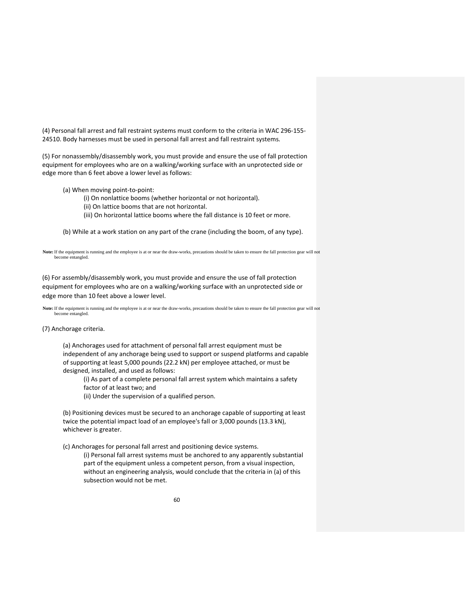(4) Personal fall arrest and fall restraint systems must conform to the criteria in WAC 296‐155‐ 24510. Body harnesses must be used in personal fall arrest and fall restraint systems.

(5) For nonassembly/disassembly work, you must provide and ensure the use of fall protection equipment for employees who are on a walking/working surface with an unprotected side or edge more than 6 feet above a lower level as follows:

(a) When moving point‐to‐point:

(i) On nonlattice booms (whether horizontal or not horizontal).

- (ii) On lattice booms that are not horizontal.
- (iii) On horizontal lattice booms where the fall distance is 10 feet or more.

(b) While at a work station on any part of the crane (including the boom, of any type).

**Note:** If the equipment is running and the employee is at or near the draw-works, precautions should be taken to ensure the fall protection gear will not become entangled.

(6) For assembly/disassembly work, you must provide and ensure the use of fall protection equipment for employees who are on a walking/working surface with an unprotected side or edge more than 10 feet above a lower level.

**Note:** If the equipment is running and the employee is at or near the draw-works, precautions should be taken to ensure the fall protection gear will not become entangled.

## (7) Anchorage criteria.

(a) Anchorages used for attachment of personal fall arrest equipment must be independent of any anchorage being used to support or suspend platforms and capable of supporting at least 5,000 pounds (22.2 kN) per employee attached, or must be designed, installed, and used as follows:

(i) As part of a complete personal fall arrest system which maintains a safety factor of at least two; and

(ii) Under the supervision of a qualified person.

(b) Positioning devices must be secured to an anchorage capable of supporting at least twice the potential impact load of an employee's fall or 3,000 pounds (13.3 kN), whichever is greater.

(c) Anchorages for personal fall arrest and positioning device systems.

(i) Personal fall arrest systems must be anchored to any apparently substantial part of the equipment unless a competent person, from a visual inspection, without an engineering analysis, would conclude that the criteria in (a) of this subsection would not be met.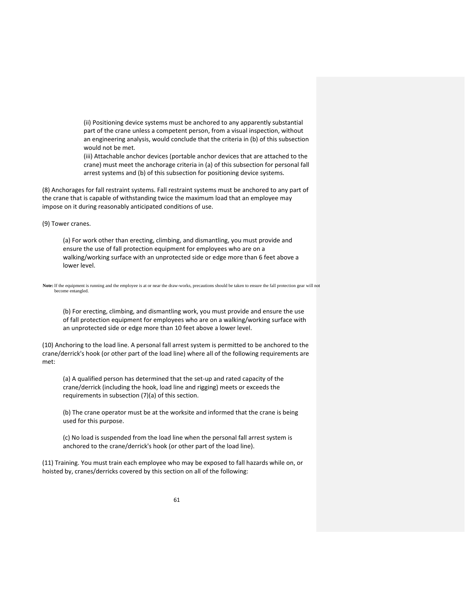(ii) Positioning device systems must be anchored to any apparently substantial part of the crane unless a competent person, from a visual inspection, without an engineering analysis, would conclude that the criteria in (b) of this subsection would not be met.

(iii) Attachable anchor devices (portable anchor devices that are attached to the crane) must meet the anchorage criteria in (a) of this subsection for personal fall arrest systems and (b) of this subsection for positioning device systems.

(8) Anchorages for fall restraint systems. Fall restraint systems must be anchored to any part of the crane that is capable of withstanding twice the maximum load that an employee may impose on it during reasonably anticipated conditions of use.

(9) Tower cranes.

(a) For work other than erecting, climbing, and dismantling, you must provide and ensure the use of fall protection equipment for employees who are on a walking/working surface with an unprotected side or edge more than 6 feet above a lower level.

**Note:** If the equipment is running and the employee is at or near the draw-works, precautions should be taken to ensure the fall protection gear will not become entangled.

(b) For erecting, climbing, and dismantling work, you must provide and ensure the use of fall protection equipment for employees who are on a walking/working surface with an unprotected side or edge more than 10 feet above a lower level.

(10) Anchoring to the load line. A personal fall arrest system is permitted to be anchored to the crane/derrick's hook (or other part of the load line) where all of the following requirements are met:

(a) A qualified person has determined that the set‐up and rated capacity of the crane/derrick (including the hook, load line and rigging) meets or exceeds the requirements in subsection (7)(a) of this section.

(b) The crane operator must be at the worksite and informed that the crane is being used for this purpose.

(c) No load is suspended from the load line when the personal fall arrest system is anchored to the crane/derrick's hook (or other part of the load line).

(11) Training. You must train each employee who may be exposed to fall hazards while on, or hoisted by, cranes/derricks covered by this section on all of the following: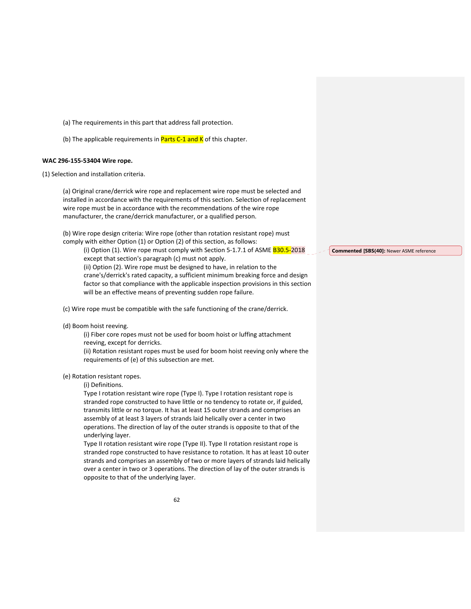(a) The requirements in this part that address fall protection.

(b) The applicable requirements in **Parts C-1 and K** of this chapter.

## **WAC 296‐155‐53404 Wire rope.**

(1) Selection and installation criteria.

(a) Original crane/derrick wire rope and replacement wire rope must be selected and installed in accordance with the requirements of this section. Selection of replacement wire rope must be in accordance with the recommendations of the wire rope manufacturer, the crane/derrick manufacturer, or a qualified person.

(b) Wire rope design criteria: Wire rope (other than rotation resistant rope) must comply with either Option (1) or Option (2) of this section, as follows:

(i) Option (1). Wire rope must comply with Section 5-1.7.1 of ASME B30.5-2018 except that section's paragraph (c) must not apply. (ii) Option (2). Wire rope must be designed to have, in relation to the crane's/derrick's rated capacity, a sufficient minimum breaking force and design factor so that compliance with the applicable inspection provisions in this section will be an effective means of preventing sudden rope failure.

(c) Wire rope must be compatible with the safe functioning of the crane/derrick.

#### (d) Boom hoist reeving.

(i) Fiber core ropes must not be used for boom hoist or luffing attachment reeving, except for derricks.

(ii) Rotation resistant ropes must be used for boom hoist reeving only where the requirements of (e) of this subsection are met.

# (e) Rotation resistant ropes.

(i) Definitions.

Type I rotation resistant wire rope (Type I). Type I rotation resistant rope is stranded rope constructed to have little or no tendency to rotate or, if guided, transmits little or no torque. It has at least 15 outer strands and comprises an assembly of at least 3 layers of strands laid helically over a center in two operations. The direction of lay of the outer strands is opposite to that of the underlying layer.

Type II rotation resistant wire rope (Type II). Type II rotation resistant rope is stranded rope constructed to have resistance to rotation. It has at least 10 outer strands and comprises an assembly of two or more layers of strands laid helically over a center in two or 3 operations. The direction of lay of the outer strands is opposite to that of the underlying layer.

**Commented [SBS(40]:** Newer ASME reference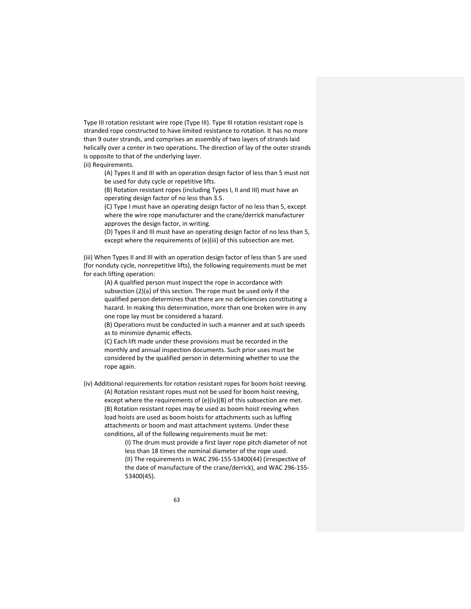Type III rotation resistant wire rope (Type III). Type III rotation resistant rope is stranded rope constructed to have limited resistance to rotation. It has no more than 9 outer strands, and comprises an assembly of two layers of strands laid helically over a center in two operations. The direction of lay of the outer strands is opposite to that of the underlying layer.

(ii) Requirements.

(A) Types II and III with an operation design factor of less than 5 must not be used for duty cycle or repetitive lifts.

(B) Rotation resistant ropes (including Types I, II and III) must have an operating design factor of no less than 3.5.

(C) Type I must have an operating design factor of no less than 5, except where the wire rope manufacturer and the crane/derrick manufacturer approves the design factor, in writing.

(D) Types II and III must have an operating design factor of no less than 5, except where the requirements of (e)(iii) of this subsection are met.

(iii) When Types II and III with an operation design factor of less than 5 are used (for nonduty cycle, nonrepetitive lifts), the following requirements must be met for each lifting operation:

(A) A qualified person must inspect the rope in accordance with subsection (2)(a) of this section. The rope must be used only if the qualified person determines that there are no deficiencies constituting a hazard. In making this determination, more than one broken wire in any one rope lay must be considered a hazard.

(B) Operations must be conducted in such a manner and at such speeds as to minimize dynamic effects.

(C) Each lift made under these provisions must be recorded in the monthly and annual inspection documents. Such prior uses must be considered by the qualified person in determining whether to use the rope again.

(iv) Additional requirements for rotation resistant ropes for boom hoist reeving. (A) Rotation resistant ropes must not be used for boom hoist reeving, except where the requirements of (e)(iv)(B) of this subsection are met. (B) Rotation resistant ropes may be used as boom hoist reeving when load hoists are used as boom hoists for attachments such as luffing attachments or boom and mast attachment systems. Under these conditions, all of the following requirements must be met:

> (I) The drum must provide a first layer rope pitch diameter of not less than 18 times the nominal diameter of the rope used. (II) The requirements in WAC 296‐155‐53400(44) (irrespective of the date of manufacture of the crane/derrick), and WAC 296‐155‐ 53400(45).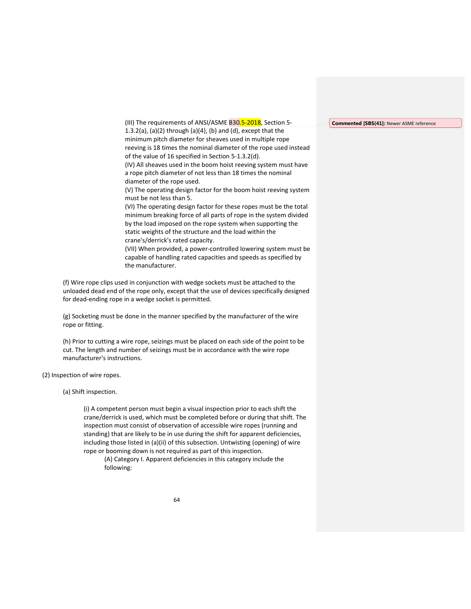#### **Commented [SBS(41]:** Newer ASME reference

(III) The requirements of ANSI/ASME B30.5-2018, Section 5-1.3.2(a), (a)(2) through (a)(4), (b) and (d), except that the minimum pitch diameter for sheaves used in multiple rope reeving is 18 times the nominal diameter of the rope used instead of the value of 16 specified in Section 5‐1.3.2(d). (IV) All sheaves used in the boom hoist reeving system must have a rope pitch diameter of not less than 18 times the nominal diameter of the rope used.

(V) The operating design factor for the boom hoist reeving system must be not less than 5.

(VI) The operating design factor for these ropes must be the total minimum breaking force of all parts of rope in the system divided by the load imposed on the rope system when supporting the static weights of the structure and the load within the crane's/derrick's rated capacity.

(VII) When provided, a power‐controlled lowering system must be capable of handling rated capacities and speeds as specified by the manufacturer.

(f) Wire rope clips used in conjunction with wedge sockets must be attached to the unloaded dead end of the rope only, except that the use of devices specifically designed for dead‐ending rope in a wedge socket is permitted.

(g) Socketing must be done in the manner specified by the manufacturer of the wire rope or fitting.

(h) Prior to cutting a wire rope, seizings must be placed on each side of the point to be cut. The length and number of seizings must be in accordance with the wire rope manufacturer's instructions.

(2) Inspection of wire ropes.

(a) Shift inspection.

(i) A competent person must begin a visual inspection prior to each shift the crane/derrick is used, which must be completed before or during that shift. The inspection must consist of observation of accessible wire ropes (running and standing) that are likely to be in use during the shift for apparent deficiencies, including those listed in (a)(ii) of this subsection. Untwisting (opening) of wire rope or booming down is not required as part of this inspection.

(A) Category I. Apparent deficiencies in this category include the following: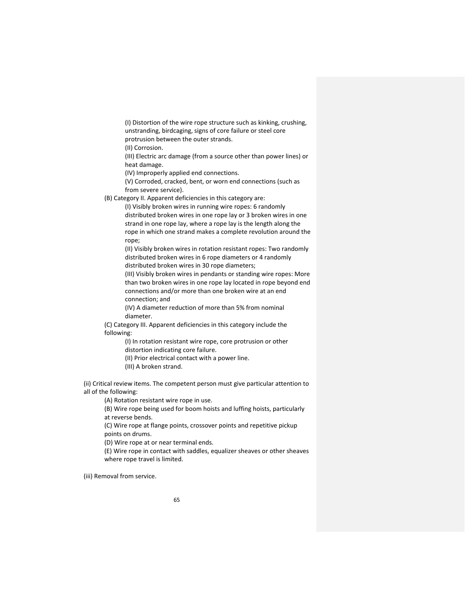(I) Distortion of the wire rope structure such as kinking, crushing, unstranding, birdcaging, signs of core failure or steel core protrusion between the outer strands.

(II) Corrosion.

(III) Electric arc damage (from a source other than power lines) or heat damage.

(IV) Improperly applied end connections.

(V) Corroded, cracked, bent, or worn end connections (such as from severe service).

(B) Category II. Apparent deficiencies in this category are:

(I) Visibly broken wires in running wire ropes: 6 randomly distributed broken wires in one rope lay or 3 broken wires in one strand in one rope lay, where a rope lay is the length along the rope in which one strand makes a complete revolution around the rope;

(II) Visibly broken wires in rotation resistant ropes: Two randomly distributed broken wires in 6 rope diameters or 4 randomly distributed broken wires in 30 rope diameters;

(III) Visibly broken wires in pendants or standing wire ropes: More than two broken wires in one rope lay located in rope beyond end connections and/or more than one broken wire at an end connection; and

(IV) A diameter reduction of more than 5% from nominal diameter.

(C) Category III. Apparent deficiencies in this category include the following:

> (I) In rotation resistant wire rope, core protrusion or other distortion indicating core failure.

(II) Prior electrical contact with a power line.

(III) A broken strand.

(ii) Critical review items. The competent person must give particular attention to all of the following:

(A) Rotation resistant wire rope in use.

(B) Wire rope being used for boom hoists and luffing hoists, particularly at reverse bends.

(C) Wire rope at flange points, crossover points and repetitive pickup points on drums.

(D) Wire rope at or near terminal ends.

(E) Wire rope in contact with saddles, equalizer sheaves or other sheaves where rope travel is limited.

(iii) Removal from service.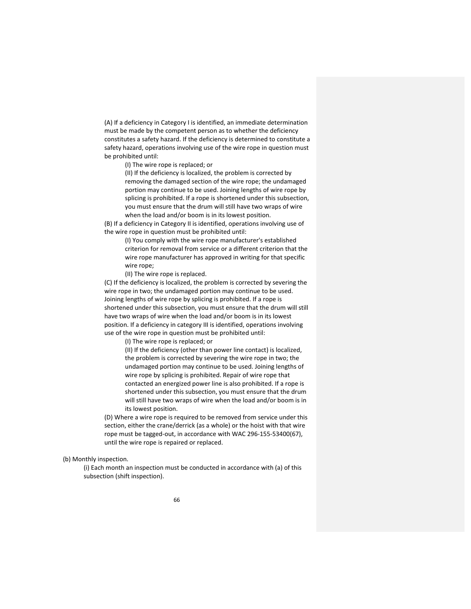(A) If a deficiency in Category I is identified, an immediate determination must be made by the competent person as to whether the deficiency constitutes a safety hazard. If the deficiency is determined to constitute a safety hazard, operations involving use of the wire rope in question must be prohibited until:

(I) The wire rope is replaced; or

(II) If the deficiency is localized, the problem is corrected by removing the damaged section of the wire rope; the undamaged portion may continue to be used. Joining lengths of wire rope by splicing is prohibited. If a rope is shortened under this subsection, you must ensure that the drum will still have two wraps of wire when the load and/or boom is in its lowest position.

(B) If a deficiency in Category II is identified, operations involving use of the wire rope in question must be prohibited until:

> (I) You comply with the wire rope manufacturer's established criterion for removal from service or a different criterion that the wire rope manufacturer has approved in writing for that specific wire rope;

(II) The wire rope is replaced.

(C) If the deficiency is localized, the problem is corrected by severing the wire rope in two; the undamaged portion may continue to be used. Joining lengths of wire rope by splicing is prohibited. If a rope is shortened under this subsection, you must ensure that the drum will still have two wraps of wire when the load and/or boom is in its lowest position. If a deficiency in category III is identified, operations involving use of the wire rope in question must be prohibited until:

(I) The wire rope is replaced; or

(II) If the deficiency (other than power line contact) is localized, the problem is corrected by severing the wire rope in two; the undamaged portion may continue to be used. Joining lengths of wire rope by splicing is prohibited. Repair of wire rope that contacted an energized power line is also prohibited. If a rope is shortened under this subsection, you must ensure that the drum will still have two wraps of wire when the load and/or boom is in its lowest position.

(D) Where a wire rope is required to be removed from service under this section, either the crane/derrick (as a whole) or the hoist with that wire rope must be tagged‐out, in accordance with WAC 296‐155‐53400(67), until the wire rope is repaired or replaced.

(b) Monthly inspection.

(i) Each month an inspection must be conducted in accordance with (a) of this subsection (shift inspection).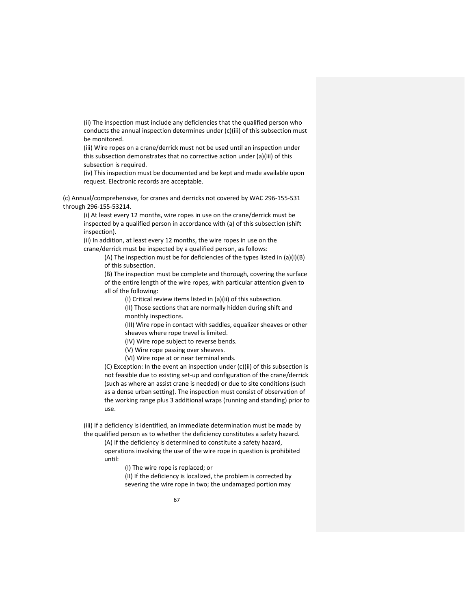(ii) The inspection must include any deficiencies that the qualified person who conducts the annual inspection determines under (c)(iii) of this subsection must be monitored.

(iii) Wire ropes on a crane/derrick must not be used until an inspection under this subsection demonstrates that no corrective action under (a)(iii) of this subsection is required.

(iv) This inspection must be documented and be kept and made available upon request. Electronic records are acceptable.

(c) Annual/comprehensive, for cranes and derricks not covered by WAC 296‐155‐531 through 296‐155‐53214.

(i) At least every 12 months, wire ropes in use on the crane/derrick must be inspected by a qualified person in accordance with (a) of this subsection (shift inspection).

(ii) In addition, at least every 12 months, the wire ropes in use on the crane/derrick must be inspected by a qualified person, as follows:

> (A) The inspection must be for deficiencies of the types listed in (a)(i)(B) of this subsection.

> (B) The inspection must be complete and thorough, covering the surface of the entire length of the wire ropes, with particular attention given to all of the following:

(I) Critical review items listed in (a)(ii) of this subsection.

(II) Those sections that are normally hidden during shift and monthly inspections.

(III) Wire rope in contact with saddles, equalizer sheaves or other sheaves where rope travel is limited.

(IV) Wire rope subject to reverse bends.

(V) Wire rope passing over sheaves.

(VI) Wire rope at or near terminal ends.

(C) Exception: In the event an inspection under (c)(ii) of this subsection is not feasible due to existing set‐up and configuration of the crane/derrick (such as where an assist crane is needed) or due to site conditions (such as a dense urban setting). The inspection must consist of observation of the working range plus 3 additional wraps (running and standing) prior to use.

(iii) If a deficiency is identified, an immediate determination must be made by the qualified person as to whether the deficiency constitutes a safety hazard.

(A) If the deficiency is determined to constitute a safety hazard, operations involving the use of the wire rope in question is prohibited until:

(I) The wire rope is replaced; or

(II) If the deficiency is localized, the problem is corrected by severing the wire rope in two; the undamaged portion may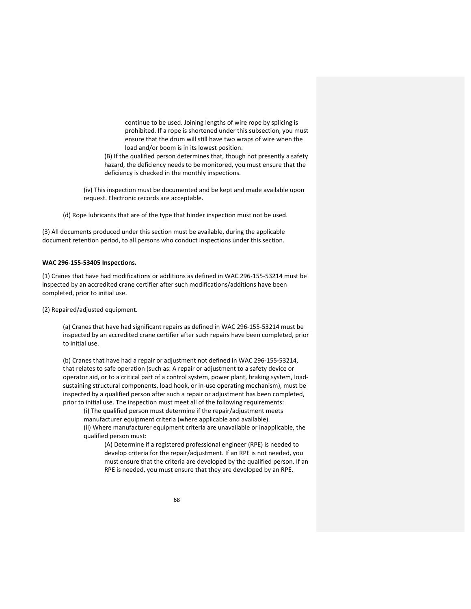continue to be used. Joining lengths of wire rope by splicing is prohibited. If a rope is shortened under this subsection, you must ensure that the drum will still have two wraps of wire when the load and/or boom is in its lowest position.

(B) If the qualified person determines that, though not presently a safety hazard, the deficiency needs to be monitored, you must ensure that the deficiency is checked in the monthly inspections.

(iv) This inspection must be documented and be kept and made available upon request. Electronic records are acceptable.

(d) Rope lubricants that are of the type that hinder inspection must not be used.

(3) All documents produced under this section must be available, during the applicable document retention period, to all persons who conduct inspections under this section.

## **WAC 296‐155‐53405 Inspections.**

(1) Cranes that have had modifications or additions as defined in WAC 296‐155‐53214 must be inspected by an accredited crane certifier after such modifications/additions have been completed, prior to initial use.

(2) Repaired/adjusted equipment.

(a) Cranes that have had significant repairs as defined in WAC 296‐155‐53214 must be inspected by an accredited crane certifier after such repairs have been completed, prior to initial use.

(b) Cranes that have had a repair or adjustment not defined in WAC 296‐155‐53214, that relates to safe operation (such as: A repair or adjustment to a safety device or operator aid, or to a critical part of a control system, power plant, braking system, load‐ sustaining structural components, load hook, or in‐use operating mechanism), must be inspected by a qualified person after such a repair or adjustment has been completed, prior to initial use. The inspection must meet all of the following requirements:

(i) The qualified person must determine if the repair/adjustment meets manufacturer equipment criteria (where applicable and available). (ii) Where manufacturer equipment criteria are unavailable or inapplicable, the qualified person must:

(A) Determine if a registered professional engineer (RPE) is needed to develop criteria for the repair/adjustment. If an RPE is not needed, you must ensure that the criteria are developed by the qualified person. If an RPE is needed, you must ensure that they are developed by an RPE.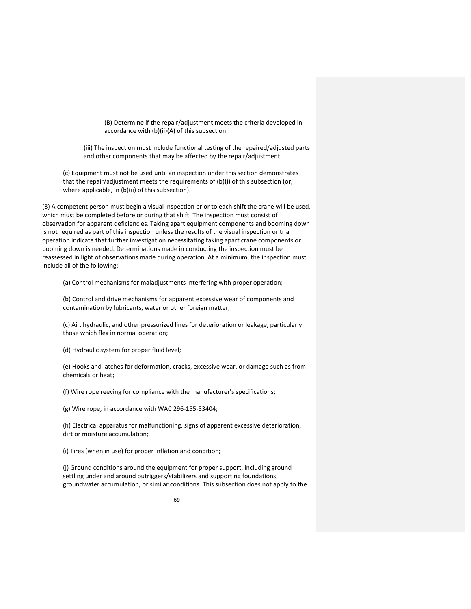(B) Determine if the repair/adjustment meets the criteria developed in accordance with (b)(ii)(A) of this subsection.

(iii) The inspection must include functional testing of the repaired/adjusted parts and other components that may be affected by the repair/adjustment.

(c) Equipment must not be used until an inspection under this section demonstrates that the repair/adjustment meets the requirements of (b)(i) of this subsection (or, where applicable, in (b)(ii) of this subsection).

(3) A competent person must begin a visual inspection prior to each shift the crane will be used, which must be completed before or during that shift. The inspection must consist of observation for apparent deficiencies. Taking apart equipment components and booming down is not required as part of this inspection unless the results of the visual inspection or trial operation indicate that further investigation necessitating taking apart crane components or booming down is needed. Determinations made in conducting the inspection must be reassessed in light of observations made during operation. At a minimum, the inspection must include all of the following:

(a) Control mechanisms for maladjustments interfering with proper operation;

(b) Control and drive mechanisms for apparent excessive wear of components and contamination by lubricants, water or other foreign matter;

(c) Air, hydraulic, and other pressurized lines for deterioration or leakage, particularly those which flex in normal operation;

(d) Hydraulic system for proper fluid level;

(e) Hooks and latches for deformation, cracks, excessive wear, or damage such as from chemicals or heat;

(f) Wire rope reeving for compliance with the manufacturer's specifications;

(g) Wire rope, in accordance with WAC 296‐155‐53404;

(h) Electrical apparatus for malfunctioning, signs of apparent excessive deterioration, dirt or moisture accumulation;

(i) Tires (when in use) for proper inflation and condition;

(j) Ground conditions around the equipment for proper support, including ground settling under and around outriggers/stabilizers and supporting foundations, groundwater accumulation, or similar conditions. This subsection does not apply to the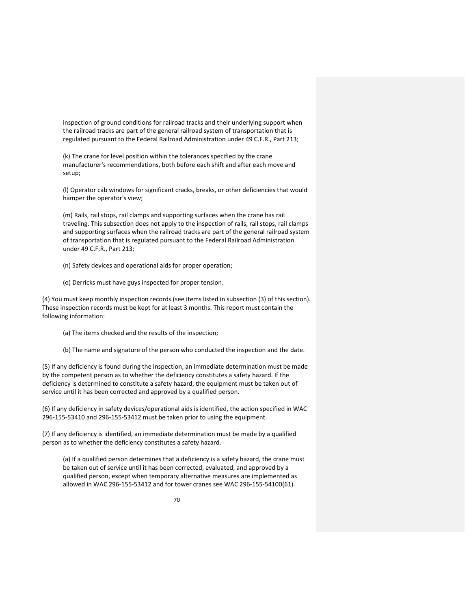inspection of ground conditions for railroad tracks and their underlying support when the railroad tracks are part of the general railroad system of transportation that is regulated pursuant to the Federal Railroad Administration under 49 C.F.R., Part 213;

(k) The crane for level position within the tolerances specified by the crane manufacturer's recommendations, both before each shift and after each move and setup;

(l) Operator cab windows for significant cracks, breaks, or other deficiencies that would hamper the operator's view;

(m) Rails, rail stops, rail clamps and supporting surfaces when the crane has rail traveling. This subsection does not apply to the inspection of rails, rail stops, rail clamps and supporting surfaces when the railroad tracks are part of the general railroad system of transportation that is regulated pursuant to the Federal Railroad Administration under 49 C.F.R., Part 213;

(n) Safety devices and operational aids for proper operation;

(o) Derricks must have guys inspected for proper tension.

(4) You must keep monthly inspection records (see items listed in subsection (3) of this section). These inspection records must be kept for at least 3 months. This report must contain the following information:

(a) The items checked and the results of the inspection;

(b) The name and signature of the person who conducted the inspection and the date.

(5) If any deficiency is found during the inspection, an immediate determination must be made by the competent person as to whether the deficiency constitutes a safety hazard. If the deficiency is determined to constitute a safety hazard, the equipment must be taken out of service until it has been corrected and approved by a qualified person.

(6) If any deficiency in safety devices/operational aids is identified, the action specified in WAC 296‐155‐53410 and 296‐155‐53412 must be taken prior to using the equipment.

(7) If any deficiency is identified, an immediate determination must be made by a qualified person as to whether the deficiency constitutes a safety hazard.

(a) If a qualified person determines that a deficiency is a safety hazard, the crane must be taken out of service until it has been corrected, evaluated, and approved by a qualified person, except when temporary alternative measures are implemented as allowed in WAC 296‐155‐53412 and for tower cranes see WAC 296‐155‐54100(61).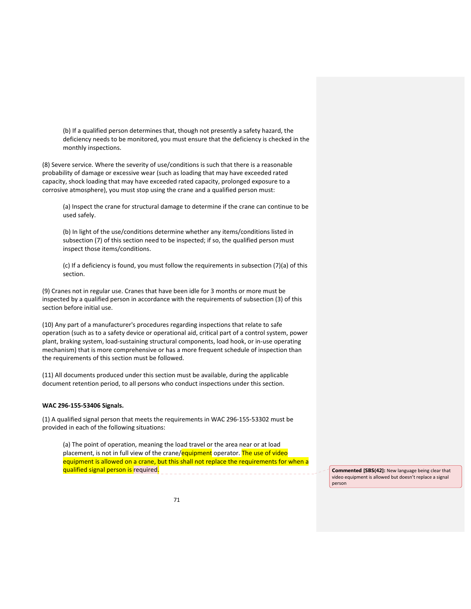(b) If a qualified person determines that, though not presently a safety hazard, the deficiency needs to be monitored, you must ensure that the deficiency is checked in the monthly inspections.

(8) Severe service. Where the severity of use/conditions is such that there is a reasonable probability of damage or excessive wear (such as loading that may have exceeded rated capacity, shock loading that may have exceeded rated capacity, prolonged exposure to a corrosive atmosphere), you must stop using the crane and a qualified person must:

(a) Inspect the crane for structural damage to determine if the crane can continue to be used safely.

(b) In light of the use/conditions determine whether any items/conditions listed in subsection (7) of this section need to be inspected; if so, the qualified person must inspect those items/conditions.

(c) If a deficiency is found, you must follow the requirements in subsection (7)(a) of this section.

(9) Cranes not in regular use. Cranes that have been idle for 3 months or more must be inspected by a qualified person in accordance with the requirements of subsection (3) of this section before initial use.

(10) Any part of a manufacturer's procedures regarding inspections that relate to safe operation (such as to a safety device or operational aid, critical part of a control system, power plant, braking system, load‐sustaining structural components, load hook, or in‐use operating mechanism) that is more comprehensive or has a more frequent schedule of inspection than the requirements of this section must be followed.

(11) All documents produced under this section must be available, during the applicable document retention period, to all persons who conduct inspections under this section.

#### **WAC 296‐155‐53406 Signals.**

(1) A qualified signal person that meets the requirements in WAC 296‐155‐53302 must be provided in each of the following situations:

(a) The point of operation, meaning the load travel or the area near or at load placement, is not in full view of the crane/equipment operator. The use of video equipment is allowed on a crane, but this shall not replace the requirements for when a qualified signal person is required. **Commented and a set of the set of the set of that** commented **CBS(42):** New language being clear that

video equipment is allowed but doesn't replace a signal person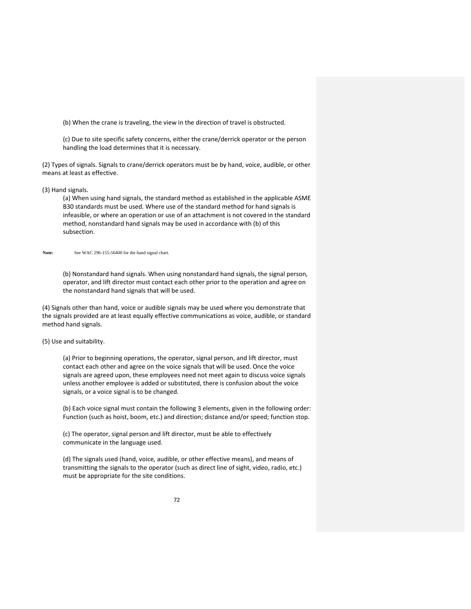(b) When the crane is traveling, the view in the direction of travel is obstructed.

(c) Due to site specific safety concerns, either the crane/derrick operator or the person handling the load determines that it is necessary.

(2) Types of signals. Signals to crane/derrick operators must be by hand, voice, audible, or other means at least as effective.

(3) Hand signals.

(a) When using hand signals, the standard method as established in the applicable ASME B30 standards must be used. Where use of the standard method for hand signals is infeasible, or where an operation or use of an attachment is not covered in the standard method, nonstandard hand signals may be used in accordance with (b) of this subsection.

#### Note: See WAC 296-155-56400 for the hand signal chart.

(b) Nonstandard hand signals. When using nonstandard hand signals, the signal person, operator, and lift director must contact each other prior to the operation and agree on the nonstandard hand signals that will be used.

(4) Signals other than hand, voice or audible signals may be used where you demonstrate that the signals provided are at least equally effective communications as voice, audible, or standard method hand signals.

# (5) Use and suitability.

(a) Prior to beginning operations, the operator, signal person, and lift director, must contact each other and agree on the voice signals that will be used. Once the voice signals are agreed upon, these employees need not meet again to discuss voice signals unless another employee is added or substituted, there is confusion about the voice signals, or a voice signal is to be changed.

(b) Each voice signal must contain the following 3 elements, given in the following order: Function (such as hoist, boom, etc.) and direction; distance and/or speed; function stop.

(c) The operator, signal person and lift director, must be able to effectively communicate in the language used.

(d) The signals used (hand, voice, audible, or other effective means), and means of transmitting the signals to the operator (such as direct line of sight, video, radio, etc.) must be appropriate for the site conditions.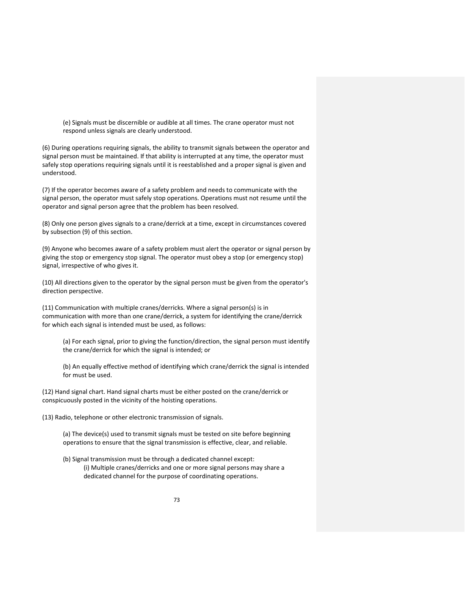(e) Signals must be discernible or audible at all times. The crane operator must not respond unless signals are clearly understood.

(6) During operations requiring signals, the ability to transmit signals between the operator and signal person must be maintained. If that ability is interrupted at any time, the operator must safely stop operations requiring signals until it is reestablished and a proper signal is given and understood.

(7) If the operator becomes aware of a safety problem and needs to communicate with the signal person, the operator must safely stop operations. Operations must not resume until the operator and signal person agree that the problem has been resolved.

(8) Only one person gives signals to a crane/derrick at a time, except in circumstances covered by subsection (9) of this section.

(9) Anyone who becomes aware of a safety problem must alert the operator or signal person by giving the stop or emergency stop signal. The operator must obey a stop (or emergency stop) signal, irrespective of who gives it.

(10) All directions given to the operator by the signal person must be given from the operator's direction perspective.

(11) Communication with multiple cranes/derricks. Where a signal person(s) is in communication with more than one crane/derrick, a system for identifying the crane/derrick for which each signal is intended must be used, as follows:

(a) For each signal, prior to giving the function/direction, the signal person must identify the crane/derrick for which the signal is intended; or

(b) An equally effective method of identifying which crane/derrick the signal is intended for must be used.

(12) Hand signal chart. Hand signal charts must be either posted on the crane/derrick or conspicuously posted in the vicinity of the hoisting operations.

(13) Radio, telephone or other electronic transmission of signals.

(a) The device(s) used to transmit signals must be tested on site before beginning operations to ensure that the signal transmission is effective, clear, and reliable.

(b) Signal transmission must be through a dedicated channel except: (i) Multiple cranes/derricks and one or more signal persons may share a dedicated channel for the purpose of coordinating operations.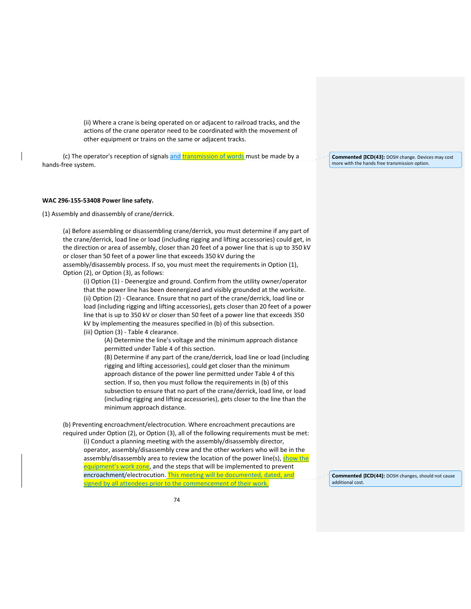(ii) Where a crane is being operated on or adjacent to railroad tracks, and the actions of the crane operator need to be coordinated with the movement of other equipment or trains on the same or adjacent tracks.

(c) The operator's reception of signals and transmission of words must be made by a hands‐free system.

### **WAC 296‐155‐53408 Power line safety.**

(1) Assembly and disassembly of crane/derrick.

(a) Before assembling or disassembling crane/derrick, you must determine if any part of the crane/derrick, load line or load (including rigging and lifting accessories) could get, in the direction or area of assembly, closer than 20 feet of a power line that is up to 350 kV or closer than 50 feet of a power line that exceeds 350 kV during the assembly/disassembly process. If so, you must meet the requirements in Option (1), Option (2), or Option (3), as follows:

(i) Option (1) ‐ Deenergize and ground. Confirm from the utility owner/operator that the power line has been deenergized and visibly grounded at the worksite. (ii) Option (2) ‐ Clearance. Ensure that no part of the crane/derrick, load line or load (including rigging and lifting accessories), gets closer than 20 feet of a power line that is up to 350 kV or closer than 50 feet of a power line that exceeds 350 kV by implementing the measures specified in (b) of this subsection.

(iii) Option (3) ‐ Table 4 clearance.

(A) Determine the line's voltage and the minimum approach distance permitted under Table 4 of this section.

(B) Determine if any part of the crane/derrick, load line or load (including rigging and lifting accessories), could get closer than the minimum approach distance of the power line permitted under Table 4 of this section. If so, then you must follow the requirements in (b) of this subsection to ensure that no part of the crane/derrick, load line, or load (including rigging and lifting accessories), gets closer to the line than the minimum approach distance.

(b) Preventing encroachment/electrocution. Where encroachment precautions are required under Option (2), or Option (3), all of the following requirements must be met: (i) Conduct a planning meeting with the assembly/disassembly director, operator, assembly/disassembly crew and the other workers who will be in the assembly/disassembly area to review the location of the power line(s), show the equipment's work zone, and the steps that will be implemented to prevent encroachment/electrocution. This meeting will be documented, dated, and signed by all attendees prior to the commencement of their work.

**Commented [ICD(43]:** DOSH change. Devices may cost more with the hands free transmission option.

**Commented [ICD(44]:** DOSH changes, should not cause additional cost.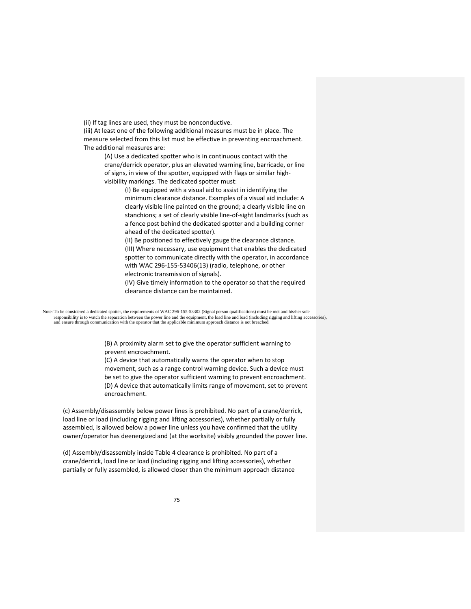(ii) If tag lines are used, they must be nonconductive.

(iii) At least one of the following additional measures must be in place. The measure selected from this list must be effective in preventing encroachment. The additional measures are:

(A) Use a dedicated spotter who is in continuous contact with the crane/derrick operator, plus an elevated warning line, barricade, or line of signs, in view of the spotter, equipped with flags or similar high‐ visibility markings. The dedicated spotter must:

> (I) Be equipped with a visual aid to assist in identifying the minimum clearance distance. Examples of a visual aid include: A clearly visible line painted on the ground; a clearly visible line on stanchions; a set of clearly visible line‐of‐sight landmarks (such as a fence post behind the dedicated spotter and a building corner ahead of the dedicated spotter).

> (II) Be positioned to effectively gauge the clearance distance. (III) Where necessary, use equipment that enables the dedicated spotter to communicate directly with the operator, in accordance with WAC 296‐155‐53406(13) (radio, telephone, or other electronic transmission of signals).

(IV) Give timely information to the operator so that the required clearance distance can be maintained.

Note: To be considered a dedicated spotter, the requirements of WAC 296-155-53302 (Signal person qualifications) must be met and his/her sole responsibility is to watch the separation between the power line and the equipment, the load line and load (including rigging and lifting accessories),<br>and ensure through communication with the operator that the applicable

> (B) A proximity alarm set to give the operator sufficient warning to prevent encroachment.

(C) A device that automatically warns the operator when to stop movement, such as a range control warning device. Such a device must be set to give the operator sufficient warning to prevent encroachment. (D) A device that automatically limits range of movement, set to prevent encroachment.

(c) Assembly/disassembly below power lines is prohibited. No part of a crane/derrick, load line or load (including rigging and lifting accessories), whether partially or fully assembled, is allowed below a power line unless you have confirmed that the utility owner/operator has deenergized and (at the worksite) visibly grounded the power line.

(d) Assembly/disassembly inside Table 4 clearance is prohibited. No part of a crane/derrick, load line or load (including rigging and lifting accessories), whether partially or fully assembled, is allowed closer than the minimum approach distance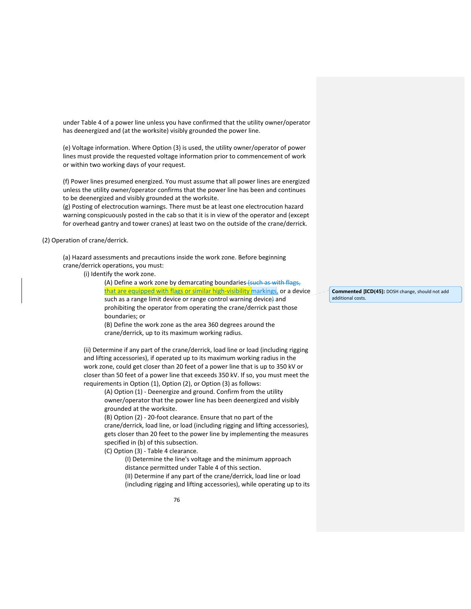under Table 4 of a power line unless you have confirmed that the utility owner/operator has deenergized and (at the worksite) visibly grounded the power line.

(e) Voltage information. Where Option (3) is used, the utility owner/operator of power lines must provide the requested voltage information prior to commencement of work or within two working days of your request.

(f) Power lines presumed energized. You must assume that all power lines are energized unless the utility owner/operator confirms that the power line has been and continues to be deenergized and visibly grounded at the worksite.

(g) Posting of electrocution warnings. There must be at least one electrocution hazard warning conspicuously posted in the cab so that it is in view of the operator and (except for overhead gantry and tower cranes) at least two on the outside of the crane/derrick.

(2) Operation of crane/derrick.

(a) Hazard assessments and precautions inside the work zone. Before beginning crane/derrick operations, you must:

(i) Identify the work zone.

(A) Define a work zone by demarcating boundaries (such as with flags, that are equipped with flags or similar high-visibility markings, or a device such as a range limit device or range control warning device) and prohibiting the operator from operating the crane/derrick past those boundaries; or

(B) Define the work zone as the area 360 degrees around the crane/derrick, up to its maximum working radius.

(ii) Determine if any part of the crane/derrick, load line or load (including rigging and lifting accessories), if operated up to its maximum working radius in the work zone, could get closer than 20 feet of a power line that is up to 350 kV or closer than 50 feet of a power line that exceeds 350 kV. If so, you must meet the requirements in Option (1), Option (2), or Option (3) as follows:

(A) Option (1) ‐ Deenergize and ground. Confirm from the utility owner/operator that the power line has been deenergized and visibly grounded at the worksite.

(B) Option (2) ‐ 20‐foot clearance. Ensure that no part of the

crane/derrick, load line, or load (including rigging and lifting accessories), gets closer than 20 feet to the power line by implementing the measures specified in (b) of this subsection.

(C) Option (3) ‐ Table 4 clearance.

(I) Determine the line's voltage and the minimum approach distance permitted under Table 4 of this section.

(II) Determine if any part of the crane/derrick, load line or load (including rigging and lifting accessories), while operating up to its **Commented [ICD(45]:** DOSH change, should not add additional costs.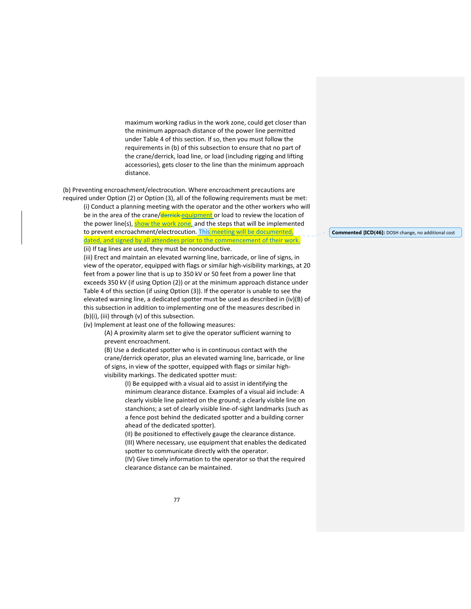maximum working radius in the work zone, could get closer than the minimum approach distance of the power line permitted under Table 4 of this section. If so, then you must follow the requirements in (b) of this subsection to ensure that no part of the crane/derrick, load line, or load (including rigging and lifting accessories), gets closer to the line than the minimum approach distance.

(b) Preventing encroachment/electrocution. Where encroachment precautions are required under Option (2) or Option (3), all of the following requirements must be met:

(i) Conduct a planning meeting with the operator and the other workers who will be in the area of the crane/derrick equipment or load to review the location of the power line(s), show the work zone, and the steps that will be implemented to prevent encroachment/electrocution. This meeting will be documented, dated, and signed by all attendees prior to the commencement of their work. (ii) If tag lines are used, they must be nonconductive.

(iii) Erect and maintain an elevated warning line, barricade, or line of signs, in view of the operator, equipped with flags or similar high‐visibility markings, at 20 feet from a power line that is up to 350 kV or 50 feet from a power line that exceeds 350 kV (if using Option (2)) or at the minimum approach distance under Table 4 of this section (if using Option (3)). If the operator is unable to see the elevated warning line, a dedicated spotter must be used as described in (iv)(B) of this subsection in addition to implementing one of the measures described in (b)(i), (iii) through (v) of this subsection.

(iv) Implement at least one of the following measures:

(A) A proximity alarm set to give the operator sufficient warning to prevent encroachment.

(B) Use a dedicated spotter who is in continuous contact with the crane/derrick operator, plus an elevated warning line, barricade, or line of signs, in view of the spotter, equipped with flags or similar high‐ visibility markings. The dedicated spotter must:

> (I) Be equipped with a visual aid to assist in identifying the minimum clearance distance. Examples of a visual aid include: A clearly visible line painted on the ground; a clearly visible line on stanchions; a set of clearly visible line‐of‐sight landmarks (such as a fence post behind the dedicated spotter and a building corner ahead of the dedicated spotter).

> (II) Be positioned to effectively gauge the clearance distance. (III) Where necessary, use equipment that enables the dedicated spotter to communicate directly with the operator.

> (IV) Give timely information to the operator so that the required clearance distance can be maintained.

#### **Commented [ICD(46]:** DOSH change, no additional cost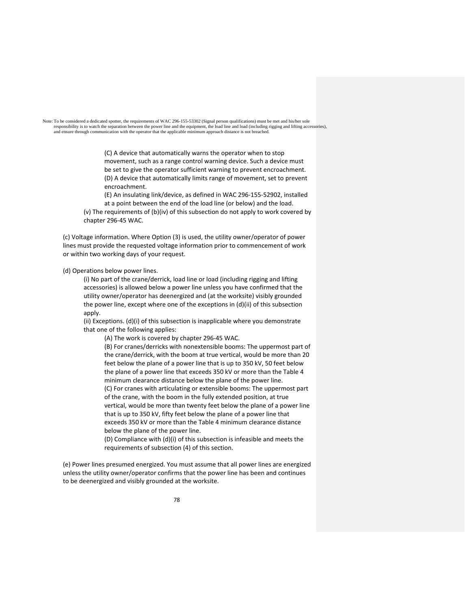Note: To be considered a dedicated spotter, the requirements of WAC 296-155-53302 (Signal person qualifications) must be met and his/her sole responsibility is to watch the separation between the power line and the equipment, the load line and load (including rigging and lifting accessories), and ensure through communication with the operator that the applicable

> (C) A device that automatically warns the operator when to stop movement, such as a range control warning device. Such a device must be set to give the operator sufficient warning to prevent encroachment. (D) A device that automatically limits range of movement, set to prevent encroachment.

(E) An insulating link/device, as defined in WAC 296‐155‐52902, installed at a point between the end of the load line (or below) and the load.

(v) The requirements of (b)(iv) of this subsection do not apply to work covered by chapter 296‐45 WAC.

(c) Voltage information. Where Option (3) is used, the utility owner/operator of power lines must provide the requested voltage information prior to commencement of work or within two working days of your request.

(d) Operations below power lines.

(i) No part of the crane/derrick, load line or load (including rigging and lifting accessories) is allowed below a power line unless you have confirmed that the utility owner/operator has deenergized and (at the worksite) visibly grounded the power line, except where one of the exceptions in (d)(ii) of this subsection apply.

(ii) Exceptions. (d)(i) of this subsection is inapplicable where you demonstrate that one of the following applies:

(A) The work is covered by chapter 296‐45 WAC.

(B) For cranes/derricks with nonextensible booms: The uppermost part of the crane/derrick, with the boom at true vertical, would be more than 20 feet below the plane of a power line that is up to 350 kV, 50 feet below the plane of a power line that exceeds 350 kV or more than the Table 4 minimum clearance distance below the plane of the power line. (C) For cranes with articulating or extensible booms: The uppermost part of the crane, with the boom in the fully extended position, at true vertical, would be more than twenty feet below the plane of a power line that is up to 350 kV, fifty feet below the plane of a power line that exceeds 350 kV or more than the Table 4 minimum clearance distance below the plane of the power line.

(D) Compliance with (d)(i) of this subsection is infeasible and meets the requirements of subsection (4) of this section.

(e) Power lines presumed energized. You must assume that all power lines are energized unless the utility owner/operator confirms that the power line has been and continues to be deenergized and visibly grounded at the worksite.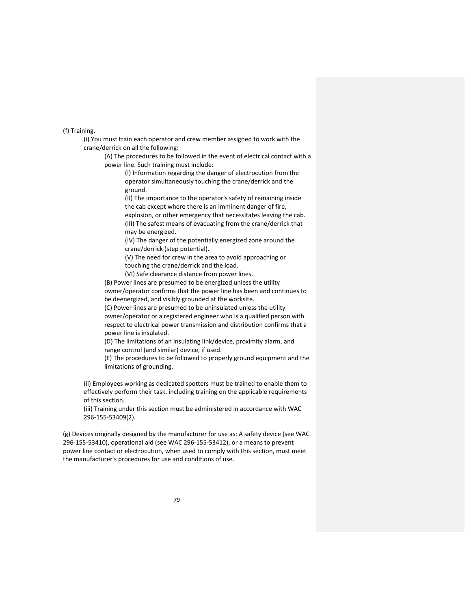(f) Training.

(i) You must train each operator and crew member assigned to work with the crane/derrick on all the following:

(A) The procedures to be followed in the event of electrical contact with a power line. Such training must include:

(I) Information regarding the danger of electrocution from the operator simultaneously touching the crane/derrick and the ground.

(II) The importance to the operator's safety of remaining inside the cab except where there is an imminent danger of fire,

explosion, or other emergency that necessitates leaving the cab. (III) The safest means of evacuating from the crane/derrick that may be energized.

(IV) The danger of the potentially energized zone around the crane/derrick (step potential).

(V) The need for crew in the area to avoid approaching or touching the crane/derrick and the load.

(VI) Safe clearance distance from power lines.

(B) Power lines are presumed to be energized unless the utility owner/operator confirms that the power line has been and continues to be deenergized, and visibly grounded at the worksite.

(C) Power lines are presumed to be uninsulated unless the utility owner/operator or a registered engineer who is a qualified person with respect to electrical power transmission and distribution confirms that a power line is insulated.

(D) The limitations of an insulating link/device, proximity alarm, and range control (and similar) device, if used.

(E) The procedures to be followed to properly ground equipment and the limitations of grounding.

(ii) Employees working as dedicated spotters must be trained to enable them to effectively perform their task, including training on the applicable requirements of this section.

(iii) Training under this section must be administered in accordance with WAC 296‐155‐53409(2).

(g) Devices originally designed by the manufacturer for use as: A safety device (see WAC 296‐155‐53410), operational aid (see WAC 296‐155‐53412), or a means to prevent power line contact or electrocution, when used to comply with this section, must meet the manufacturer's procedures for use and conditions of use.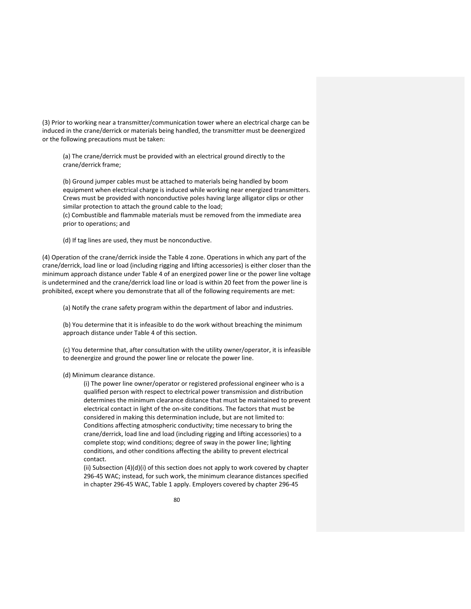(3) Prior to working near a transmitter/communication tower where an electrical charge can be induced in the crane/derrick or materials being handled, the transmitter must be deenergized or the following precautions must be taken:

(a) The crane/derrick must be provided with an electrical ground directly to the crane/derrick frame;

(b) Ground jumper cables must be attached to materials being handled by boom equipment when electrical charge is induced while working near energized transmitters. Crews must be provided with nonconductive poles having large alligator clips or other similar protection to attach the ground cable to the load;

(c) Combustible and flammable materials must be removed from the immediate area prior to operations; and

(d) If tag lines are used, they must be nonconductive.

(4) Operation of the crane/derrick inside the Table 4 zone. Operations in which any part of the crane/derrick, load line or load (including rigging and lifting accessories) is either closer than the minimum approach distance under Table 4 of an energized power line or the power line voltage is undetermined and the crane/derrick load line or load is within 20 feet from the power line is prohibited, except where you demonstrate that all of the following requirements are met:

(a) Notify the crane safety program within the department of labor and industries.

(b) You determine that it is infeasible to do the work without breaching the minimum approach distance under Table 4 of this section.

(c) You determine that, after consultation with the utility owner/operator, it is infeasible to deenergize and ground the power line or relocate the power line.

### (d) Minimum clearance distance.

(i) The power line owner/operator or registered professional engineer who is a qualified person with respect to electrical power transmission and distribution determines the minimum clearance distance that must be maintained to prevent electrical contact in light of the on‐site conditions. The factors that must be considered in making this determination include, but are not limited to: Conditions affecting atmospheric conductivity; time necessary to bring the crane/derrick, load line and load (including rigging and lifting accessories) to a complete stop; wind conditions; degree of sway in the power line; lighting conditions, and other conditions affecting the ability to prevent electrical contact.

(ii) Subsection (4)(d)(i) of this section does not apply to work covered by chapter 296‐45 WAC; instead, for such work, the minimum clearance distances specified in chapter 296‐45 WAC, Table 1 apply. Employers covered by chapter 296‐45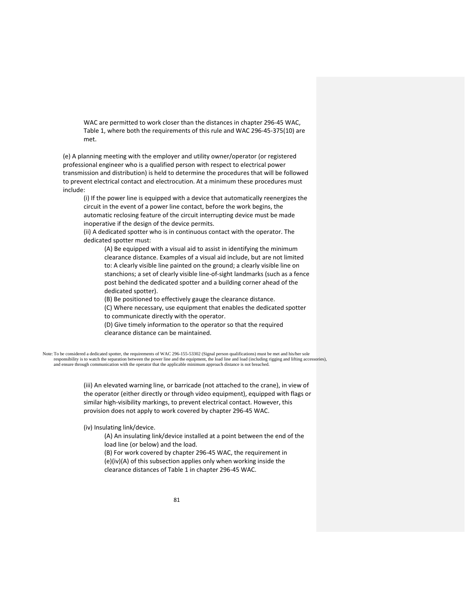WAC are permitted to work closer than the distances in chapter 296‐45 WAC, Table 1, where both the requirements of this rule and WAC 296‐45‐375(10) are met.

(e) A planning meeting with the employer and utility owner/operator (or registered professional engineer who is a qualified person with respect to electrical power transmission and distribution) is held to determine the procedures that will be followed to prevent electrical contact and electrocution. At a minimum these procedures must include:

(i) If the power line is equipped with a device that automatically reenergizes the circuit in the event of a power line contact, before the work begins, the automatic reclosing feature of the circuit interrupting device must be made inoperative if the design of the device permits.

(ii) A dedicated spotter who is in continuous contact with the operator. The dedicated spotter must:

(A) Be equipped with a visual aid to assist in identifying the minimum clearance distance. Examples of a visual aid include, but are not limited to: A clearly visible line painted on the ground; a clearly visible line on stanchions; a set of clearly visible line‐of‐sight landmarks (such as a fence post behind the dedicated spotter and a building corner ahead of the dedicated spotter).

(B) Be positioned to effectively gauge the clearance distance.

(C) Where necessary, use equipment that enables the dedicated spotter to communicate directly with the operator.

(D) Give timely information to the operator so that the required clearance distance can be maintained.

Note: To be considered a dedicated spotter, the requirements of WAC 296-155-53302 (Signal person qualifications) must be met and his/her sole responsibility is to watch the separation between the power line and the equipment, the load line and load (including rigging and lifting accessories), and ensure through communication with the operator that the applicable minimum approach distance is not breached.

> (iii) An elevated warning line, or barricade (not attached to the crane), in view of the operator (either directly or through video equipment), equipped with flags or similar high-visibility markings, to prevent electrical contact. However, this provision does not apply to work covered by chapter 296‐45 WAC.

(iv) Insulating link/device.

(A) An insulating link/device installed at a point between the end of the load line (or below) and the load.

(B) For work covered by chapter 296‐45 WAC, the requirement in (e)(iv)(A) of this subsection applies only when working inside the clearance distances of Table 1 in chapter 296‐45 WAC.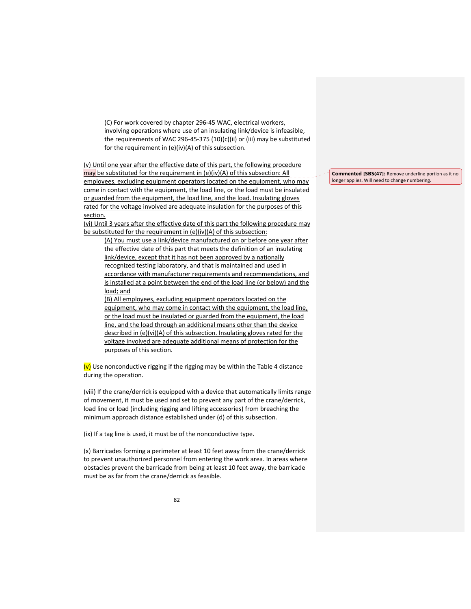(C) For work covered by chapter 296‐45 WAC, electrical workers, involving operations where use of an insulating link/device is infeasible, the requirements of WAC 296‐45‐375 (10)(c)(ii) or (iii) may be substituted for the requirement in (e)(iv)(A) of this subsection.

(v) Until one year after the effective date of this part, the following procedure may be substituted for the requirement in (e)(iv)(A) of this subsection: All employees, excluding equipment operators located on the equipment, who may come in contact with the equipment, the load line, or the load must be insulated or guarded from the equipment, the load line, and the load. Insulating gloves rated for the voltage involved are adequate insulation for the purposes of this section.

(vi) Until 3 years after the effective date of this part the following procedure may be substituted for the requirement in (e)(iv)(A) of this subsection:

(A) You must use a link/device manufactured on or before one year after the effective date of this part that meets the definition of an insulating link/device, except that it has not been approved by a nationally recognized testing laboratory, and that is maintained and used in accordance with manufacturer requirements and recommendations, and is installed at a point between the end of the load line (or below) and the load; and

(B) All employees, excluding equipment operators located on the equipment, who may come in contact with the equipment, the load line, or the load must be insulated or guarded from the equipment, the load line, and the load through an additional means other than the device described in (e)(vi)(A) of this subsection. Insulating gloves rated for the voltage involved are adequate additional means of protection for the purposes of this section.

 $(v)$  Use nonconductive rigging if the rigging may be within the Table 4 distance during the operation.

(viii) If the crane/derrick is equipped with a device that automatically limits range of movement, it must be used and set to prevent any part of the crane/derrick, load line or load (including rigging and lifting accessories) from breaching the minimum approach distance established under (d) of this subsection.

(ix) If a tag line is used, it must be of the nonconductive type.

(x) Barricades forming a perimeter at least 10 feet away from the crane/derrick to prevent unauthorized personnel from entering the work area. In areas where obstacles prevent the barricade from being at least 10 feet away, the barricade must be as far from the crane/derrick as feasible.

**Commented [SBS(47]:** Remove underline portion as it no longer applies. Will need to change numbering.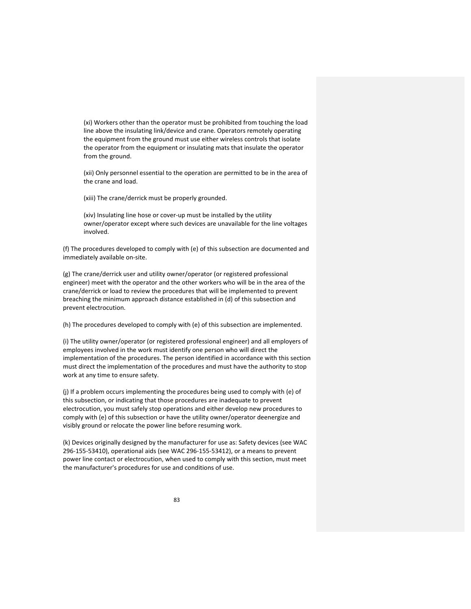(xi) Workers other than the operator must be prohibited from touching the load line above the insulating link/device and crane. Operators remotely operating the equipment from the ground must use either wireless controls that isolate the operator from the equipment or insulating mats that insulate the operator from the ground.

(xii) Only personnel essential to the operation are permitted to be in the area of the crane and load.

(xiii) The crane/derrick must be properly grounded.

(xiv) Insulating line hose or cover‐up must be installed by the utility owner/operator except where such devices are unavailable for the line voltages involved.

(f) The procedures developed to comply with (e) of this subsection are documented and immediately available on‐site.

(g) The crane/derrick user and utility owner/operator (or registered professional engineer) meet with the operator and the other workers who will be in the area of the crane/derrick or load to review the procedures that will be implemented to prevent breaching the minimum approach distance established in (d) of this subsection and prevent electrocution.

(h) The procedures developed to comply with (e) of this subsection are implemented.

(i) The utility owner/operator (or registered professional engineer) and all employers of employees involved in the work must identify one person who will direct the implementation of the procedures. The person identified in accordance with this section must direct the implementation of the procedures and must have the authority to stop work at any time to ensure safety.

(j) If a problem occurs implementing the procedures being used to comply with (e) of this subsection, or indicating that those procedures are inadequate to prevent electrocution, you must safely stop operations and either develop new procedures to comply with (e) of this subsection or have the utility owner/operator deenergize and visibly ground or relocate the power line before resuming work.

(k) Devices originally designed by the manufacturer for use as: Safety devices (see WAC 296‐155‐53410), operational aids (see WAC 296‐155‐53412), or a means to prevent power line contact or electrocution, when used to comply with this section, must meet the manufacturer's procedures for use and conditions of use.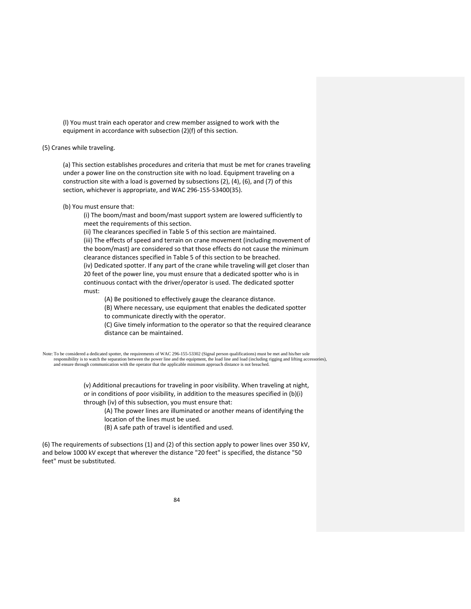(l) You must train each operator and crew member assigned to work with the equipment in accordance with subsection (2)(f) of this section.

(5) Cranes while traveling.

(a) This section establishes procedures and criteria that must be met for cranes traveling under a power line on the construction site with no load. Equipment traveling on a construction site with a load is governed by subsections (2), (4), (6), and (7) of this section, whichever is appropriate, and WAC 296-155-53400(35).

(b) You must ensure that:

(i) The boom/mast and boom/mast support system are lowered sufficiently to meet the requirements of this section.

(ii) The clearances specified in Table 5 of this section are maintained.

(iii) The effects of speed and terrain on crane movement (including movement of the boom/mast) are considered so that those effects do not cause the minimum clearance distances specified in Table 5 of this section to be breached. (iv) Dedicated spotter. If any part of the crane while traveling will get closer than 20 feet of the power line, you must ensure that a dedicated spotter who is in

continuous contact with the driver/operator is used. The dedicated spotter must:

(A) Be positioned to effectively gauge the clearance distance.

(B) Where necessary, use equipment that enables the dedicated spotter to communicate directly with the operator.

(C) Give timely information to the operator so that the required clearance distance can be maintained.

Note: To be considered a dedicated spotter, the requirements of WAC 296-155-53302 (Signal person qualifications) must be met and his/her sole responsibility is to watch the separation between the power line and the equipment, the load line and load (including rigging and lifting accessories), and ensure through communication with the operator that the applicable minimum approach distance is not breached.

> (v) Additional precautions for traveling in poor visibility. When traveling at night, or in conditions of poor visibility, in addition to the measures specified in (b)(i) through (iv) of this subsection, you must ensure that:

(A) The power lines are illuminated or another means of identifying the location of the lines must be used.

(B) A safe path of travel is identified and used.

(6) The requirements of subsections (1) and (2) of this section apply to power lines over 350 kV, and below 1000 kV except that wherever the distance "20 feet" is specified, the distance "50 feet" must be substituted.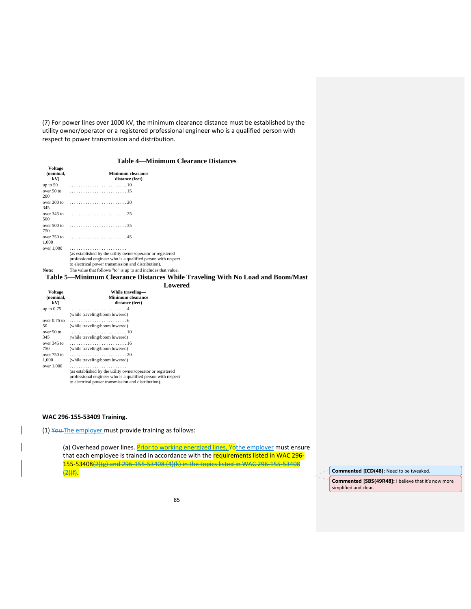(7) For power lines over 1000 kV, the minimum clearance distance must be established by the utility owner/operator or a registered professional engineer who is a qualified person with respect to power transmission and distribution.

## **Table 4—Minimum Clearance Distances**

| (nominal,<br>kV)     | <b>Minimum clearance</b><br>distance (feet)                                                                                                                                        |
|----------------------|------------------------------------------------------------------------------------------------------------------------------------------------------------------------------------|
| up to $50$           |                                                                                                                                                                                    |
| over 50 to<br>200    |                                                                                                                                                                                    |
| over 200 to<br>345   |                                                                                                                                                                                    |
| 500                  | over 345 to $\ldots \ldots \ldots \ldots \ldots \ldots \ldots \ldots 25$                                                                                                           |
| 750                  | over 500 to $\ldots \ldots \ldots \ldots \ldots \ldots \ldots 35$                                                                                                                  |
| over 750 to<br>1.000 |                                                                                                                                                                                    |
| over 1,000           | (as established by the utility owner/operator or registered<br>professional engineer who is a qualified person with respect<br>to electrical power transmission and distribution). |
| Note:                | The value that follows "to" is up to and includes that value.                                                                                                                      |

### **Table 5—Minimum Clearance Distances While Traveling With No Load and Boom/Mast Lowered**

|                | -------                                                                                                                                                                            |
|----------------|------------------------------------------------------------------------------------------------------------------------------------------------------------------------------------|
| <b>Voltage</b> | While traveling-                                                                                                                                                                   |
| (nominal.      | Minimum clearance                                                                                                                                                                  |
| kV)            | distance (feet)                                                                                                                                                                    |
| up to $0.75$   | (while traveling/boom lowered)                                                                                                                                                     |
| over $0.75$ to |                                                                                                                                                                                    |
| 50             | (while traveling/boom lowered)                                                                                                                                                     |
| over 50 to     |                                                                                                                                                                                    |
| 345            | (while traveling/boom lowered)                                                                                                                                                     |
| $over 345$ to  |                                                                                                                                                                                    |
| 750            | (while traveling/boom lowered)                                                                                                                                                     |
| $over 750$ to  |                                                                                                                                                                                    |
| 1.000          | (while traveling/boom lowered)                                                                                                                                                     |
| over 1,000     | (as established by the utility owner/operator or registered<br>professional engineer who is a qualified person with respect<br>to electrical power transmission and distribution). |

## **WAC 296‐155‐53409 Training.**

**Voltage** 

(1) You The employer must provide training as follows:

(a) Overhead power lines. **Prior to working energized lines, ¥othe employer** must ensure that each employee is trained in accordance with the requirements listed in WAC 296-155‐53408(2)(g) and 296‐155‐53408 (4)(k) in the topics listed in WAC 296‐155‐53408 (2)(f). **Commented [ICD(48]:** Need to be tweaked.

**Commented [SBS(49R48]:** I believe that it's now more simplified and clear.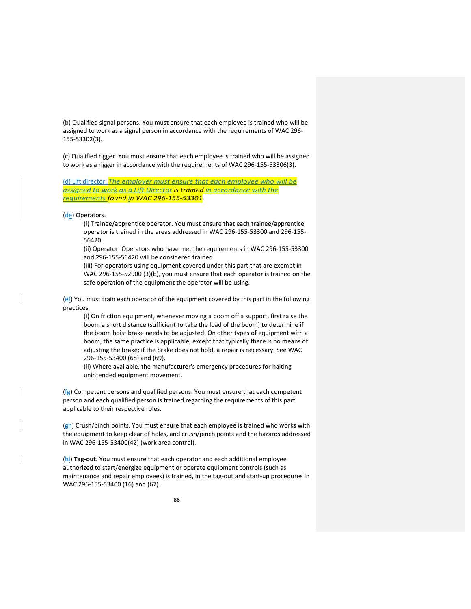(b) Qualified signal persons. You must ensure that each employee is trained who will be assigned to work as a signal person in accordance with the requirements of WAC 296‐ 155‐53302(3).

(c) Qualified rigger. You must ensure that each employee is trained who will be assigned to work as a rigger in accordance with the requirements of WAC 296‐155‐53306(3).

(d) Lift director. *The employer must ensure that each employee who will be assigned to work as a Lift Director is trained in accordance with the requirements found in WAC 296‐155‐53301.*

(de) Operators.

(i) Trainee/apprentice operator. You must ensure that each trainee/apprentice operator is trained in the areas addressed in WAC 296‐155‐53300 and 296‐155‐ 56420.

(ii) Operator. Operators who have met the requirements in WAC 296‐155‐53300 and 296‐155‐56420 will be considered trained.

(iii) For operators using equipment covered under this part that are exempt in WAC 296‐155‐52900 (3)(b), you must ensure that each operator is trained on the safe operation of the equipment the operator will be using.

(ef) You must train each operator of the equipment covered by this part in the following practices:

(i) On friction equipment, whenever moving a boom off a support, first raise the boom a short distance (sufficient to take the load of the boom) to determine if the boom hoist brake needs to be adjusted. On other types of equipment with a boom, the same practice is applicable, except that typically there is no means of adjusting the brake; if the brake does not hold, a repair is necessary. See WAC 296‐155‐53400 (68) and (69).

(ii) Where available, the manufacturer's emergency procedures for halting unintended equipment movement.

 $(f<sub>g</sub>)$  Competent persons and qualified persons. You must ensure that each competent person and each qualified person is trained regarding the requirements of this part applicable to their respective roles.

(gh) Crush/pinch points. You must ensure that each employee is trained who works with the equipment to keep clear of holes, and crush/pinch points and the hazards addressed in WAC 296‐155‐53400(42) (work area control).

(hi) **Tag‐out.** You must ensure that each operator and each additional employee authorized to start/energize equipment or operate equipment controls (such as maintenance and repair employees) is trained, in the tag-out and start-up procedures in WAC 296‐155‐53400 (16) and (67).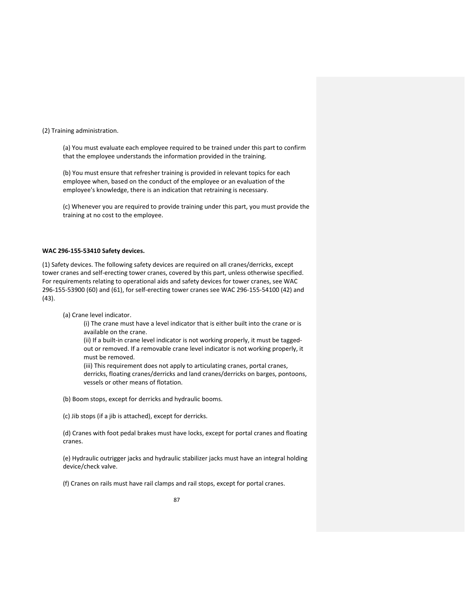(2) Training administration.

(a) You must evaluate each employee required to be trained under this part to confirm that the employee understands the information provided in the training.

(b) You must ensure that refresher training is provided in relevant topics for each employee when, based on the conduct of the employee or an evaluation of the employee's knowledge, there is an indication that retraining is necessary.

(c) Whenever you are required to provide training under this part, you must provide the training at no cost to the employee.

### **WAC 296‐155‐53410 Safety devices.**

(1) Safety devices. The following safety devices are required on all cranes/derricks, except tower cranes and self‐erecting tower cranes, covered by this part, unless otherwise specified. For requirements relating to operational aids and safety devices for tower cranes, see WAC 296‐155‐53900 (60) and (61), for self‐erecting tower cranes see WAC 296‐155‐54100 (42) and (43).

(a) Crane level indicator.

(i) The crane must have a level indicator that is either built into the crane or is available on the crane.

(ii) If a built‐in crane level indicator is not working properly, it must be tagged‐ out or removed. If a removable crane level indicator is not working properly, it must be removed.

(iii) This requirement does not apply to articulating cranes, portal cranes, derricks, floating cranes/derricks and land cranes/derricks on barges, pontoons, vessels or other means of flotation.

(b) Boom stops, except for derricks and hydraulic booms.

(c) Jib stops (if a jib is attached), except for derricks.

(d) Cranes with foot pedal brakes must have locks, except for portal cranes and floating cranes.

(e) Hydraulic outrigger jacks and hydraulic stabilizer jacks must have an integral holding device/check valve.

(f) Cranes on rails must have rail clamps and rail stops, except for portal cranes.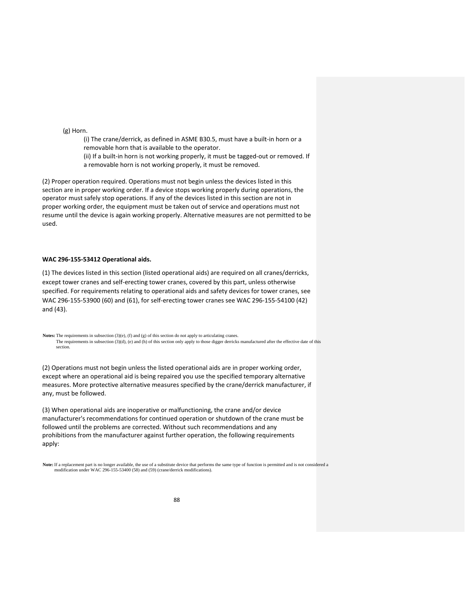(g) Horn.

(i) The crane/derrick, as defined in ASME B30.5, must have a built‐in horn or a removable horn that is available to the operator.

(ii) If a built-in horn is not working properly, it must be tagged-out or removed. If a removable horn is not working properly, it must be removed.

(2) Proper operation required. Operations must not begin unless the devices listed in this section are in proper working order. If a device stops working properly during operations, the operator must safely stop operations. If any of the devices listed in this section are not in proper working order, the equipment must be taken out of service and operations must not resume until the device is again working properly. Alternative measures are not permitted to be used.

## **WAC 296‐155‐53412 Operational aids.**

(1) The devices listed in this section (listed operational aids) are required on all cranes/derricks, except tower cranes and self‐erecting tower cranes, covered by this part, unless otherwise specified. For requirements relating to operational aids and safety devices for tower cranes, see WAC 296‐155‐53900 (60) and (61), for self‐erecting tower cranes see WAC 296‐155‐54100 (42) and (43).

**Notes:** The requirements in subsection (3)(e), (f) and (g) of this section do not apply to articulating cranes. The requirements in subsection (3)(d), (e) and (h) of this section only apply to those digger derricks manufactured after the effective date of this section.

(2) Operations must not begin unless the listed operational aids are in proper working order, except where an operational aid is being repaired you use the specified temporary alternative measures. More protective alternative measures specified by the crane/derrick manufacturer, if any, must be followed.

(3) When operational aids are inoperative or malfunctioning, the crane and/or device manufacturer's recommendations for continued operation or shutdown of the crane must be followed until the problems are corrected. Without such recommendations and any prohibitions from the manufacturer against further operation, the following requirements apply:

**Note:** If a replacement part is no longer available, the use of a substitute device that performs the same type of function is permitted and is not considered a modification under WAC 296-155-53400 (58) and (59) (crane/derrick modifications).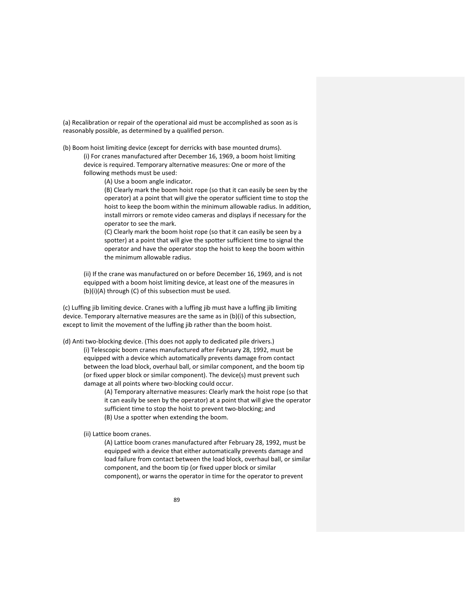(a) Recalibration or repair of the operational aid must be accomplished as soon as is reasonably possible, as determined by a qualified person.

(b) Boom hoist limiting device (except for derricks with base mounted drums).

(i) For cranes manufactured after December 16, 1969, a boom hoist limiting device is required. Temporary alternative measures: One or more of the following methods must be used:

(A) Use a boom angle indicator.

(B) Clearly mark the boom hoist rope (so that it can easily be seen by the operator) at a point that will give the operator sufficient time to stop the hoist to keep the boom within the minimum allowable radius. In addition, install mirrors or remote video cameras and displays if necessary for the operator to see the mark.

(C) Clearly mark the boom hoist rope (so that it can easily be seen by a spotter) at a point that will give the spotter sufficient time to signal the operator and have the operator stop the hoist to keep the boom within the minimum allowable radius.

(ii) If the crane was manufactured on or before December 16, 1969, and is not equipped with a boom hoist limiting device, at least one of the measures in (b)(i)(A) through (C) of this subsection must be used.

(c) Luffing jib limiting device. Cranes with a luffing jib must have a luffing jib limiting device. Temporary alternative measures are the same as in (b)(i) of this subsection, except to limit the movement of the luffing jib rather than the boom hoist.

(d) Anti two-blocking device. (This does not apply to dedicated pile drivers.) (i) Telescopic boom cranes manufactured after February 28, 1992, must be equipped with a device which automatically prevents damage from contact between the load block, overhaul ball, or similar component, and the boom tip (or fixed upper block or similar component). The device(s) must prevent such damage at all points where two‐blocking could occur.

> (A) Temporary alternative measures: Clearly mark the hoist rope (so that it can easily be seen by the operator) at a point that will give the operator sufficient time to stop the hoist to prevent two-blocking; and (B) Use a spotter when extending the boom.

(ii) Lattice boom cranes.

(A) Lattice boom cranes manufactured after February 28, 1992, must be equipped with a device that either automatically prevents damage and load failure from contact between the load block, overhaul ball, or similar component, and the boom tip (or fixed upper block or similar component), or warns the operator in time for the operator to prevent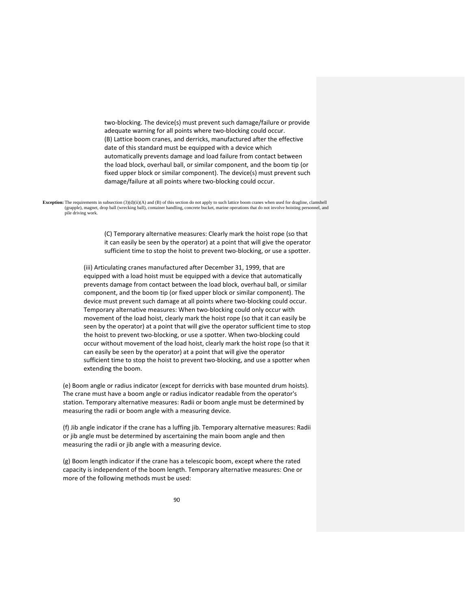two‐blocking. The device(s) must prevent such damage/failure or provide adequate warning for all points where two‐blocking could occur. (B) Lattice boom cranes, and derricks, manufactured after the effective date of this standard must be equipped with a device which automatically prevents damage and load failure from contact between the load block, overhaul ball, or similar component, and the boom tip (or fixed upper block or similar component). The device(s) must prevent such damage/failure at all points where two‐blocking could occur.

**Exception:** The requirements in subsection (3)(d)(ii)(A) and (B) of this section do not apply to such lattice boom cranes when used for dragline, clamshell (grapple), magnet, drop ball (wrecking ball), container handling, concrete bucket, marine operations that do not involve hoisting personnel, and pile driving work.

> (C) Temporary alternative measures: Clearly mark the hoist rope (so that it can easily be seen by the operator) at a point that will give the operator sufficient time to stop the hoist to prevent two-blocking, or use a spotter.

(iii) Articulating cranes manufactured after December 31, 1999, that are equipped with a load hoist must be equipped with a device that automatically prevents damage from contact between the load block, overhaul ball, or similar component, and the boom tip (or fixed upper block or similar component). The device must prevent such damage at all points where two‐blocking could occur. Temporary alternative measures: When two‐blocking could only occur with movement of the load hoist, clearly mark the hoist rope (so that it can easily be seen by the operator) at a point that will give the operator sufficient time to stop the hoist to prevent two‐blocking, or use a spotter. When two‐blocking could occur without movement of the load hoist, clearly mark the hoist rope (so that it can easily be seen by the operator) at a point that will give the operator sufficient time to stop the hoist to prevent two-blocking, and use a spotter when extending the boom.

(e) Boom angle or radius indicator (except for derricks with base mounted drum hoists). The crane must have a boom angle or radius indicator readable from the operator's station. Temporary alternative measures: Radii or boom angle must be determined by measuring the radii or boom angle with a measuring device.

(f) Jib angle indicator if the crane has a luffing jib. Temporary alternative measures: Radii or jib angle must be determined by ascertaining the main boom angle and then measuring the radii or jib angle with a measuring device.

(g) Boom length indicator if the crane has a telescopic boom, except where the rated capacity is independent of the boom length. Temporary alternative measures: One or more of the following methods must be used: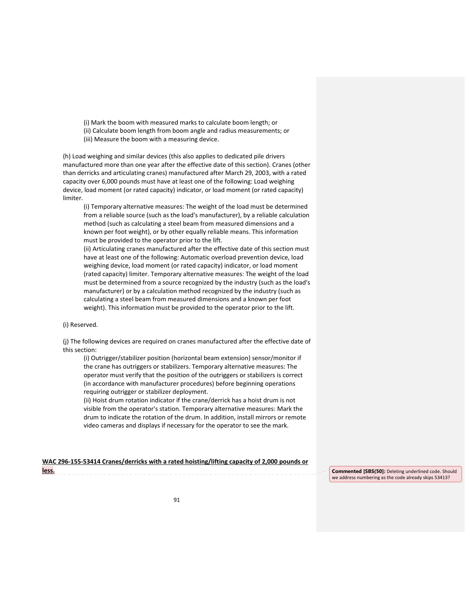- (i) Mark the boom with measured marks to calculate boom length; or (ii) Calculate boom length from boom angle and radius measurements; or
- (iii) Measure the boom with a measuring device.

(h) Load weighing and similar devices (this also applies to dedicated pile drivers

manufactured more than one year after the effective date of this section). Cranes (other than derricks and articulating cranes) manufactured after March 29, 2003, with a rated capacity over 6,000 pounds must have at least one of the following: Load weighing device, load moment (or rated capacity) indicator, or load moment (or rated capacity) limiter.

(i) Temporary alternative measures: The weight of the load must be determined from a reliable source (such as the load's manufacturer), by a reliable calculation method (such as calculating a steel beam from measured dimensions and a known per foot weight), or by other equally reliable means. This information must be provided to the operator prior to the lift.

(ii) Articulating cranes manufactured after the effective date of this section must have at least one of the following: Automatic overload prevention device, load weighing device, load moment (or rated capacity) indicator, or load moment (rated capacity) limiter. Temporary alternative measures: The weight of the load must be determined from a source recognized by the industry (such as the load's manufacturer) or by a calculation method recognized by the industry (such as calculating a steel beam from measured dimensions and a known per foot weight). This information must be provided to the operator prior to the lift.

(i) Reserved.

(j) The following devices are required on cranes manufactured after the effective date of this section:

(i) Outrigger/stabilizer position (horizontal beam extension) sensor/monitor if the crane has outriggers or stabilizers. Temporary alternative measures: The operator must verify that the position of the outriggers or stabilizers is correct (in accordance with manufacturer procedures) before beginning operations requiring outrigger or stabilizer deployment.

(ii) Hoist drum rotation indicator if the crane/derrick has a hoist drum is not visible from the operator's station. Temporary alternative measures: Mark the drum to indicate the rotation of the drum. In addition, install mirrors or remote video cameras and displays if necessary for the operator to see the mark.

|       | WAC 296-155-53414 Cranes/derricks with a rated hoisting/lifting capacity of 2,000 pounds or |  |
|-------|---------------------------------------------------------------------------------------------|--|
| less. |                                                                                             |  |

**Commented [SBS(50]:** Deleting underlined code. Should we address numbering as the code already skips 53413?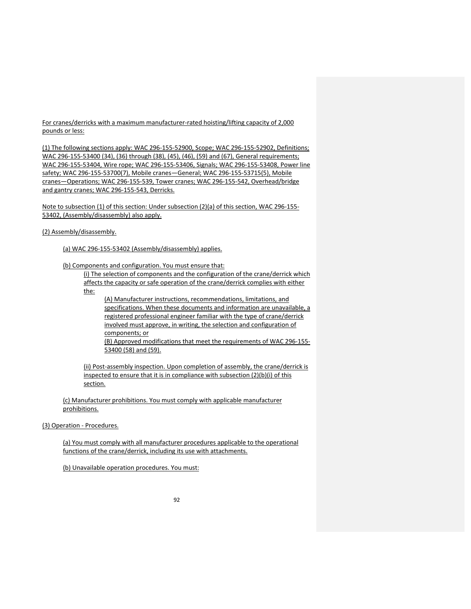For cranes/derricks with a maximum manufacturer-rated hoisting/lifting capacity of 2,000 pounds or less:

(1) The following sections apply: WAC 296‐155‐52900, Scope; WAC 296‐155‐52902, Definitions; WAC 296-155-53400 (34), (36) through (38), (45), (46), (59) and (67), General requirements; WAC 296‐155‐53404, Wire rope; WAC 296‐155‐53406, Signals; WAC 296‐155‐53408, Power line safety; WAC 296‐155‐53700(7), Mobile cranes—General; WAC 296‐155‐53715(5), Mobile cranes—Operations; WAC 296‐155‐539, Tower cranes; WAC 296‐155‐542, Overhead/bridge and gantry cranes; WAC 296-155-543, Derricks.

Note to subsection (1) of this section: Under subsection (2)(a) of this section, WAC 296‐155‐ 53402, (Assembly/disassembly) also apply.

# (2) Assembly/disassembly.

(a) WAC 296‐155‐53402 (Assembly/disassembly) applies.

(b) Components and configuration. You must ensure that:

(i) The selection of components and the configuration of the crane/derrick which affects the capacity or safe operation of the crane/derrick complies with either the:

(A) Manufacturer instructions, recommendations, limitations, and specifications. When these documents and information are unavailable, a registered professional engineer familiar with the type of crane/derrick involved must approve, in writing, the selection and configuration of components; or

(B) Approved modifications that meet the requirements of WAC 296‐155‐ 53400 (58) and (59).

(ii) Post-assembly inspection. Upon completion of assembly, the crane/derrick is inspected to ensure that it is in compliance with subsection (2)(b)(i) of this section.

(c) Manufacturer prohibitions. You must comply with applicable manufacturer prohibitions.

(3) Operation ‐ Procedures.

(a) You must comply with all manufacturer procedures applicable to the operational functions of the crane/derrick, including its use with attachments.

(b) Unavailable operation procedures. You must: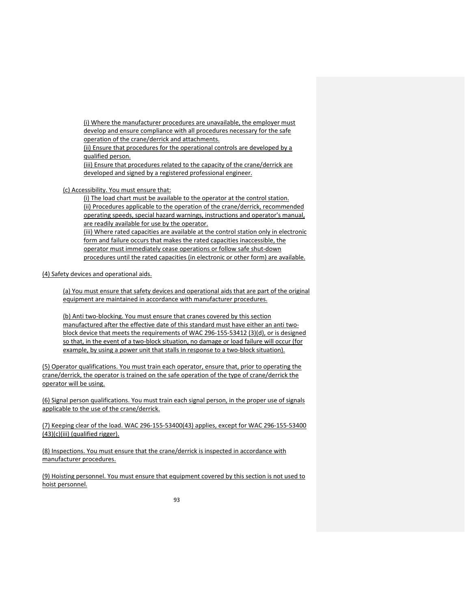(i) Where the manufacturer procedures are unavailable, the employer must develop and ensure compliance with all procedures necessary for the safe operation of the crane/derrick and attachments.

(ii) Ensure that procedures for the operational controls are developed by a qualified person.

(iii) Ensure that procedures related to the capacity of the crane/derrick are developed and signed by a registered professional engineer.

(c) Accessibility. You must ensure that:

(i) The load chart must be available to the operator at the control station. (ii) Procedures applicable to the operation of the crane/derrick, recommended operating speeds, special hazard warnings, instructions and operator's manual, are readily available for use by the operator.

(iii) Where rated capacities are available at the control station only in electronic form and failure occurs that makes the rated capacities inaccessible, the operator must immediately cease operations or follow safe shut‐down procedures until the rated capacities (in electronic or other form) are available.

(4) Safety devices and operational aids.

(a) You must ensure that safety devices and operational aids that are part of the original equipment are maintained in accordance with manufacturer procedures.

(b) Anti two‐blocking. You must ensure that cranes covered by this section manufactured after the effective date of this standard must have either an anti two‐ block device that meets the requirements of WAC 296‐155‐53412 (3)(d), or is designed so that, in the event of a two-block situation, no damage or load failure will occur (for example, by using a power unit that stalls in response to a two-block situation).

(5) Operator qualifications. You must train each operator, ensure that, prior to operating the crane/derrick, the operator is trained on the safe operation of the type of crane/derrick the operator will be using.

(6) Signal person qualifications. You must train each signal person, in the proper use of signals applicable to the use of the crane/derrick.

(7) Keeping clear of the load. WAC 296‐155‐53400(43) applies, except for WAC 296‐155‐53400 (43)(c)(iii) (qualified rigger).

(8) Inspections. You must ensure that the crane/derrick is inspected in accordance with manufacturer procedures.

(9) Hoisting personnel. You must ensure that equipment covered by this section is not used to hoist personnel.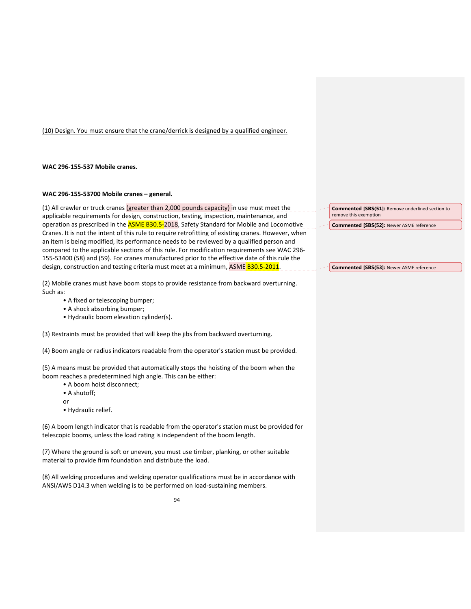(10) Design. You must ensure that the crane/derrick is designed by a qualified engineer.

## **WAC 296‐155‐537 Mobile cranes.**

## **WAC 296‐155‐53700 Mobile cranes – general.**

(1) All crawler or truck cranes  $\left($ greater than 2,000 pounds capacity) in use must meet the applicable requirements for design, construction, testing, inspection, maintenance, and operation as prescribed in the **ASME B30.5-2018**, Safety Standard for Mobile and Locomotive Cranes. It is not the intent of this rule to require retrofitting of existing cranes. However, when an item is being modified, its performance needs to be reviewed by a qualified person and compared to the applicable sections of this rule. For modification requirements see WAC 296‐ 155‐53400 (58) and (59). For cranes manufactured prior to the effective date of this rule the design, construction and testing criteria must meet at a minimum, ASME B30.5-2011.

(2) Mobile cranes must have boom stops to provide resistance from backward overturning. Such as:

- A fixed or telescoping bumper;
- A shock absorbing bumper;
- Hydraulic boom elevation cylinder(s).

(3) Restraints must be provided that will keep the jibs from backward overturning.

(4) Boom angle or radius indicators readable from the operator's station must be provided.

(5) A means must be provided that automatically stops the hoisting of the boom when the boom reaches a predetermined high angle. This can be either:

- A boom hoist disconnect;
- A shutoff;
- or
- Hydraulic relief.

(6) A boom length indicator that is readable from the operator's station must be provided for telescopic booms, unless the load rating is independent of the boom length.

(7) Where the ground is soft or uneven, you must use timber, planking, or other suitable material to provide firm foundation and distribute the load.

(8) All welding procedures and welding operator qualifications must be in accordance with ANSI/AWS D14.3 when welding is to be performed on load‐sustaining members.

**Commented [SBS(51]:** Remove underlined section to remove this exemption

**Commented [SBS(52]:** Newer ASME reference

**Commented [SBS(53]:** Newer ASME reference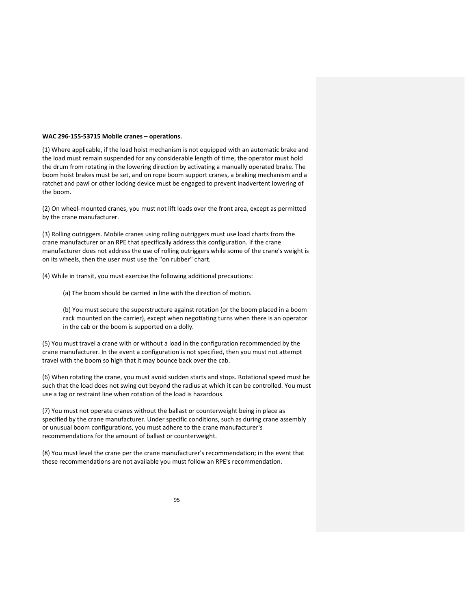### **WAC 296‐155‐53715 Mobile cranes – operations.**

(1) Where applicable, if the load hoist mechanism is not equipped with an automatic brake and the load must remain suspended for any considerable length of time, the operator must hold the drum from rotating in the lowering direction by activating a manually operated brake. The boom hoist brakes must be set, and on rope boom support cranes, a braking mechanism and a ratchet and pawl or other locking device must be engaged to prevent inadvertent lowering of the boom.

(2) On wheel‐mounted cranes, you must not lift loads over the front area, except as permitted by the crane manufacturer.

(3) Rolling outriggers. Mobile cranes using rolling outriggers must use load charts from the crane manufacturer or an RPE that specifically address this configuration. If the crane manufacturer does not address the use of rolling outriggers while some of the crane's weight is on its wheels, then the user must use the "on rubber" chart.

(4) While in transit, you must exercise the following additional precautions:

(a) The boom should be carried in line with the direction of motion.

(b) You must secure the superstructure against rotation (or the boom placed in a boom rack mounted on the carrier), except when negotiating turns when there is an operator in the cab or the boom is supported on a dolly.

(5) You must travel a crane with or without a load in the configuration recommended by the crane manufacturer. In the event a configuration is not specified, then you must not attempt travel with the boom so high that it may bounce back over the cab.

(6) When rotating the crane, you must avoid sudden starts and stops. Rotational speed must be such that the load does not swing out beyond the radius at which it can be controlled. You must use a tag or restraint line when rotation of the load is hazardous.

(7) You must not operate cranes without the ballast or counterweight being in place as specified by the crane manufacturer. Under specific conditions, such as during crane assembly or unusual boom configurations, you must adhere to the crane manufacturer's recommendations for the amount of ballast or counterweight.

(8) You must level the crane per the crane manufacturer's recommendation; in the event that these recommendations are not available you must follow an RPE's recommendation.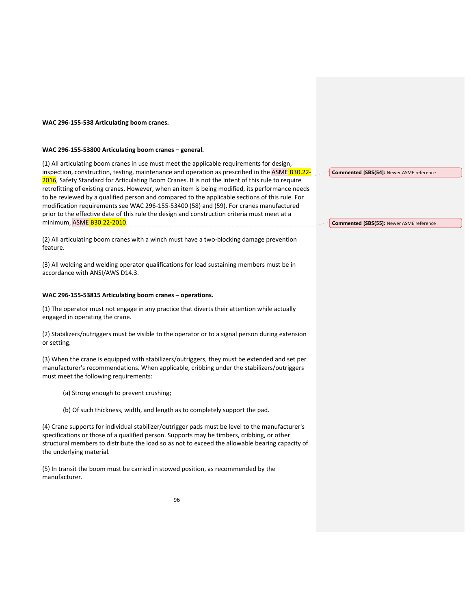## **WAC 296‐155‐538 Articulating boom cranes.**

#### **WAC 296‐155‐53800 Articulating boom cranes – general.**

(1) All articulating boom cranes in use must meet the applicable requirements for design, inspection, construction, testing, maintenance and operation as prescribed in the ASME B30.22-2016, Safety Standard for Articulating Boom Cranes. It is not the intent of this rule to require retrofitting of existing cranes. However, when an item is being modified, its performance needs to be reviewed by a qualified person and compared to the applicable sections of this rule. For modification requirements see WAC 296‐155‐53400 (58) and (59). For cranes manufactured prior to the effective date of this rule the design and construction criteria must meet at a minimum, ASME B30.22-2010.

(2) All articulating boom cranes with a winch must have a two‐blocking damage prevention feature.

(3) All welding and welding operator qualifications for load sustaining members must be in accordance with ANSI/AWS D14.3.

### **WAC 296‐155‐53815 Articulating boom cranes – operations.**

(1) The operator must not engage in any practice that diverts their attention while actually engaged in operating the crane.

(2) Stabilizers/outriggers must be visible to the operator or to a signal person during extension or setting.

(3) When the crane is equipped with stabilizers/outriggers, they must be extended and set per manufacturer's recommendations. When applicable, cribbing under the stabilizers/outriggers must meet the following requirements:

- (a) Strong enough to prevent crushing;
- (b) Of such thickness, width, and length as to completely support the pad.

(4) Crane supports for individual stabilizer/outrigger pads must be level to the manufacturer's specifications or those of a qualified person. Supports may be timbers, cribbing, or other structural members to distribute the load so as not to exceed the allowable bearing capacity of the underlying material.

(5) In transit the boom must be carried in stowed position, as recommended by the manufacturer.

**Commented [SBS(54]:** Newer ASME reference

### **Commented [SBS(55]:** Newer ASME reference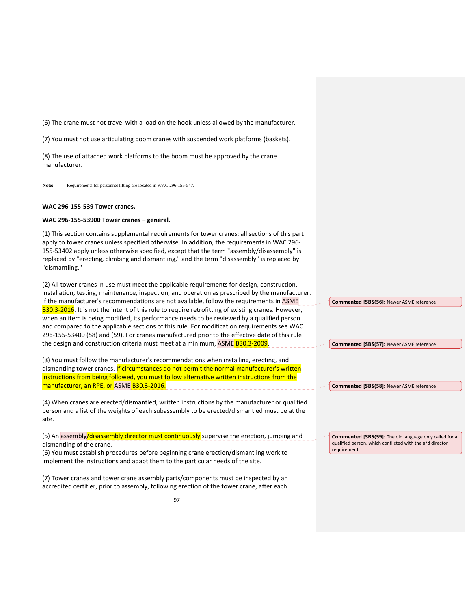(6) The crane must not travel with a load on the hook unless allowed by the manufacturer.

(7) You must not use articulating boom cranes with suspended work platforms (baskets).

(8) The use of attached work platforms to the boom must be approved by the crane manufacturer.

**Note:** Requirements for personnel lifting are located in WAC 296-155-547.

### **WAC 296‐155‐539 Tower cranes.**

#### **WAC 296‐155‐53900 Tower cranes – general.**

(1) This section contains supplemental requirements for tower cranes; all sections of this part apply to tower cranes unless specified otherwise. In addition, the requirements in WAC 296‐ 155‐53402 apply unless otherwise specified, except that the term "assembly/disassembly" is replaced by "erecting, climbing and dismantling," and the term "disassembly" is replaced by "dismantling."

(2) All tower cranes in use must meet the applicable requirements for design, construction, installation, testing, maintenance, inspection, and operation as prescribed by the manufacturer. If the manufacturer's recommendations are not available, follow the requirements in ASME B30.3-2016. It is not the intent of this rule to require retrofitting of existing cranes. However, when an item is being modified, its performance needs to be reviewed by a qualified person and compared to the applicable sections of this rule. For modification requirements see WAC 296‐155‐53400 (58) and (59). For cranes manufactured prior to the effective date of this rule the design and construction criteria must meet at a minimum, ASME B30.3-2009.

(3) You must follow the manufacturer's recommendations when installing, erecting, and dismantling tower cranes. If circumstances do not permit the normal manufacturer's written instructions from being followed, you must follow alternative written instructions from the manufacturer, an RPE, or ASME B30.3-2016.

(4) When cranes are erected/dismantled, written instructions by the manufacturer or qualified person and a list of the weights of each subassembly to be erected/dismantled must be at the site.

(5) An assembly/disassembly director must continuously supervise the erection, jumping and dismantling of the crane.

(6) You must establish procedures before beginning crane erection/dismantling work to implement the instructions and adapt them to the particular needs of the site.

(7) Tower cranes and tower crane assembly parts/components must be inspected by an accredited certifier, prior to assembly, following erection of the tower crane, after each

**Commented [SBS(56]:** Newer ASME reference

**Commented [SBS(57]:** Newer ASME reference

**Commented [SBS(58]:** Newer ASME reference

**Commented [SBS(59]:** The old language only called for a qualified person, which conflicted with the a/d director requirement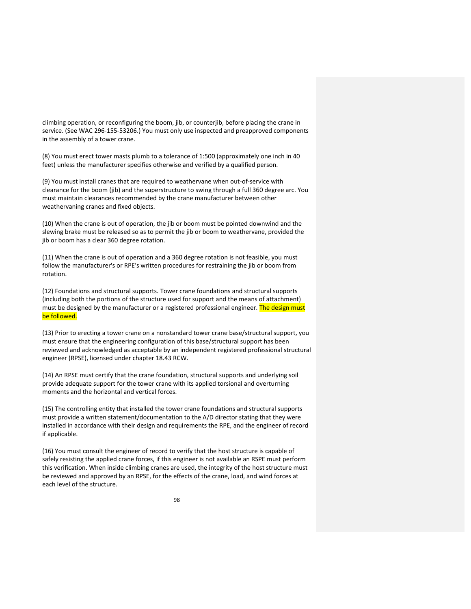climbing operation, or reconfiguring the boom, jib, or counterjib, before placing the crane in service. (See WAC 296‐155‐53206.) You must only use inspected and preapproved components in the assembly of a tower crane.

(8) You must erect tower masts plumb to a tolerance of 1:500 (approximately one inch in 40 feet) unless the manufacturer specifies otherwise and verified by a qualified person.

(9) You must install cranes that are required to weathervane when out‐of‐service with clearance for the boom (jib) and the superstructure to swing through a full 360 degree arc. You must maintain clearances recommended by the crane manufacturer between other weathervaning cranes and fixed objects.

(10) When the crane is out of operation, the jib or boom must be pointed downwind and the slewing brake must be released so as to permit the jib or boom to weathervane, provided the jib or boom has a clear 360 degree rotation.

(11) When the crane is out of operation and a 360 degree rotation is not feasible, you must follow the manufacturer's or RPE's written procedures for restraining the jib or boom from rotation.

(12) Foundations and structural supports. Tower crane foundations and structural supports (including both the portions of the structure used for support and the means of attachment) must be designed by the manufacturer or a registered professional engineer. The design must be followed.

(13) Prior to erecting a tower crane on a nonstandard tower crane base/structural support, you must ensure that the engineering configuration of this base/structural support has been reviewed and acknowledged as acceptable by an independent registered professional structural engineer (RPSE), licensed under chapter 18.43 RCW.

(14) An RPSE must certify that the crane foundation, structural supports and underlying soil provide adequate support for the tower crane with its applied torsional and overturning moments and the horizontal and vertical forces.

(15) The controlling entity that installed the tower crane foundations and structural supports must provide a written statement/documentation to the A/D director stating that they were installed in accordance with their design and requirements the RPE, and the engineer of record if applicable.

(16) You must consult the engineer of record to verify that the host structure is capable of safely resisting the applied crane forces, if this engineer is not available an RSPE must perform this verification. When inside climbing cranes are used, the integrity of the host structure must be reviewed and approved by an RPSE, for the effects of the crane, load, and wind forces at each level of the structure.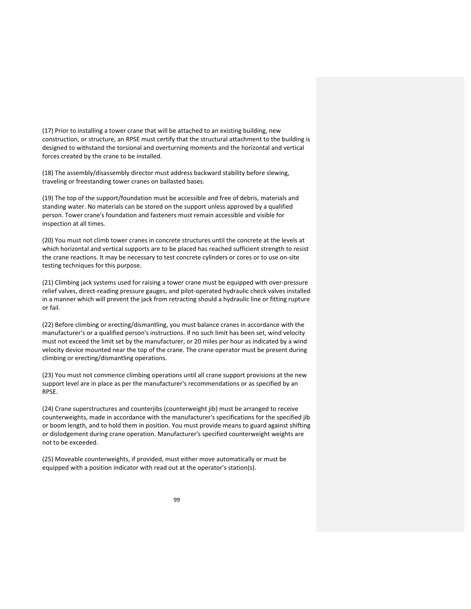(17) Prior to installing a tower crane that will be attached to an existing building, new construction, or structure, an RPSE must certify that the structural attachment to the building is designed to withstand the torsional and overturning moments and the horizontal and vertical forces created by the crane to be installed.

(18) The assembly/disassembly director must address backward stability before slewing, traveling or freestanding tower cranes on ballasted bases.

(19) The top of the support/foundation must be accessible and free of debris, materials and standing water. No materials can be stored on the support unless approved by a qualified person. Tower crane's foundation and fasteners must remain accessible and visible for inspection at all times.

(20) You must not climb tower cranes in concrete structures until the concrete at the levels at which horizontal and vertical supports are to be placed has reached sufficient strength to resist the crane reactions. It may be necessary to test concrete cylinders or cores or to use on‐site testing techniques for this purpose.

(21) Climbing jack systems used for raising a tower crane must be equipped with over-pressure relief valves, direct‐reading pressure gauges, and pilot‐operated hydraulic check valves installed in a manner which will prevent the jack from retracting should a hydraulic line or fitting rupture or fail.

(22) Before climbing or erecting/dismantling, you must balance cranes in accordance with the manufacturer's or a qualified person's instructions. If no such limit has been set, wind velocity must not exceed the limit set by the manufacturer, or 20 miles per hour as indicated by a wind velocity device mounted near the top of the crane. The crane operator must be present during climbing or erecting/dismantling operations.

(23) You must not commence climbing operations until all crane support provisions at the new support level are in place as per the manufacturer's recommendations or as specified by an RPSE.

(24) Crane superstructures and counterjibs (counterweight jib) must be arranged to receive counterweights, made in accordance with the manufacturer's specifications for the specified jib or boom length, and to hold them in position. You must provide means to guard against shifting or dislodgement during crane operation. Manufacturer's specified counterweight weights are not to be exceeded.

(25) Moveable counterweights, if provided, must either move automatically or must be equipped with a position indicator with read out at the operator's station(s).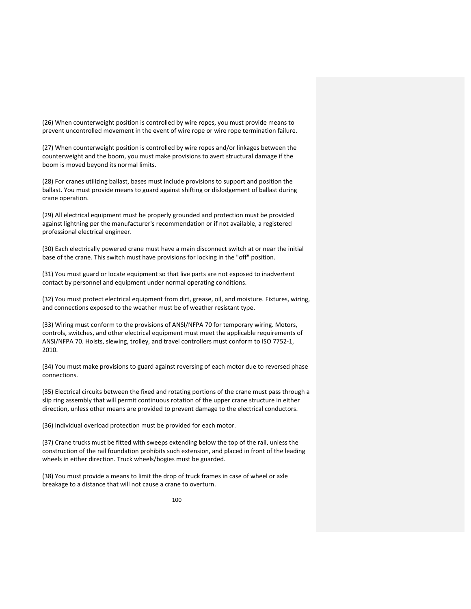(26) When counterweight position is controlled by wire ropes, you must provide means to prevent uncontrolled movement in the event of wire rope or wire rope termination failure.

(27) When counterweight position is controlled by wire ropes and/or linkages between the counterweight and the boom, you must make provisions to avert structural damage if the boom is moved beyond its normal limits.

(28) For cranes utilizing ballast, bases must include provisions to support and position the ballast. You must provide means to guard against shifting or dislodgement of ballast during crane operation.

(29) All electrical equipment must be properly grounded and protection must be provided against lightning per the manufacturer's recommendation or if not available, a registered professional electrical engineer.

(30) Each electrically powered crane must have a main disconnect switch at or near the initial base of the crane. This switch must have provisions for locking in the "off" position.

(31) You must guard or locate equipment so that live parts are not exposed to inadvertent contact by personnel and equipment under normal operating conditions.

(32) You must protect electrical equipment from dirt, grease, oil, and moisture. Fixtures, wiring, and connections exposed to the weather must be of weather resistant type.

(33) Wiring must conform to the provisions of ANSI/NFPA 70 for temporary wiring. Motors, controls, switches, and other electrical equipment must meet the applicable requirements of ANSI/NFPA 70. Hoists, slewing, trolley, and travel controllers must conform to ISO 7752‐1, 2010.

(34) You must make provisions to guard against reversing of each motor due to reversed phase connections.

(35) Electrical circuits between the fixed and rotating portions of the crane must pass through a slip ring assembly that will permit continuous rotation of the upper crane structure in either direction, unless other means are provided to prevent damage to the electrical conductors.

(36) Individual overload protection must be provided for each motor.

(37) Crane trucks must be fitted with sweeps extending below the top of the rail, unless the construction of the rail foundation prohibits such extension, and placed in front of the leading wheels in either direction. Truck wheels/bogies must be guarded.

(38) You must provide a means to limit the drop of truck frames in case of wheel or axle breakage to a distance that will not cause a crane to overturn.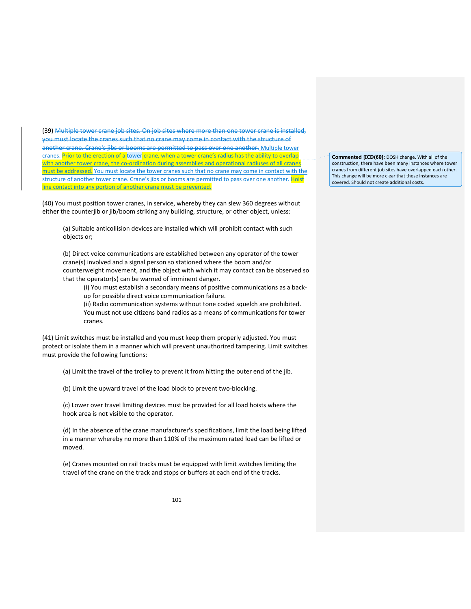(39) Multiple tower crane job sites. On job sites where more than one tower crane is installed, you must locate the cranes such that no crane may come in contact with the structure of another crane. Crane's jibs or booms are permitted to pass over one another. Multiple tower cranes. Prior to the erection of a tower crane, when a tower crane's radius has the ability to overlap with another tower crane, the co-ordination during assemblies and operational radiuses of all cranes be addressed. You must locate the tower cranes such that no crane may come in contact with the structure of another tower crane. Crane's jibs or booms are permitted to pass over one another. Hoist into any portion of another crane must be prevented.

(40) You must position tower cranes, in service, whereby they can slew 360 degrees without either the counterjib or jib/boom striking any building, structure, or other object, unless:

(a) Suitable anticollision devices are installed which will prohibit contact with such objects or;

(b) Direct voice communications are established between any operator of the tower crane(s) involved and a signal person so stationed where the boom and/or counterweight movement, and the object with which it may contact can be observed so that the operator(s) can be warned of imminent danger.

(i) You must establish a secondary means of positive communications as a back‐ up for possible direct voice communication failure.

(ii) Radio communication systems without tone coded squelch are prohibited.

You must not use citizens band radios as a means of communications for tower cranes.

(41) Limit switches must be installed and you must keep them properly adjusted. You must protect or isolate them in a manner which will prevent unauthorized tampering. Limit switches must provide the following functions:

(a) Limit the travel of the trolley to prevent it from hitting the outer end of the jib.

(b) Limit the upward travel of the load block to prevent two-blocking.

(c) Lower over travel limiting devices must be provided for all load hoists where the hook area is not visible to the operator.

(d) In the absence of the crane manufacturer's specifications, limit the load being lifted in a manner whereby no more than 110% of the maximum rated load can be lifted or moved.

(e) Cranes mounted on rail tracks must be equipped with limit switches limiting the travel of the crane on the track and stops or buffers at each end of the tracks.

**Commented [ICD(60]:** DOSH change. With all of the construction, there have been many instances where tower cranes from different job sites have overlapped each other. This change will be more clear that these instances are covered. Should not create additional costs.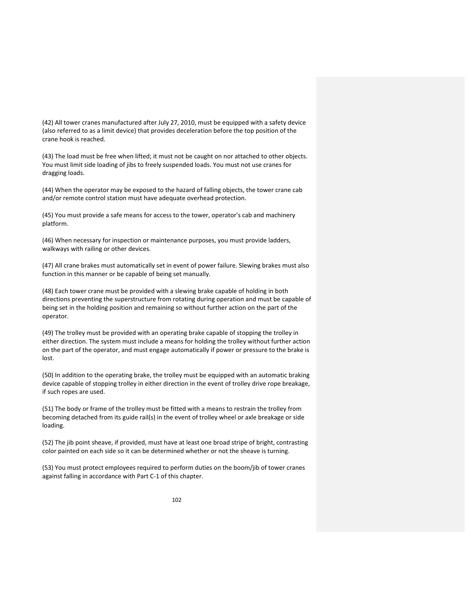(42) All tower cranes manufactured after July 27, 2010, must be equipped with a safety device (also referred to as a limit device) that provides deceleration before the top position of the crane hook is reached.

(43) The load must be free when lifted; it must not be caught on nor attached to other objects. You must limit side loading of jibs to freely suspended loads. You must not use cranes for dragging loads.

(44) When the operator may be exposed to the hazard of falling objects, the tower crane cab and/or remote control station must have adequate overhead protection.

(45) You must provide a safe means for access to the tower, operator's cab and machinery platform.

(46) When necessary for inspection or maintenance purposes, you must provide ladders, walkways with railing or other devices.

(47) All crane brakes must automatically set in event of power failure. Slewing brakes must also function in this manner or be capable of being set manually.

(48) Each tower crane must be provided with a slewing brake capable of holding in both directions preventing the superstructure from rotating during operation and must be capable of being set in the holding position and remaining so without further action on the part of the operator.

(49) The trolley must be provided with an operating brake capable of stopping the trolley in either direction. The system must include a means for holding the trolley without further action on the part of the operator, and must engage automatically if power or pressure to the brake is lost.

(50) In addition to the operating brake, the trolley must be equipped with an automatic braking device capable of stopping trolley in either direction in the event of trolley drive rope breakage, if such ropes are used.

(51) The body or frame of the trolley must be fitted with a means to restrain the trolley from becoming detached from its guide rail(s) in the event of trolley wheel or axle breakage or side loading.

(52) The jib point sheave, if provided, must have at least one broad stripe of bright, contrasting color painted on each side so it can be determined whether or not the sheave is turning.

(53) You must protect employees required to perform duties on the boom/jib of tower cranes against falling in accordance with Part C‐1 of this chapter.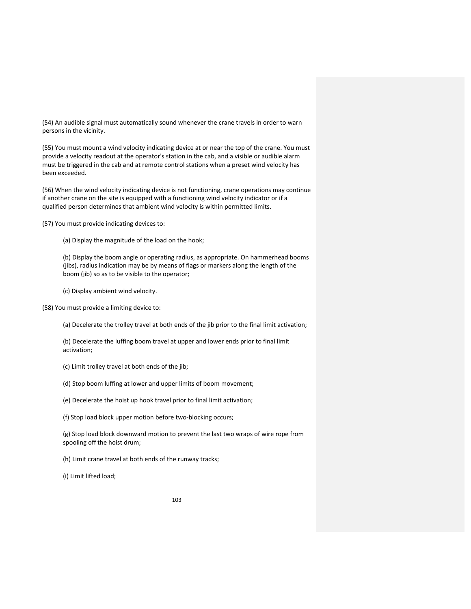(54) An audible signal must automatically sound whenever the crane travels in order to warn persons in the vicinity.

(55) You must mount a wind velocity indicating device at or near the top of the crane. You must provide a velocity readout at the operator's station in the cab, and a visible or audible alarm must be triggered in the cab and at remote control stations when a preset wind velocity has been exceeded.

(56) When the wind velocity indicating device is not functioning, crane operations may continue if another crane on the site is equipped with a functioning wind velocity indicator or if a qualified person determines that ambient wind velocity is within permitted limits.

(57) You must provide indicating devices to:

(a) Display the magnitude of the load on the hook;

(b) Display the boom angle or operating radius, as appropriate. On hammerhead booms (jibs), radius indication may be by means of flags or markers along the length of the boom (jib) so as to be visible to the operator;

(c) Display ambient wind velocity.

(58) You must provide a limiting device to:

(a) Decelerate the trolley travel at both ends of the jib prior to the final limit activation;

(b) Decelerate the luffing boom travel at upper and lower ends prior to final limit activation;

(c) Limit trolley travel at both ends of the jib;

(d) Stop boom luffing at lower and upper limits of boom movement;

(e) Decelerate the hoist up hook travel prior to final limit activation;

(f) Stop load block upper motion before two‐blocking occurs;

(g) Stop load block downward motion to prevent the last two wraps of wire rope from spooling off the hoist drum;

(h) Limit crane travel at both ends of the runway tracks;

(i) Limit lifted load;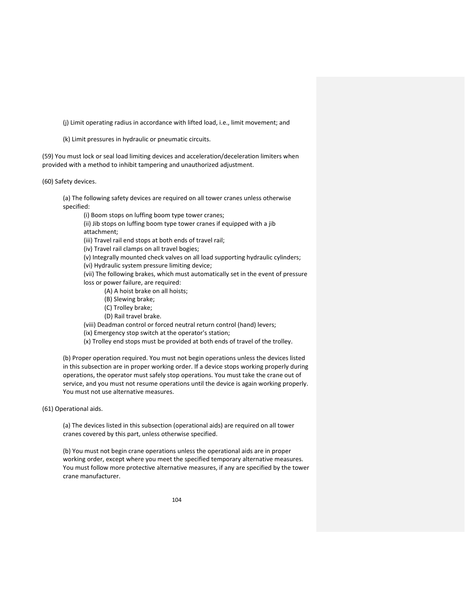(j) Limit operating radius in accordance with lifted load, i.e., limit movement; and

(k) Limit pressures in hydraulic or pneumatic circuits.

(59) You must lock or seal load limiting devices and acceleration/deceleration limiters when provided with a method to inhibit tampering and unauthorized adjustment.

(60) Safety devices.

(a) The following safety devices are required on all tower cranes unless otherwise specified:

(i) Boom stops on luffing boom type tower cranes;

(ii) Jib stops on luffing boom type tower cranes if equipped with a jib attachment;

(iii) Travel rail end stops at both ends of travel rail;

(iv) Travel rail clamps on all travel bogies;

(v) Integrally mounted check valves on all load supporting hydraulic cylinders;

(vi) Hydraulic system pressure limiting device;

(vii) The following brakes, which must automatically set in the event of pressure loss or power failure, are required:

- (A) A hoist brake on all hoists;
- (B) Slewing brake;
- (C) Trolley brake;
- (D) Rail travel brake.

(viii) Deadman control or forced neutral return control (hand) levers;

- (ix) Emergency stop switch at the operator's station;
- (x) Trolley end stops must be provided at both ends of travel of the trolley.

(b) Proper operation required. You must not begin operations unless the devices listed in this subsection are in proper working order. If a device stops working properly during operations, the operator must safely stop operations. You must take the crane out of service, and you must not resume operations until the device is again working properly. You must not use alternative measures.

(61) Operational aids.

(a) The devices listed in this subsection (operational aids) are required on all tower cranes covered by this part, unless otherwise specified.

(b) You must not begin crane operations unless the operational aids are in proper working order, except where you meet the specified temporary alternative measures. You must follow more protective alternative measures, if any are specified by the tower crane manufacturer.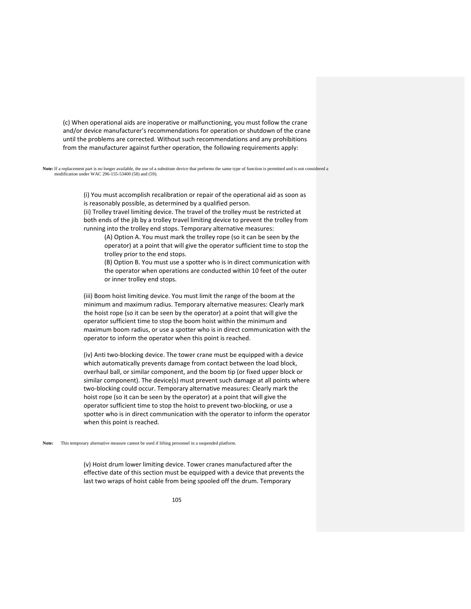(c) When operational aids are inoperative or malfunctioning, you must follow the crane and/or device manufacturer's recommendations for operation or shutdown of the crane until the problems are corrected. Without such recommendations and any prohibitions from the manufacturer against further operation, the following requirements apply:

**Note:** If a replacement part is no longer available, the use of a substitute device that performs the same type of function is permitted and is not considered a modification under WAC 296-155-53400 (58) and (59).

> (i) You must accomplish recalibration or repair of the operational aid as soon as is reasonably possible, as determined by a qualified person.

(ii) Trolley travel limiting device. The travel of the trolley must be restricted at both ends of the jib by a trolley travel limiting device to prevent the trolley from running into the trolley end stops. Temporary alternative measures:

(A) Option A. You must mark the trolley rope (so it can be seen by the operator) at a point that will give the operator sufficient time to stop the trolley prior to the end stops.

(B) Option B. You must use a spotter who is in direct communication with the operator when operations are conducted within 10 feet of the outer or inner trolley end stops.

(iii) Boom hoist limiting device. You must limit the range of the boom at the minimum and maximum radius. Temporary alternative measures: Clearly mark the hoist rope (so it can be seen by the operator) at a point that will give the operator sufficient time to stop the boom hoist within the minimum and maximum boom radius, or use a spotter who is in direct communication with the operator to inform the operator when this point is reached.

(iv) Anti two‐blocking device. The tower crane must be equipped with a device which automatically prevents damage from contact between the load block, overhaul ball, or similar component, and the boom tip (or fixed upper block or similar component). The device(s) must prevent such damage at all points where two‐blocking could occur. Temporary alternative measures: Clearly mark the hoist rope (so it can be seen by the operator) at a point that will give the operator sufficient time to stop the hoist to prevent two‐blocking, or use a spotter who is in direct communication with the operator to inform the operator when this point is reached.

**Note:** This temporary alternative measure cannot be used if lifting personnel in a suspended platform.

(v) Hoist drum lower limiting device. Tower cranes manufactured after the effective date of this section must be equipped with a device that prevents the last two wraps of hoist cable from being spooled off the drum. Temporary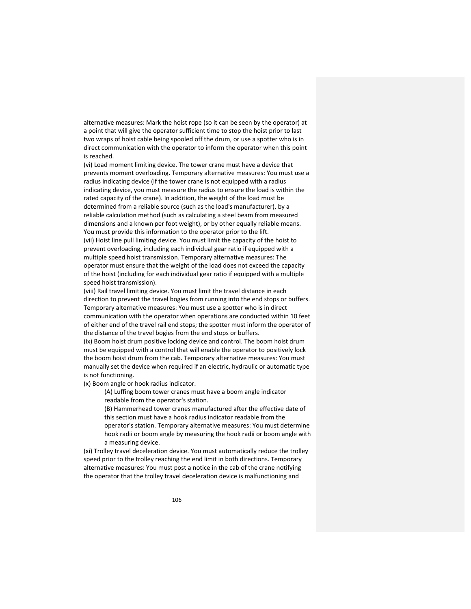alternative measures: Mark the hoist rope (so it can be seen by the operator) at a point that will give the operator sufficient time to stop the hoist prior to last two wraps of hoist cable being spooled off the drum, or use a spotter who is in direct communication with the operator to inform the operator when this point is reached.

(vi) Load moment limiting device. The tower crane must have a device that prevents moment overloading. Temporary alternative measures: You must use a radius indicating device (if the tower crane is not equipped with a radius indicating device, you must measure the radius to ensure the load is within the rated capacity of the crane). In addition, the weight of the load must be determined from a reliable source (such as the load's manufacturer), by a reliable calculation method (such as calculating a steel beam from measured dimensions and a known per foot weight), or by other equally reliable means. You must provide this information to the operator prior to the lift. (vii) Hoist line pull limiting device. You must limit the capacity of the hoist to prevent overloading, including each individual gear ratio if equipped with a multiple speed hoist transmission. Temporary alternative measures: The operator must ensure that the weight of the load does not exceed the capacity of the hoist (including for each individual gear ratio if equipped with a multiple speed hoist transmission).

(viii) Rail travel limiting device. You must limit the travel distance in each direction to prevent the travel bogies from running into the end stops or buffers. Temporary alternative measures: You must use a spotter who is in direct communication with the operator when operations are conducted within 10 feet of either end of the travel rail end stops; the spotter must inform the operator of the distance of the travel bogies from the end stops or buffers.

(ix) Boom hoist drum positive locking device and control. The boom hoist drum must be equipped with a control that will enable the operator to positively lock the boom hoist drum from the cab. Temporary alternative measures: You must manually set the device when required if an electric, hydraulic or automatic type is not functioning.

(x) Boom angle or hook radius indicator.

(A) Luffing boom tower cranes must have a boom angle indicator readable from the operator's station.

(B) Hammerhead tower cranes manufactured after the effective date of this section must have a hook radius indicator readable from the operator's station. Temporary alternative measures: You must determine hook radii or boom angle by measuring the hook radii or boom angle with a measuring device.

(xi) Trolley travel deceleration device. You must automatically reduce the trolley speed prior to the trolley reaching the end limit in both directions. Temporary alternative measures: You must post a notice in the cab of the crane notifying the operator that the trolley travel deceleration device is malfunctioning and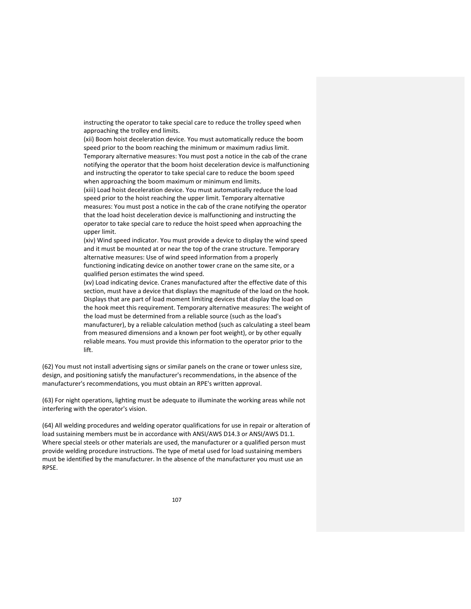instructing the operator to take special care to reduce the trolley speed when approaching the trolley end limits.

(xii) Boom hoist deceleration device. You must automatically reduce the boom speed prior to the boom reaching the minimum or maximum radius limit. Temporary alternative measures: You must post a notice in the cab of the crane notifying the operator that the boom hoist deceleration device is malfunctioning and instructing the operator to take special care to reduce the boom speed when approaching the boom maximum or minimum end limits. (xiii) Load hoist deceleration device. You must automatically reduce the load speed prior to the hoist reaching the upper limit. Temporary alternative measures: You must post a notice in the cab of the crane notifying the operator that the load hoist deceleration device is malfunctioning and instructing the

operator to take special care to reduce the hoist speed when approaching the upper limit.

(xiv) Wind speed indicator. You must provide a device to display the wind speed and it must be mounted at or near the top of the crane structure. Temporary alternative measures: Use of wind speed information from a properly functioning indicating device on another tower crane on the same site, or a qualified person estimates the wind speed.

(xv) Load indicating device. Cranes manufactured after the effective date of this section, must have a device that displays the magnitude of the load on the hook. Displays that are part of load moment limiting devices that display the load on the hook meet this requirement. Temporary alternative measures: The weight of the load must be determined from a reliable source (such as the load's manufacturer), by a reliable calculation method (such as calculating a steel beam from measured dimensions and a known per foot weight), or by other equally reliable means. You must provide this information to the operator prior to the lift.

(62) You must not install advertising signs or similar panels on the crane or tower unless size, design, and positioning satisfy the manufacturer's recommendations, in the absence of the manufacturer's recommendations, you must obtain an RPE's written approval.

(63) For night operations, lighting must be adequate to illuminate the working areas while not interfering with the operator's vision.

(64) All welding procedures and welding operator qualifications for use in repair or alteration of load sustaining members must be in accordance with ANSI/AWS D14.3 or ANSI/AWS D1.1. Where special steels or other materials are used, the manufacturer or a qualified person must provide welding procedure instructions. The type of metal used for load sustaining members must be identified by the manufacturer. In the absence of the manufacturer you must use an RPSE.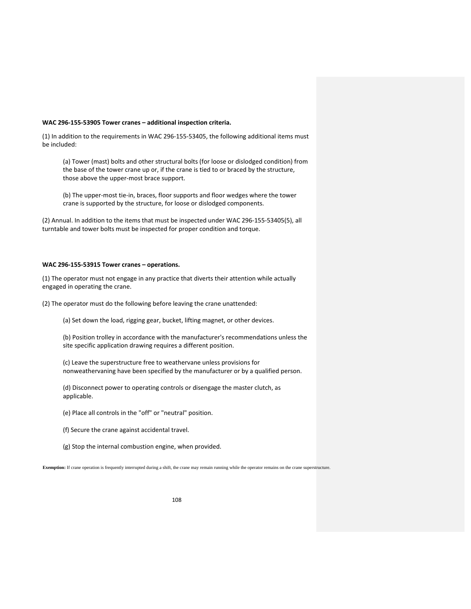## **WAC 296‐155‐53905 Tower cranes – additional inspection criteria.**

(1) In addition to the requirements in WAC 296‐155‐53405, the following additional items must be included:

(a) Tower (mast) bolts and other structural bolts (for loose or dislodged condition) from the base of the tower crane up or, if the crane is tied to or braced by the structure, those above the upper‐most brace support.

(b) The upper‐most tie‐in, braces, floor supports and floor wedges where the tower crane is supported by the structure, for loose or dislodged components.

(2) Annual. In addition to the items that must be inspected under WAC 296‐155‐53405(5), all turntable and tower bolts must be inspected for proper condition and torque.

## **WAC 296‐155‐53915 Tower cranes – operations.**

(1) The operator must not engage in any practice that diverts their attention while actually engaged in operating the crane.

(2) The operator must do the following before leaving the crane unattended:

(a) Set down the load, rigging gear, bucket, lifting magnet, or other devices.

(b) Position trolley in accordance with the manufacturer's recommendations unless the site specific application drawing requires a different position.

(c) Leave the superstructure free to weathervane unless provisions for nonweathervaning have been specified by the manufacturer or by a qualified person.

(d) Disconnect power to operating controls or disengage the master clutch, as applicable.

(e) Place all controls in the "off" or "neutral" position.

(f) Secure the crane against accidental travel.

(g) Stop the internal combustion engine, when provided.

**Exemption:** If crane operation is frequently interrupted during a shift, the crane may remain running while the operator remains on the crane superstructure.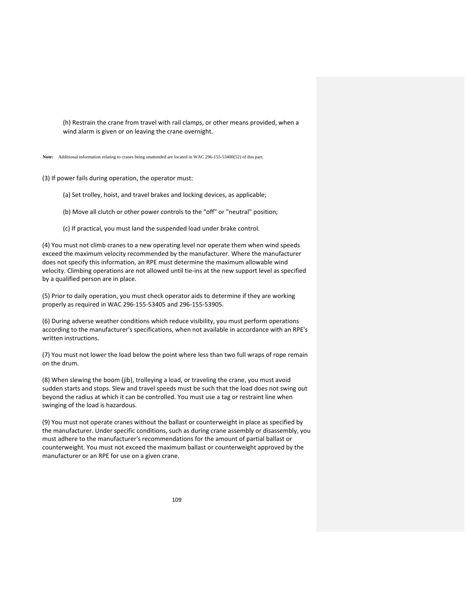(h) Restrain the crane from travel with rail clamps, or other means provided, when a wind alarm is given or on leaving the crane overnight.

**Note:** Additional information relating to cranes being unattended are located in WAC 296-155-53400(52) of this part.

(3) If power fails during operation, the operator must:

(a) Set trolley, hoist, and travel brakes and locking devices, as applicable;

(b) Move all clutch or other power controls to the "off" or "neutral" position;

(c) If practical, you must land the suspended load under brake control.

(4) You must not climb cranes to a new operating level nor operate them when wind speeds exceed the maximum velocity recommended by the manufacturer. Where the manufacturer does not specify this information, an RPE must determine the maximum allowable wind velocity. Climbing operations are not allowed until tie‐ins at the new support level as specified by a qualified person are in place.

(5) Prior to daily operation, you must check operator aids to determine if they are working properly as required in WAC 296‐155‐53405 and 296‐155‐53905.

(6) During adverse weather conditions which reduce visibility, you must perform operations according to the manufacturer's specifications, when not available in accordance with an RPE's written instructions.

(7) You must not lower the load below the point where less than two full wraps of rope remain on the drum.

(8) When slewing the boom (jib), trolleying a load, or traveling the crane, you must avoid sudden starts and stops. Slew and travel speeds must be such that the load does not swing out beyond the radius at which it can be controlled. You must use a tag or restraint line when swinging of the load is hazardous.

(9) You must not operate cranes without the ballast or counterweight in place as specified by the manufacturer. Under specific conditions, such as during crane assembly or disassembly, you must adhere to the manufacturer's recommendations for the amount of partial ballast or counterweight. You must not exceed the maximum ballast or counterweight approved by the manufacturer or an RPE for use on a given crane.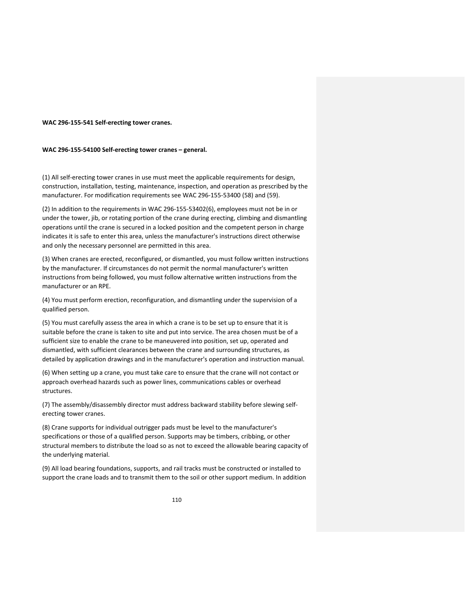### **WAC 296‐155‐541 Self‐erecting tower cranes.**

#### **WAC 296‐155‐54100 Self‐erecting tower cranes – general.**

(1) All self‐erecting tower cranes in use must meet the applicable requirements for design, construction, installation, testing, maintenance, inspection, and operation as prescribed by the manufacturer. For modification requirements see WAC 296‐155‐53400 (58) and (59).

(2) In addition to the requirements in WAC 296‐155‐53402(6), employees must not be in or under the tower, jib, or rotating portion of the crane during erecting, climbing and dismantling operations until the crane is secured in a locked position and the competent person in charge indicates it is safe to enter this area, unless the manufacturer's instructions direct otherwise and only the necessary personnel are permitted in this area.

(3) When cranes are erected, reconfigured, or dismantled, you must follow written instructions by the manufacturer. If circumstances do not permit the normal manufacturer's written instructions from being followed, you must follow alternative written instructions from the manufacturer or an RPE.

(4) You must perform erection, reconfiguration, and dismantling under the supervision of a qualified person.

(5) You must carefully assess the area in which a crane is to be set up to ensure that it is suitable before the crane is taken to site and put into service. The area chosen must be of a sufficient size to enable the crane to be maneuvered into position, set up, operated and dismantled, with sufficient clearances between the crane and surrounding structures, as detailed by application drawings and in the manufacturer's operation and instruction manual.

(6) When setting up a crane, you must take care to ensure that the crane will not contact or approach overhead hazards such as power lines, communications cables or overhead structures.

(7) The assembly/disassembly director must address backward stability before slewing self‐ erecting tower cranes.

(8) Crane supports for individual outrigger pads must be level to the manufacturer's specifications or those of a qualified person. Supports may be timbers, cribbing, or other structural members to distribute the load so as not to exceed the allowable bearing capacity of the underlying material.

(9) All load bearing foundations, supports, and rail tracks must be constructed or installed to support the crane loads and to transmit them to the soil or other support medium. In addition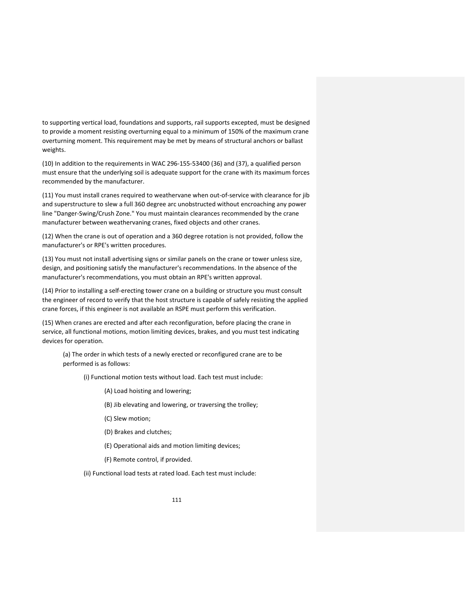to supporting vertical load, foundations and supports, rail supports excepted, must be designed to provide a moment resisting overturning equal to a minimum of 150% of the maximum crane overturning moment. This requirement may be met by means of structural anchors or ballast weights.

(10) In addition to the requirements in WAC 296‐155‐53400 (36) and (37), a qualified person must ensure that the underlying soil is adequate support for the crane with its maximum forces recommended by the manufacturer.

(11) You must install cranes required to weathervane when out‐of‐service with clearance for jib and superstructure to slew a full 360 degree arc unobstructed without encroaching any power line "Danger‐Swing/Crush Zone." You must maintain clearances recommended by the crane manufacturer between weathervaning cranes, fixed objects and other cranes.

(12) When the crane is out of operation and a 360 degree rotation is not provided, follow the manufacturer's or RPE's written procedures.

(13) You must not install advertising signs or similar panels on the crane or tower unless size, design, and positioning satisfy the manufacturer's recommendations. In the absence of the manufacturer's recommendations, you must obtain an RPE's written approval.

(14) Prior to installing a self‐erecting tower crane on a building or structure you must consult the engineer of record to verify that the host structure is capable of safely resisting the applied crane forces, if this engineer is not available an RSPE must perform this verification.

(15) When cranes are erected and after each reconfiguration, before placing the crane in service, all functional motions, motion limiting devices, brakes, and you must test indicating devices for operation.

(a) The order in which tests of a newly erected or reconfigured crane are to be performed is as follows:

(i) Functional motion tests without load. Each test must include:

- (A) Load hoisting and lowering;
- (B) Jib elevating and lowering, or traversing the trolley;
- (C) Slew motion;
- (D) Brakes and clutches;
- (E) Operational aids and motion limiting devices;
- (F) Remote control, if provided.
- (ii) Functional load tests at rated load. Each test must include: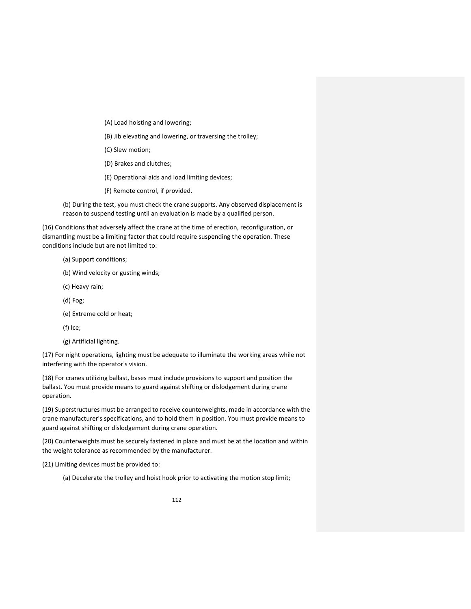- (A) Load hoisting and lowering;
- (B) Jib elevating and lowering, or traversing the trolley;
- (C) Slew motion;
- (D) Brakes and clutches;
- (E) Operational aids and load limiting devices;
- (F) Remote control, if provided.

(b) During the test, you must check the crane supports. Any observed displacement is reason to suspend testing until an evaluation is made by a qualified person.

(16) Conditions that adversely affect the crane at the time of erection, reconfiguration, or dismantling must be a limiting factor that could require suspending the operation. These conditions include but are not limited to:

- (a) Support conditions;
- (b) Wind velocity or gusting winds;
- (c) Heavy rain;
- (d) Fog;
- (e) Extreme cold or heat;
- (f) Ice;
- (g) Artificial lighting.

(17) For night operations, lighting must be adequate to illuminate the working areas while not interfering with the operator's vision.

(18) For cranes utilizing ballast, bases must include provisions to support and position the ballast. You must provide means to guard against shifting or dislodgement during crane operation.

(19) Superstructures must be arranged to receive counterweights, made in accordance with the crane manufacturer's specifications, and to hold them in position. You must provide means to guard against shifting or dislodgement during crane operation.

(20) Counterweights must be securely fastened in place and must be at the location and within the weight tolerance as recommended by the manufacturer.

(21) Limiting devices must be provided to:

(a) Decelerate the trolley and hoist hook prior to activating the motion stop limit;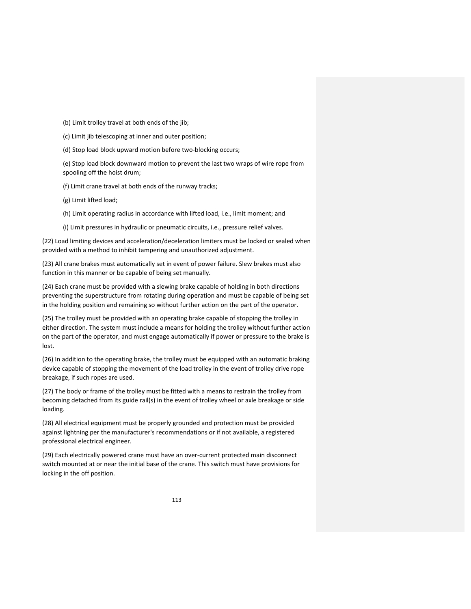(b) Limit trolley travel at both ends of the jib;

(c) Limit jib telescoping at inner and outer position;

(d) Stop load block upward motion before two‐blocking occurs;

(e) Stop load block downward motion to prevent the last two wraps of wire rope from spooling off the hoist drum;

(f) Limit crane travel at both ends of the runway tracks;

(g) Limit lifted load;

(h) Limit operating radius in accordance with lifted load, i.e., limit moment; and

(i) Limit pressures in hydraulic or pneumatic circuits, i.e., pressure relief valves.

(22) Load limiting devices and acceleration/deceleration limiters must be locked or sealed when provided with a method to inhibit tampering and unauthorized adjustment.

(23) All crane brakes must automatically set in event of power failure. Slew brakes must also function in this manner or be capable of being set manually.

(24) Each crane must be provided with a slewing brake capable of holding in both directions preventing the superstructure from rotating during operation and must be capable of being set in the holding position and remaining so without further action on the part of the operator.

(25) The trolley must be provided with an operating brake capable of stopping the trolley in either direction. The system must include a means for holding the trolley without further action on the part of the operator, and must engage automatically if power or pressure to the brake is lost.

(26) In addition to the operating brake, the trolley must be equipped with an automatic braking device capable of stopping the movement of the load trolley in the event of trolley drive rope breakage, if such ropes are used.

(27) The body or frame of the trolley must be fitted with a means to restrain the trolley from becoming detached from its guide rail(s) in the event of trolley wheel or axle breakage or side loading.

(28) All electrical equipment must be properly grounded and protection must be provided against lightning per the manufacturer's recommendations or if not available, a registered professional electrical engineer.

(29) Each electrically powered crane must have an over‐current protected main disconnect switch mounted at or near the initial base of the crane. This switch must have provisions for locking in the off position.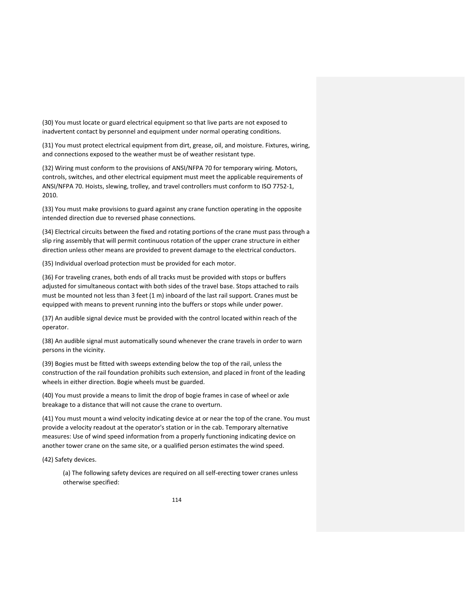(30) You must locate or guard electrical equipment so that live parts are not exposed to inadvertent contact by personnel and equipment under normal operating conditions.

(31) You must protect electrical equipment from dirt, grease, oil, and moisture. Fixtures, wiring, and connections exposed to the weather must be of weather resistant type.

(32) Wiring must conform to the provisions of ANSI/NFPA 70 for temporary wiring. Motors, controls, switches, and other electrical equipment must meet the applicable requirements of ANSI/NFPA 70. Hoists, slewing, trolley, and travel controllers must conform to ISO 7752‐1, 2010.

(33) You must make provisions to guard against any crane function operating in the opposite intended direction due to reversed phase connections.

(34) Electrical circuits between the fixed and rotating portions of the crane must pass through a slip ring assembly that will permit continuous rotation of the upper crane structure in either direction unless other means are provided to prevent damage to the electrical conductors.

(35) Individual overload protection must be provided for each motor.

(36) For traveling cranes, both ends of all tracks must be provided with stops or buffers adjusted for simultaneous contact with both sides of the travel base. Stops attached to rails must be mounted not less than 3 feet (1 m) inboard of the last rail support. Cranes must be equipped with means to prevent running into the buffers or stops while under power.

(37) An audible signal device must be provided with the control located within reach of the operator.

(38) An audible signal must automatically sound whenever the crane travels in order to warn persons in the vicinity.

(39) Bogies must be fitted with sweeps extending below the top of the rail, unless the construction of the rail foundation prohibits such extension, and placed in front of the leading wheels in either direction. Bogie wheels must be guarded.

(40) You must provide a means to limit the drop of bogie frames in case of wheel or axle breakage to a distance that will not cause the crane to overturn.

(41) You must mount a wind velocity indicating device at or near the top of the crane. You must provide a velocity readout at the operator's station or in the cab. Temporary alternative measures: Use of wind speed information from a properly functioning indicating device on another tower crane on the same site, or a qualified person estimates the wind speed.

(42) Safety devices.

(a) The following safety devices are required on all self‐erecting tower cranes unless otherwise specified: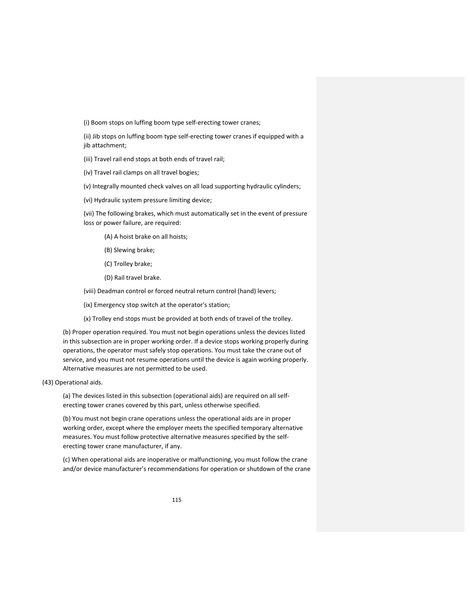(i) Boom stops on luffing boom type self‐erecting tower cranes;

(ii) Jib stops on luffing boom type self‐erecting tower cranes if equipped with a jib attachment;

(iii) Travel rail end stops at both ends of travel rail;

(iv) Travel rail clamps on all travel bogies;

(v) Integrally mounted check valves on all load supporting hydraulic cylinders;

(vi) Hydraulic system pressure limiting device;

(vii) The following brakes, which must automatically set in the event of pressure loss or power failure, are required:

(A) A hoist brake on all hoists;

(B) Slewing brake;

(C) Trolley brake;

(D) Rail travel brake.

(viii) Deadman control or forced neutral return control (hand) levers;

(ix) Emergency stop switch at the operator's station;

(x) Trolley end stops must be provided at both ends of travel of the trolley.

(b) Proper operation required. You must not begin operations unless the devices listed in this subsection are in proper working order. If a device stops working properly during operations, the operator must safely stop operations. You must take the crane out of service, and you must not resume operations until the device is again working properly. Alternative measures are not permitted to be used.

(43) Operational aids.

(a) The devices listed in this subsection (operational aids) are required on all self‐ erecting tower cranes covered by this part, unless otherwise specified.

(b) You must not begin crane operations unless the operational aids are in proper working order, except where the employer meets the specified temporary alternative measures. You must follow protective alternative measures specified by the self‐ erecting tower crane manufacturer, if any.

(c) When operational aids are inoperative or malfunctioning, you must follow the crane and/or device manufacturer's recommendations for operation or shutdown of the crane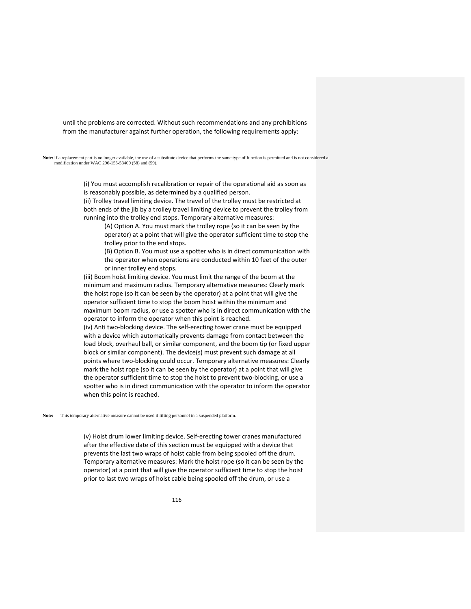until the problems are corrected. Without such recommendations and any prohibitions from the manufacturer against further operation, the following requirements apply:

Note: If a replacement part is no longer available, the use of a substitute device that performs the same type of function is permitted and is not considered a modification under WAC 296-155-53400 (58) and (59).

> (i) You must accomplish recalibration or repair of the operational aid as soon as is reasonably possible, as determined by a qualified person.

(ii) Trolley travel limiting device. The travel of the trolley must be restricted at both ends of the jib by a trolley travel limiting device to prevent the trolley from running into the trolley end stops. Temporary alternative measures:

(A) Option A. You must mark the trolley rope (so it can be seen by the operator) at a point that will give the operator sufficient time to stop the trolley prior to the end stops.

(B) Option B. You must use a spotter who is in direct communication with the operator when operations are conducted within 10 feet of the outer or inner trolley end stops.

(iii) Boom hoist limiting device. You must limit the range of the boom at the minimum and maximum radius. Temporary alternative measures: Clearly mark the hoist rope (so it can be seen by the operator) at a point that will give the operator sufficient time to stop the boom hoist within the minimum and maximum boom radius, or use a spotter who is in direct communication with the operator to inform the operator when this point is reached. (iv) Anti two‐blocking device. The self‐erecting tower crane must be equipped with a device which automatically prevents damage from contact between the load block, overhaul ball, or similar component, and the boom tip (or fixed upper block or similar component). The device(s) must prevent such damage at all points where two‐blocking could occur. Temporary alternative measures: Clearly mark the hoist rope (so it can be seen by the operator) at a point that will give the operator sufficient time to stop the hoist to prevent two‐blocking, or use a spotter who is in direct communication with the operator to inform the operator when this point is reached.

**Note:** This temporary alternative measure cannot be used if lifting personnel in a suspended platform.

(v) Hoist drum lower limiting device. Self‐erecting tower cranes manufactured after the effective date of this section must be equipped with a device that prevents the last two wraps of hoist cable from being spooled off the drum. Temporary alternative measures: Mark the hoist rope (so it can be seen by the operator) at a point that will give the operator sufficient time to stop the hoist prior to last two wraps of hoist cable being spooled off the drum, or use a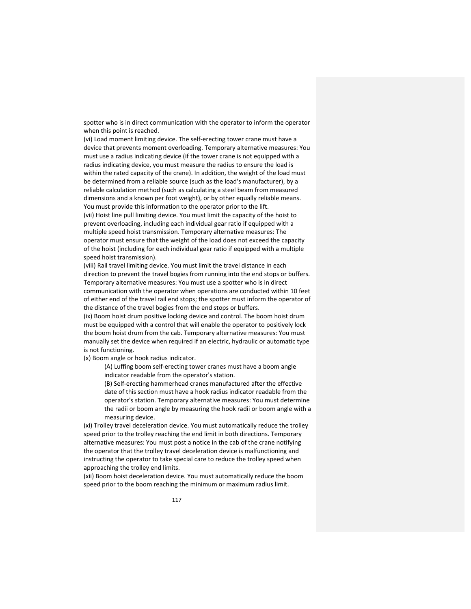spotter who is in direct communication with the operator to inform the operator when this point is reached.

(vi) Load moment limiting device. The self‐erecting tower crane must have a device that prevents moment overloading. Temporary alternative measures: You must use a radius indicating device (if the tower crane is not equipped with a radius indicating device, you must measure the radius to ensure the load is within the rated capacity of the crane). In addition, the weight of the load must be determined from a reliable source (such as the load's manufacturer), by a reliable calculation method (such as calculating a steel beam from measured dimensions and a known per foot weight), or by other equally reliable means. You must provide this information to the operator prior to the lift.

(vii) Hoist line pull limiting device. You must limit the capacity of the hoist to prevent overloading, including each individual gear ratio if equipped with a multiple speed hoist transmission. Temporary alternative measures: The operator must ensure that the weight of the load does not exceed the capacity of the hoist (including for each individual gear ratio if equipped with a multiple speed hoist transmission).

(viii) Rail travel limiting device. You must limit the travel distance in each direction to prevent the travel bogies from running into the end stops or buffers. Temporary alternative measures: You must use a spotter who is in direct communication with the operator when operations are conducted within 10 feet of either end of the travel rail end stops; the spotter must inform the operator of the distance of the travel bogies from the end stops or buffers.

(ix) Boom hoist drum positive locking device and control. The boom hoist drum must be equipped with a control that will enable the operator to positively lock the boom hoist drum from the cab. Temporary alternative measures: You must manually set the device when required if an electric, hydraulic or automatic type is not functioning.

(x) Boom angle or hook radius indicator.

(A) Luffing boom self‐erecting tower cranes must have a boom angle indicator readable from the operator's station.

(B) Self‐erecting hammerhead cranes manufactured after the effective date of this section must have a hook radius indicator readable from the operator's station. Temporary alternative measures: You must determine the radii or boom angle by measuring the hook radii or boom angle with a measuring device.

(xi) Trolley travel deceleration device. You must automatically reduce the trolley speed prior to the trolley reaching the end limit in both directions. Temporary alternative measures: You must post a notice in the cab of the crane notifying the operator that the trolley travel deceleration device is malfunctioning and instructing the operator to take special care to reduce the trolley speed when approaching the trolley end limits.

(xii) Boom hoist deceleration device. You must automatically reduce the boom speed prior to the boom reaching the minimum or maximum radius limit.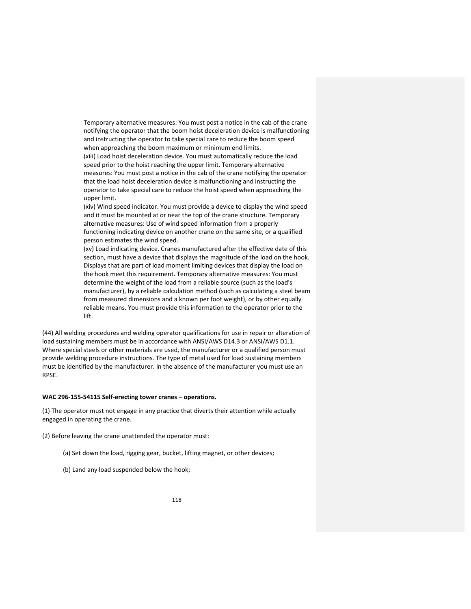Temporary alternative measures: You must post a notice in the cab of the crane notifying the operator that the boom hoist deceleration device is malfunctioning and instructing the operator to take special care to reduce the boom speed when approaching the boom maximum or minimum end limits.

(xiii) Load hoist deceleration device. You must automatically reduce the load speed prior to the hoist reaching the upper limit. Temporary alternative measures: You must post a notice in the cab of the crane notifying the operator that the load hoist deceleration device is malfunctioning and instructing the operator to take special care to reduce the hoist speed when approaching the upper limit.

(xiv) Wind speed indicator. You must provide a device to display the wind speed and it must be mounted at or near the top of the crane structure. Temporary alternative measures: Use of wind speed information from a properly functioning indicating device on another crane on the same site, or a qualified person estimates the wind speed.

(xv) Load indicating device. Cranes manufactured after the effective date of this section, must have a device that displays the magnitude of the load on the hook. Displays that are part of load moment limiting devices that display the load on the hook meet this requirement. Temporary alternative measures: You must determine the weight of the load from a reliable source (such as the load's manufacturer), by a reliable calculation method (such as calculating a steel beam from measured dimensions and a known per foot weight), or by other equally reliable means. You must provide this information to the operator prior to the lift.

(44) All welding procedures and welding operator qualifications for use in repair or alteration of load sustaining members must be in accordance with ANSI/AWS D14.3 or ANSI/AWS D1.1. Where special steels or other materials are used, the manufacturer or a qualified person must provide welding procedure instructions. The type of metal used for load sustaining members must be identified by the manufacturer. In the absence of the manufacturer you must use an RPSE.

#### **WAC 296‐155‐54115 Self‐erecting tower cranes – operations.**

(1) The operator must not engage in any practice that diverts their attention while actually engaged in operating the crane.

(2) Before leaving the crane unattended the operator must:

- (a) Set down the load, rigging gear, bucket, lifting magnet, or other devices;
- (b) Land any load suspended below the hook;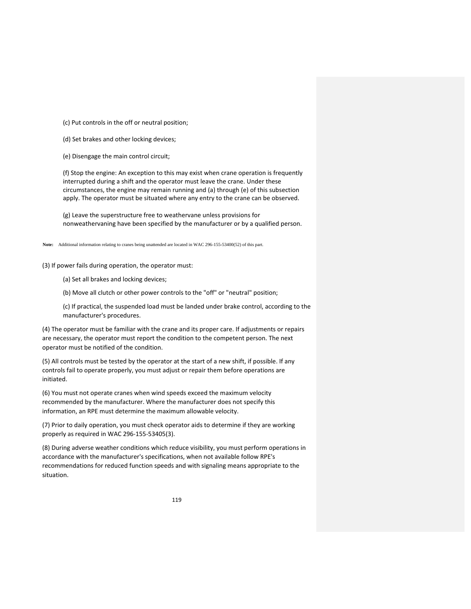(c) Put controls in the off or neutral position;

(d) Set brakes and other locking devices;

(e) Disengage the main control circuit;

(f) Stop the engine: An exception to this may exist when crane operation is frequently interrupted during a shift and the operator must leave the crane. Under these circumstances, the engine may remain running and (a) through (e) of this subsection apply. The operator must be situated where any entry to the crane can be observed.

(g) Leave the superstructure free to weathervane unless provisions for nonweathervaning have been specified by the manufacturer or by a qualified person.

**Note:** Additional information relating to cranes being unattended are located in WAC 296-155-53400(52) of this part.

(3) If power fails during operation, the operator must:

(a) Set all brakes and locking devices;

(b) Move all clutch or other power controls to the "off" or "neutral" position;

(c) If practical, the suspended load must be landed under brake control, according to the manufacturer's procedures.

(4) The operator must be familiar with the crane and its proper care. If adjustments or repairs are necessary, the operator must report the condition to the competent person. The next operator must be notified of the condition.

(5) All controls must be tested by the operator at the start of a new shift, if possible. If any controls fail to operate properly, you must adjust or repair them before operations are initiated.

(6) You must not operate cranes when wind speeds exceed the maximum velocity recommended by the manufacturer. Where the manufacturer does not specify this information, an RPE must determine the maximum allowable velocity.

(7) Prior to daily operation, you must check operator aids to determine if they are working properly as required in WAC 296‐155‐53405(3).

(8) During adverse weather conditions which reduce visibility, you must perform operations in accordance with the manufacturer's specifications, when not available follow RPE's recommendations for reduced function speeds and with signaling means appropriate to the situation.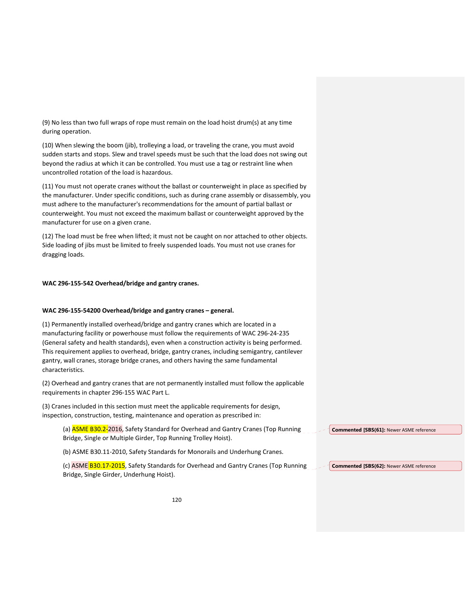(9) No less than two full wraps of rope must remain on the load hoist drum(s) at any time during operation.

(10) When slewing the boom (jib), trolleying a load, or traveling the crane, you must avoid sudden starts and stops. Slew and travel speeds must be such that the load does not swing out beyond the radius at which it can be controlled. You must use a tag or restraint line when uncontrolled rotation of the load is hazardous.

(11) You must not operate cranes without the ballast or counterweight in place as specified by the manufacturer. Under specific conditions, such as during crane assembly or disassembly, you must adhere to the manufacturer's recommendations for the amount of partial ballast or counterweight. You must not exceed the maximum ballast or counterweight approved by the manufacturer for use on a given crane.

(12) The load must be free when lifted; it must not be caught on nor attached to other objects. Side loading of jibs must be limited to freely suspended loads. You must not use cranes for dragging loads.

### **WAC 296‐155‐542 Overhead/bridge and gantry cranes.**

#### **WAC 296‐155‐54200 Overhead/bridge and gantry cranes – general.**

(1) Permanently installed overhead/bridge and gantry cranes which are located in a manufacturing facility or powerhouse must follow the requirements of WAC 296‐24‐235 (General safety and health standards), even when a construction activity is being performed. This requirement applies to overhead, bridge, gantry cranes, including semigantry, cantilever gantry, wall cranes, storage bridge cranes, and others having the same fundamental characteristics.

(2) Overhead and gantry cranes that are not permanently installed must follow the applicable requirements in chapter 296‐155 WAC Part L.

(3) Cranes included in this section must meet the applicable requirements for design, inspection, construction, testing, maintenance and operation as prescribed in:

(a) **ASME B30.2-**2016, Safety Standard for Overhead and Gantry Cranes (Top Running Bridge, Single or Multiple Girder, Top Running Trolley Hoist).

(b) ASME B30.11‐2010, Safety Standards for Monorails and Underhung Cranes.

(c) ASME B30.17-2015, Safety Standards for Overhead and Gantry Cranes (Top Running Bridge, Single Girder, Underhung Hoist). **Commented [SBS(62]:** Newer ASME reference

**Commented [SBS(61]:** Newer ASME reference

120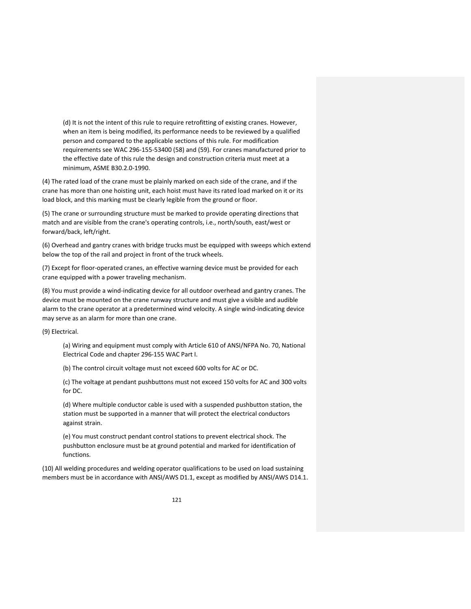(d) It is not the intent of this rule to require retrofitting of existing cranes. However, when an item is being modified, its performance needs to be reviewed by a qualified person and compared to the applicable sections of this rule. For modification requirements see WAC 296‐155‐53400 (58) and (59). For cranes manufactured prior to the effective date of this rule the design and construction criteria must meet at a minimum, ASME B30.2.0‐1990.

(4) The rated load of the crane must be plainly marked on each side of the crane, and if the crane has more than one hoisting unit, each hoist must have its rated load marked on it or its load block, and this marking must be clearly legible from the ground or floor.

(5) The crane or surrounding structure must be marked to provide operating directions that match and are visible from the crane's operating controls, i.e., north/south, east/west or forward/back, left/right.

(6) Overhead and gantry cranes with bridge trucks must be equipped with sweeps which extend below the top of the rail and project in front of the truck wheels.

(7) Except for floor‐operated cranes, an effective warning device must be provided for each crane equipped with a power traveling mechanism.

(8) You must provide a wind‐indicating device for all outdoor overhead and gantry cranes. The device must be mounted on the crane runway structure and must give a visible and audible alarm to the crane operator at a predetermined wind velocity. A single wind-indicating device may serve as an alarm for more than one crane.

(9) Electrical.

(a) Wiring and equipment must comply with Article 610 of ANSI/NFPA No. 70, National Electrical Code and chapter 296‐155 WAC Part I.

(b) The control circuit voltage must not exceed 600 volts for AC or DC.

(c) The voltage at pendant pushbuttons must not exceed 150 volts for AC and 300 volts for DC.

(d) Where multiple conductor cable is used with a suspended pushbutton station, the station must be supported in a manner that will protect the electrical conductors against strain.

(e) You must construct pendant control stations to prevent electrical shock. The pushbutton enclosure must be at ground potential and marked for identification of functions.

(10) All welding procedures and welding operator qualifications to be used on load sustaining members must be in accordance with ANSI/AWS D1.1, except as modified by ANSI/AWS D14.1.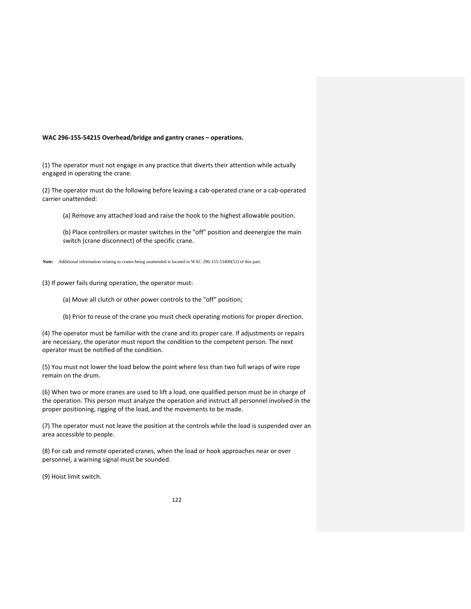#### **WAC 296‐155‐54215 Overhead/bridge and gantry cranes – operations.**

(1) The operator must not engage in any practice that diverts their attention while actually engaged in operating the crane.

(2) The operator must do the following before leaving a cab‐operated crane or a cab‐operated carrier unattended:

(a) Remove any attached load and raise the hook to the highest allowable position.

(b) Place controllers or master switches in the "off" position and deenergize the main switch (crane disconnect) of the specific crane.

**Note:** Additional information relating to cranes being unattended is located in WAC 296-155-53400(52) of this part.

(3) If power fails during operation, the operator must:

(a) Move all clutch or other power controls to the "off" position;

(b) Prior to reuse of the crane you must check operating motions for proper direction.

(4) The operator must be familiar with the crane and its proper care. If adjustments or repairs are necessary, the operator must report the condition to the competent person. The next operator must be notified of the condition.

(5) You must not lower the load below the point where less than two full wraps of wire rope remain on the drum.

(6) When two or more cranes are used to lift a load, one qualified person must be in charge of the operation. This person must analyze the operation and instruct all personnel involved in the proper positioning, rigging of the load, and the movements to be made.

(7) The operator must not leave the position at the controls while the load is suspended over an area accessible to people.

(8) For cab and remote operated cranes, when the load or hook approaches near or over personnel, a warning signal must be sounded.

(9) Hoist limit switch.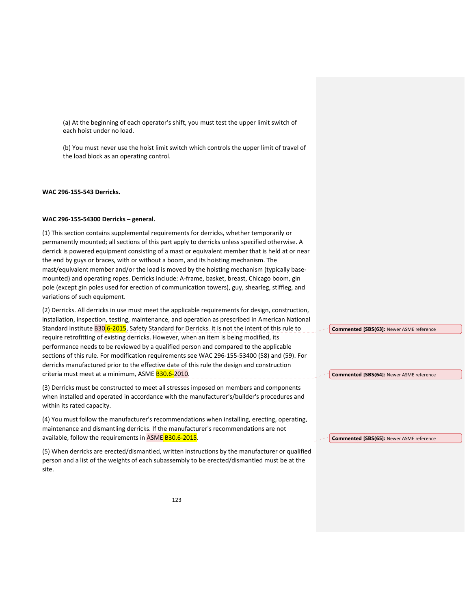(a) At the beginning of each operator's shift, you must test the upper limit switch of each hoist under no load.

(b) You must never use the hoist limit switch which controls the upper limit of travel of the load block as an operating control.

#### **WAC 296‐155‐543 Derricks.**

## **WAC 296‐155‐54300 Derricks – general.**

(1) This section contains supplemental requirements for derricks, whether temporarily or permanently mounted; all sections of this part apply to derricks unless specified otherwise. A derrick is powered equipment consisting of a mast or equivalent member that is held at or near the end by guys or braces, with or without a boom, and its hoisting mechanism. The mast/equivalent member and/or the load is moved by the hoisting mechanism (typically basemounted) and operating ropes. Derricks include: A‐frame, basket, breast, Chicago boom, gin pole (except gin poles used for erection of communication towers), guy, shearleg, stiffleg, and variations of such equipment.

(2) Derricks. All derricks in use must meet the applicable requirements for design, construction, installation, inspection, testing, maintenance, and operation as prescribed in American National Standard Institute B30.6-2015, Safety Standard for Derricks. It is not the intent of this rule to require retrofitting of existing derricks. However, when an item is being modified, its performance needs to be reviewed by a qualified person and compared to the applicable sections of this rule. For modification requirements see WAC 296‐155‐53400 (58) and (59). For derricks manufactured prior to the effective date of this rule the design and construction criteria must meet at a minimum, ASME B30.6-2010.

(3) Derricks must be constructed to meet all stresses imposed on members and components when installed and operated in accordance with the manufacturer's/builder's procedures and within its rated capacity.

(4) You must follow the manufacturer's recommendations when installing, erecting, operating, maintenance and dismantling derricks. If the manufacturer's recommendations are not available, follow the requirements in ASME B30.6-2015.

(5) When derricks are erected/dismantled, written instructions by the manufacturer or qualified person and a list of the weights of each subassembly to be erected/dismantled must be at the site.

**Commented [SBS(63]:** Newer ASME reference

**Commented [SBS(64]:** Newer ASME reference

**Commented [SBS(65]:** Newer ASME reference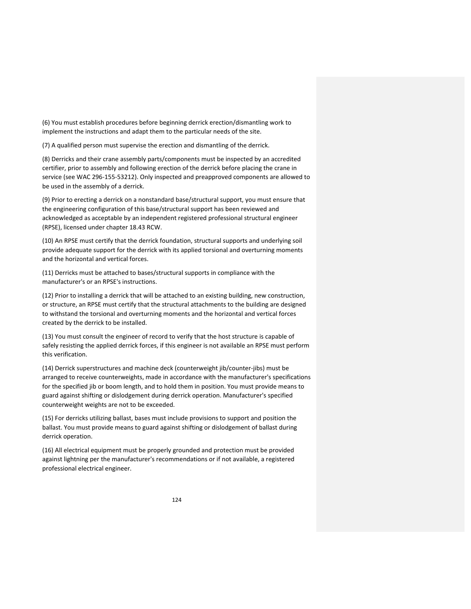(6) You must establish procedures before beginning derrick erection/dismantling work to implement the instructions and adapt them to the particular needs of the site.

(7) A qualified person must supervise the erection and dismantling of the derrick.

(8) Derricks and their crane assembly parts/components must be inspected by an accredited certifier, prior to assembly and following erection of the derrick before placing the crane in service (see WAC 296‐155‐53212). Only inspected and preapproved components are allowed to be used in the assembly of a derrick.

(9) Prior to erecting a derrick on a nonstandard base/structural support, you must ensure that the engineering configuration of this base/structural support has been reviewed and acknowledged as acceptable by an independent registered professional structural engineer (RPSE), licensed under chapter 18.43 RCW.

(10) An RPSE must certify that the derrick foundation, structural supports and underlying soil provide adequate support for the derrick with its applied torsional and overturning moments and the horizontal and vertical forces.

(11) Derricks must be attached to bases/structural supports in compliance with the manufacturer's or an RPSE's instructions.

(12) Prior to installing a derrick that will be attached to an existing building, new construction, or structure, an RPSE must certify that the structural attachments to the building are designed to withstand the torsional and overturning moments and the horizontal and vertical forces created by the derrick to be installed.

(13) You must consult the engineer of record to verify that the host structure is capable of safely resisting the applied derrick forces, if this engineer is not available an RPSE must perform this verification.

(14) Derrick superstructures and machine deck (counterweight jib/counter‐jibs) must be arranged to receive counterweights, made in accordance with the manufacturer's specifications for the specified jib or boom length, and to hold them in position. You must provide means to guard against shifting or dislodgement during derrick operation. Manufacturer's specified counterweight weights are not to be exceeded.

(15) For derricks utilizing ballast, bases must include provisions to support and position the ballast. You must provide means to guard against shifting or dislodgement of ballast during derrick operation.

(16) All electrical equipment must be properly grounded and protection must be provided against lightning per the manufacturer's recommendations or if not available, a registered professional electrical engineer.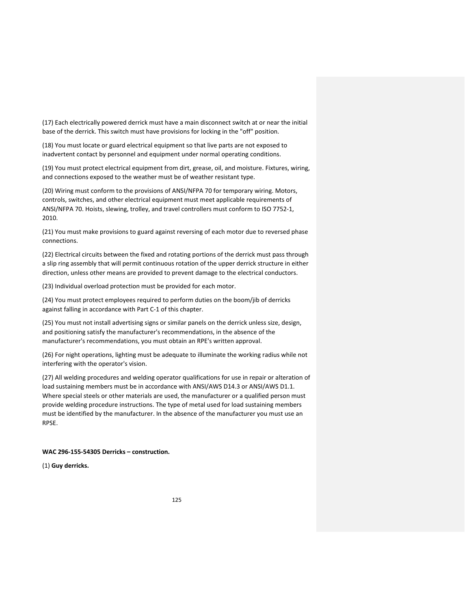(17) Each electrically powered derrick must have a main disconnect switch at or near the initial base of the derrick. This switch must have provisions for locking in the "off" position.

(18) You must locate or guard electrical equipment so that live parts are not exposed to inadvertent contact by personnel and equipment under normal operating conditions.

(19) You must protect electrical equipment from dirt, grease, oil, and moisture. Fixtures, wiring, and connections exposed to the weather must be of weather resistant type.

(20) Wiring must conform to the provisions of ANSI/NFPA 70 for temporary wiring. Motors, controls, switches, and other electrical equipment must meet applicable requirements of ANSI/NFPA 70. Hoists, slewing, trolley, and travel controllers must conform to ISO 7752‐1, 2010.

(21) You must make provisions to guard against reversing of each motor due to reversed phase connections.

(22) Electrical circuits between the fixed and rotating portions of the derrick must pass through a slip ring assembly that will permit continuous rotation of the upper derrick structure in either direction, unless other means are provided to prevent damage to the electrical conductors.

(23) Individual overload protection must be provided for each motor.

(24) You must protect employees required to perform duties on the boom/jib of derricks against falling in accordance with Part C‐1 of this chapter.

(25) You must not install advertising signs or similar panels on the derrick unless size, design, and positioning satisfy the manufacturer's recommendations, in the absence of the manufacturer's recommendations, you must obtain an RPE's written approval.

(26) For night operations, lighting must be adequate to illuminate the working radius while not interfering with the operator's vision.

(27) All welding procedures and welding operator qualifications for use in repair or alteration of load sustaining members must be in accordance with ANSI/AWS D14.3 or ANSI/AWS D1.1. Where special steels or other materials are used, the manufacturer or a qualified person must provide welding procedure instructions. The type of metal used for load sustaining members must be identified by the manufacturer. In the absence of the manufacturer you must use an RPSE.

## **WAC 296‐155‐54305 Derricks – construction.**

(1) **Guy derricks.**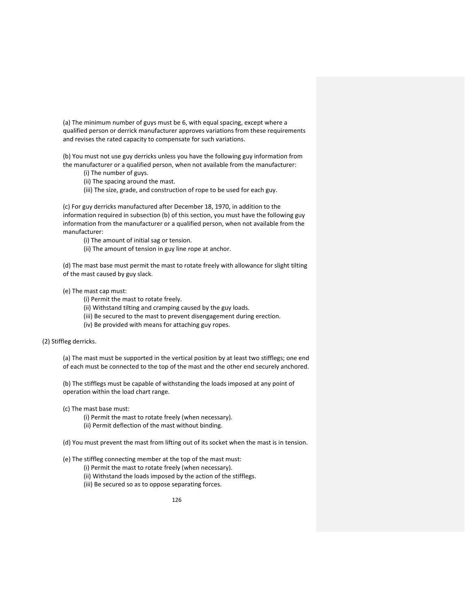(a) The minimum number of guys must be 6, with equal spacing, except where a qualified person or derrick manufacturer approves variations from these requirements and revises the rated capacity to compensate for such variations.

(b) You must not use guy derricks unless you have the following guy information from the manufacturer or a qualified person, when not available from the manufacturer:

- (i) The number of guys.
- (ii) The spacing around the mast.
- (iii) The size, grade, and construction of rope to be used for each guy.

(c) For guy derricks manufactured after December 18, 1970, in addition to the information required in subsection (b) of this section, you must have the following guy information from the manufacturer or a qualified person, when not available from the manufacturer:

(i) The amount of initial sag or tension.

(ii) The amount of tension in guy line rope at anchor.

(d) The mast base must permit the mast to rotate freely with allowance for slight tilting of the mast caused by guy slack.

## (e) The mast cap must:

(i) Permit the mast to rotate freely.

- (ii) Withstand tilting and cramping caused by the guy loads.
- (iii) Be secured to the mast to prevent disengagement during erection.
- (iv) Be provided with means for attaching guy ropes.

(2) Stiffleg derricks.

(a) The mast must be supported in the vertical position by at least two stifflegs; one end of each must be connected to the top of the mast and the other end securely anchored.

(b) The stifflegs must be capable of withstanding the loads imposed at any point of operation within the load chart range.

(c) The mast base must:

(i) Permit the mast to rotate freely (when necessary). (ii) Permit deflection of the mast without binding.

(d) You must prevent the mast from lifting out of its socket when the mast is in tension.

(e) The stiffleg connecting member at the top of the mast must:

(i) Permit the mast to rotate freely (when necessary).

- (ii) Withstand the loads imposed by the action of the stifflegs.
- (iii) Be secured so as to oppose separating forces.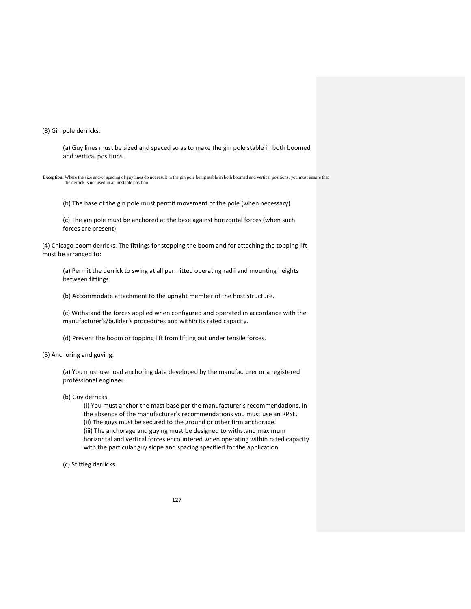(3) Gin pole derricks.

(a) Guy lines must be sized and spaced so as to make the gin pole stable in both boomed and vertical positions.

**Exception:** Where the size and/or spacing of guy lines do not result in the gin pole being stable in both boomed and vertical positions, you must ensure that the derrick is not used in an unstable position.

(b) The base of the gin pole must permit movement of the pole (when necessary).

(c) The gin pole must be anchored at the base against horizontal forces (when such forces are present).

(4) Chicago boom derricks. The fittings for stepping the boom and for attaching the topping lift must be arranged to:

(a) Permit the derrick to swing at all permitted operating radii and mounting heights between fittings.

(b) Accommodate attachment to the upright member of the host structure.

(c) Withstand the forces applied when configured and operated in accordance with the manufacturer's/builder's procedures and within its rated capacity.

(d) Prevent the boom or topping lift from lifting out under tensile forces.

(5) Anchoring and guying.

(a) You must use load anchoring data developed by the manufacturer or a registered professional engineer.

(b) Guy derricks.

(i) You must anchor the mast base per the manufacturer's recommendations. In the absence of the manufacturer's recommendations you must use an RPSE. (ii) The guys must be secured to the ground or other firm anchorage. (iii) The anchorage and guying must be designed to withstand maximum horizontal and vertical forces encountered when operating within rated capacity with the particular guy slope and spacing specified for the application.

(c) Stiffleg derricks.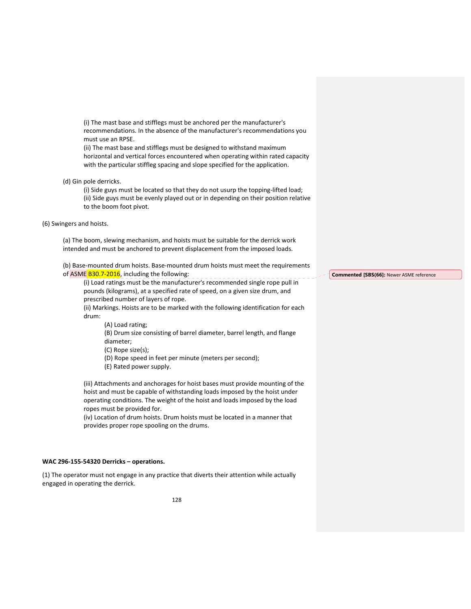(i) The mast base and stifflegs must be anchored per the manufacturer's recommendations. In the absence of the manufacturer's recommendations you must use an RPSE.

(ii) The mast base and stifflegs must be designed to withstand maximum horizontal and vertical forces encountered when operating within rated capacity with the particular stiffleg spacing and slope specified for the application.

(d) Gin pole derricks.

(i) Side guys must be located so that they do not usurp the topping‐lifted load; (ii) Side guys must be evenly played out or in depending on their position relative to the boom foot pivot.

(6) Swingers and hoists.

(a) The boom, slewing mechanism, and hoists must be suitable for the derrick work intended and must be anchored to prevent displacement from the imposed loads.

(b) Base‐mounted drum hoists. Base‐mounted drum hoists must meet the requirements of ASME B30.7-2016, including the following:

(i) Load ratings must be the manufacturer's recommended single rope pull in pounds (kilograms), at a specified rate of speed, on a given size drum, and prescribed number of layers of rope.

(ii) Markings. Hoists are to be marked with the following identification for each drum:

(A) Load rating;

(B) Drum size consisting of barrel diameter, barrel length, and flange diameter;

(C) Rope size(s);

(D) Rope speed in feet per minute (meters per second);

(E) Rated power supply.

(iii) Attachments and anchorages for hoist bases must provide mounting of the hoist and must be capable of withstanding loads imposed by the hoist under operating conditions. The weight of the hoist and loads imposed by the load ropes must be provided for.

(iv) Location of drum hoists. Drum hoists must be located in a manner that provides proper rope spooling on the drums.

### **WAC 296‐155‐54320 Derricks – operations.**

(1) The operator must not engage in any practice that diverts their attention while actually engaged in operating the derrick.

**Commented [SBS(66]:** Newer ASME reference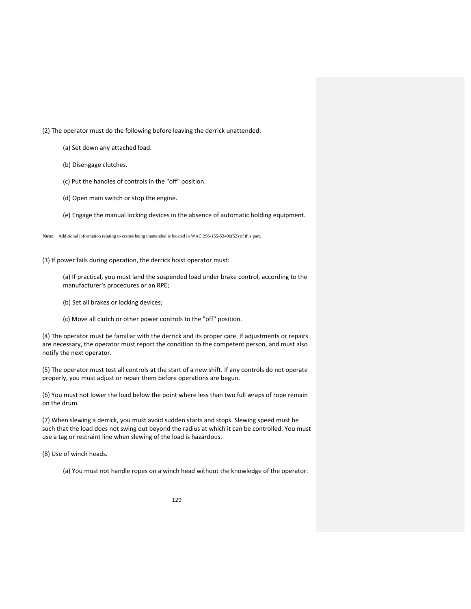(2) The operator must do the following before leaving the derrick unattended:

(a) Set down any attached load.

(b) Disengage clutches.

(c) Put the handles of controls in the "off" position.

(d) Open main switch or stop the engine.

(e) Engage the manual locking devices in the absence of automatic holding equipment.

**Note:** Additional information relating to cranes being unattended is located in WAC 296-155-53400(52) of this part.

(3) If power fails during operation, the derrick hoist operator must:

(a) If practical, you must land the suspended load under brake control, according to the manufacturer's procedures or an RPE;

(b) Set all brakes or locking devices;

(c) Move all clutch or other power controls to the "off" position.

(4) The operator must be familiar with the derrick and its proper care. If adjustments or repairs are necessary, the operator must report the condition to the competent person, and must also notify the next operator.

(5) The operator must test all controls at the start of a new shift. If any controls do not operate properly, you must adjust or repair them before operations are begun.

(6) You must not lower the load below the point where less than two full wraps of rope remain on the drum.

(7) When slewing a derrick, you must avoid sudden starts and stops. Slewing speed must be such that the load does not swing out beyond the radius at which it can be controlled. You must use a tag or restraint line when slewing of the load is hazardous.

(8) Use of winch heads.

(a) You must not handle ropes on a winch head without the knowledge of the operator.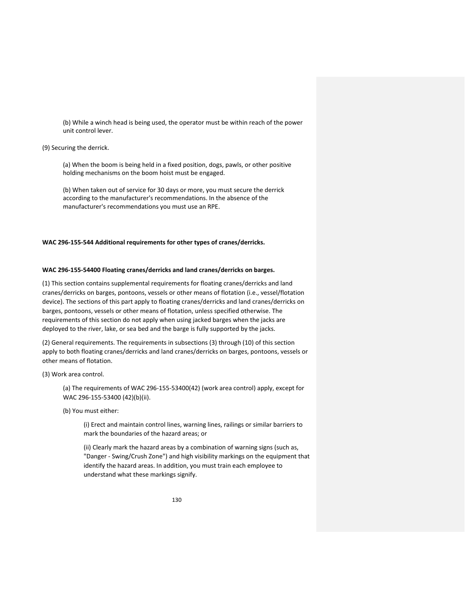(b) While a winch head is being used, the operator must be within reach of the power unit control lever.

#### (9) Securing the derrick.

(a) When the boom is being held in a fixed position, dogs, pawls, or other positive holding mechanisms on the boom hoist must be engaged.

(b) When taken out of service for 30 days or more, you must secure the derrick according to the manufacturer's recommendations. In the absence of the manufacturer's recommendations you must use an RPE.

#### **WAC 296‐155‐544 Additional requirements for other types of cranes/derricks.**

## **WAC 296‐155‐54400 Floating cranes/derricks and land cranes/derricks on barges.**

(1) This section contains supplemental requirements for floating cranes/derricks and land cranes/derricks on barges, pontoons, vessels or other means of flotation (i.e., vessel/flotation device). The sections of this part apply to floating cranes/derricks and land cranes/derricks on barges, pontoons, vessels or other means of flotation, unless specified otherwise. The requirements of this section do not apply when using jacked barges when the jacks are deployed to the river, lake, or sea bed and the barge is fully supported by the jacks.

(2) General requirements. The requirements in subsections (3) through (10) of this section apply to both floating cranes/derricks and land cranes/derricks on barges, pontoons, vessels or other means of flotation.

### (3) Work area control.

(a) The requirements of WAC 296‐155‐53400(42) (work area control) apply, except for WAC 296‐155‐53400 (42)(b)(ii).

(b) You must either:

(i) Erect and maintain control lines, warning lines, railings or similar barriers to mark the boundaries of the hazard areas; or

(ii) Clearly mark the hazard areas by a combination of warning signs (such as, "Danger ‐ Swing/Crush Zone") and high visibility markings on the equipment that identify the hazard areas. In addition, you must train each employee to understand what these markings signify.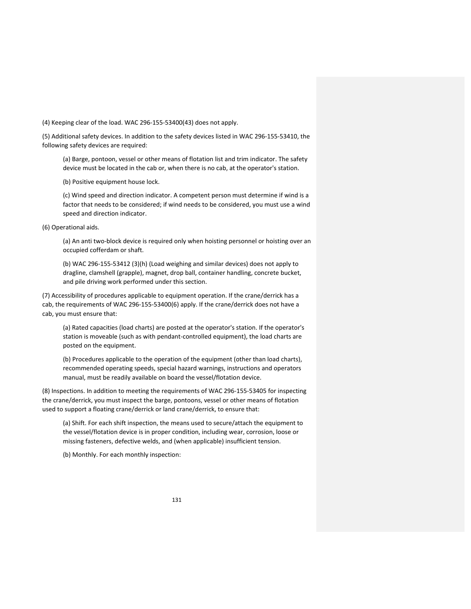(4) Keeping clear of the load. WAC 296‐155‐53400(43) does not apply.

(5) Additional safety devices. In addition to the safety devices listed in WAC 296‐155‐53410, the following safety devices are required:

(a) Barge, pontoon, vessel or other means of flotation list and trim indicator. The safety device must be located in the cab or, when there is no cab, at the operator's station.

(b) Positive equipment house lock.

(c) Wind speed and direction indicator. A competent person must determine if wind is a factor that needs to be considered; if wind needs to be considered, you must use a wind speed and direction indicator.

(6) Operational aids.

(a) An anti two‐block device is required only when hoisting personnel or hoisting over an occupied cofferdam or shaft.

(b) WAC 296‐155‐53412 (3)(h) (Load weighing and similar devices) does not apply to dragline, clamshell (grapple), magnet, drop ball, container handling, concrete bucket, and pile driving work performed under this section.

(7) Accessibility of procedures applicable to equipment operation. If the crane/derrick has a cab, the requirements of WAC 296‐155‐53400(6) apply. If the crane/derrick does not have a cab, you must ensure that:

(a) Rated capacities (load charts) are posted at the operator's station. If the operator's station is moveable (such as with pendant‐controlled equipment), the load charts are posted on the equipment.

(b) Procedures applicable to the operation of the equipment (other than load charts), recommended operating speeds, special hazard warnings, instructions and operators manual, must be readily available on board the vessel/flotation device.

(8) Inspections. In addition to meeting the requirements of WAC 296‐155‐53405 for inspecting the crane/derrick, you must inspect the barge, pontoons, vessel or other means of flotation used to support a floating crane/derrick or land crane/derrick, to ensure that:

(a) Shift. For each shift inspection, the means used to secure/attach the equipment to the vessel/flotation device is in proper condition, including wear, corrosion, loose or missing fasteners, defective welds, and (when applicable) insufficient tension.

(b) Monthly. For each monthly inspection: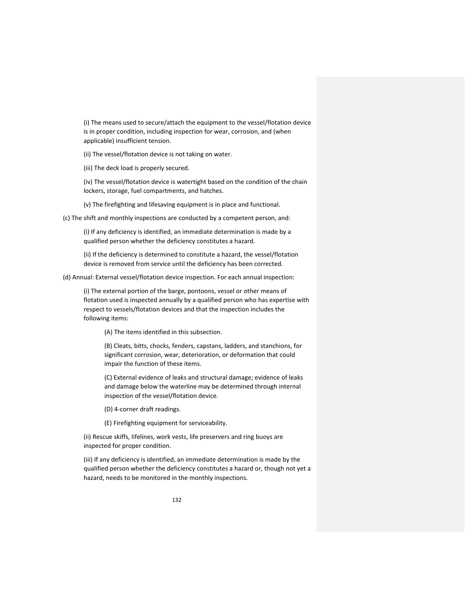(i) The means used to secure/attach the equipment to the vessel/flotation device is in proper condition, including inspection for wear, corrosion, and (when applicable) insufficient tension.

(ii) The vessel/flotation device is not taking on water.

(iii) The deck load is properly secured.

(iv) The vessel/flotation device is watertight based on the condition of the chain lockers, storage, fuel compartments, and hatches.

(v) The firefighting and lifesaving equipment is in place and functional.

(c) The shift and monthly inspections are conducted by a competent person, and:

(i) If any deficiency is identified, an immediate determination is made by a qualified person whether the deficiency constitutes a hazard.

(ii) If the deficiency is determined to constitute a hazard, the vessel/flotation device is removed from service until the deficiency has been corrected.

(d) Annual: External vessel/flotation device inspection. For each annual inspection:

(i) The external portion of the barge, pontoons, vessel or other means of flotation used is inspected annually by a qualified person who has expertise with respect to vessels/flotation devices and that the inspection includes the following items:

(A) The items identified in this subsection.

(B) Cleats, bitts, chocks, fenders, capstans, ladders, and stanchions, for significant corrosion, wear, deterioration, or deformation that could impair the function of these items.

(C) External evidence of leaks and structural damage; evidence of leaks and damage below the waterline may be determined through internal inspection of the vessel/flotation device.

(D) 4‐corner draft readings.

(E) Firefighting equipment for serviceability.

(ii) Rescue skiffs, lifelines, work vests, life preservers and ring buoys are inspected for proper condition.

(iii) If any deficiency is identified, an immediate determination is made by the qualified person whether the deficiency constitutes a hazard or, though not yet a hazard, needs to be monitored in the monthly inspections.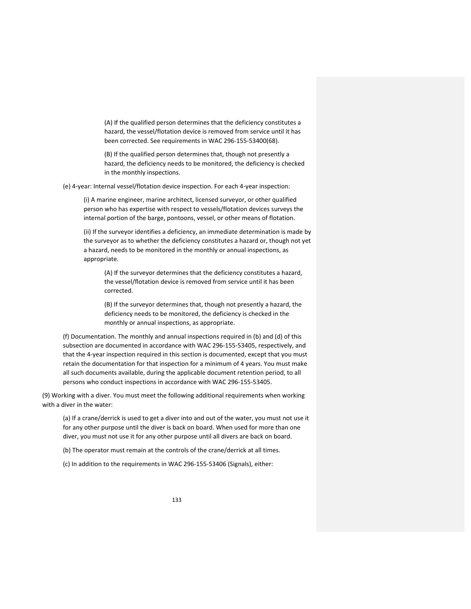(A) If the qualified person determines that the deficiency constitutes a hazard, the vessel/flotation device is removed from service until it has been corrected. See requirements in WAC 296‐155‐53400(68).

(B) If the qualified person determines that, though not presently a hazard, the deficiency needs to be monitored, the deficiency is checked in the monthly inspections.

(e) 4‐year: Internal vessel/flotation device inspection. For each 4‐year inspection:

(i) A marine engineer, marine architect, licensed surveyor, or other qualified person who has expertise with respect to vessels/flotation devices surveys the internal portion of the barge, pontoons, vessel, or other means of flotation.

(ii) If the surveyor identifies a deficiency, an immediate determination is made by the surveyor as to whether the deficiency constitutes a hazard or, though not yet a hazard, needs to be monitored in the monthly or annual inspections, as appropriate.

(A) If the surveyor determines that the deficiency constitutes a hazard, the vessel/flotation device is removed from service until it has been corrected.

(B) If the surveyor determines that, though not presently a hazard, the deficiency needs to be monitored, the deficiency is checked in the monthly or annual inspections, as appropriate.

(f) Documentation. The monthly and annual inspections required in (b) and (d) of this subsection are documented in accordance with WAC 296-155-53405, respectively, and that the 4‐year inspection required in this section is documented, except that you must retain the documentation for that inspection for a minimum of 4 years. You must make all such documents available, during the applicable document retention period, to all persons who conduct inspections in accordance with WAC 296‐155‐53405.

(9) Working with a diver. You must meet the following additional requirements when working with a diver in the water:

(a) If a crane/derrick is used to get a diver into and out of the water, you must not use it for any other purpose until the diver is back on board. When used for more than one diver, you must not use it for any other purpose until all divers are back on board.

(b) The operator must remain at the controls of the crane/derrick at all times.

(c) In addition to the requirements in WAC 296‐155‐53406 (Signals), either: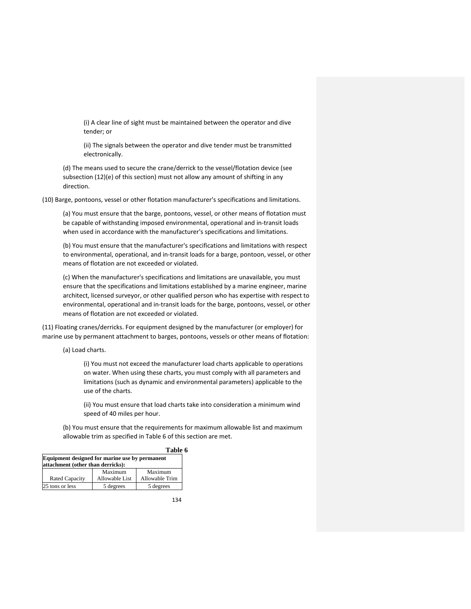(i) A clear line of sight must be maintained between the operator and dive tender; or

(ii) The signals between the operator and dive tender must be transmitted electronically.

(d) The means used to secure the crane/derrick to the vessel/flotation device (see subsection (12)(e) of this section) must not allow any amount of shifting in any direction.

(10) Barge, pontoons, vessel or other flotation manufacturer's specifications and limitations.

(a) You must ensure that the barge, pontoons, vessel, or other means of flotation must be capable of withstanding imposed environmental, operational and in‐transit loads when used in accordance with the manufacturer's specifications and limitations.

(b) You must ensure that the manufacturer's specifications and limitations with respect to environmental, operational, and in‐transit loads for a barge, pontoon, vessel, or other means of flotation are not exceeded or violated.

(c) When the manufacturer's specifications and limitations are unavailable, you must ensure that the specifications and limitations established by a marine engineer, marine architect, licensed surveyor, or other qualified person who has expertise with respect to environmental, operational and in‐transit loads for the barge, pontoons, vessel, or other means of flotation are not exceeded or violated.

(11) Floating cranes/derricks. For equipment designed by the manufacturer (or employer) for marine use by permanent attachment to barges, pontoons, vessels or other means of flotation:

(a) Load charts.

(i) You must not exceed the manufacturer load charts applicable to operations on water. When using these charts, you must comply with all parameters and limitations (such as dynamic and environmental parameters) applicable to the use of the charts.

(ii) You must ensure that load charts take into consideration a minimum wind speed of 40 miles per hour.

(b) You must ensure that the requirements for maximum allowable list and maximum allowable trim as specified in Table 6 of this section are met.

|                                                                                     |                | Table 6        |  |  |
|-------------------------------------------------------------------------------------|----------------|----------------|--|--|
| Equipment designed for marine use by permanent<br>attachment (other than derricks): |                |                |  |  |
|                                                                                     | Maximum        | Maximum        |  |  |
| <b>Rated Capacity</b>                                                               | Allowable List | Allowable Trim |  |  |
| 25 tons or less                                                                     | 5 degrees      | 5 degrees      |  |  |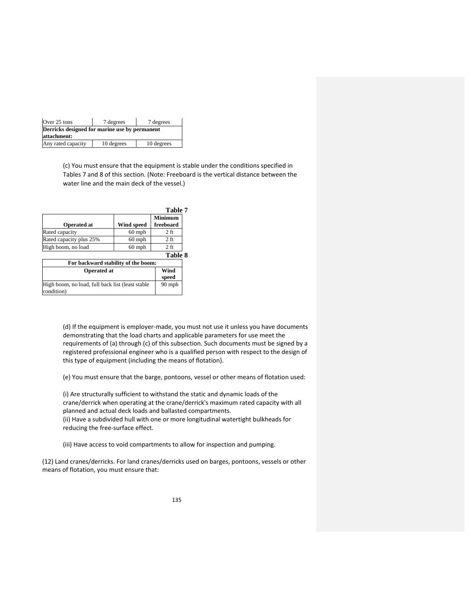| Over 25 tons                                                 | 7 degrees  | 7 degrees  |  |  |  |  |
|--------------------------------------------------------------|------------|------------|--|--|--|--|
| Derricks designed for marine use by permanent<br>attachment: |            |            |  |  |  |  |
| Any rated capacity                                           | 10 degrees | 10 degrees |  |  |  |  |

(c) You must ensure that the equipment is stable under the conditions specified in Tables 7 and 8 of this section. (Note: Freeboard is the vertical distance between the water line and the main deck of the vessel.)

|                         |            | Table 7                     |
|-------------------------|------------|-----------------------------|
| <b>Operated at</b>      | Wind speed | <b>Minimum</b><br>freeboard |
| Rated capacity          | $60$ mph   | $2$ ft                      |
| Rated capacity plus 25% | $60$ mph   | $2f$ t                      |
| High boom, no load      | $60$ mph   | $2f$ t                      |
|                         |            | Table 8                     |

|                                                                 | ------        |  |
|-----------------------------------------------------------------|---------------|--|
| For backward stability of the boom:                             |               |  |
| <b>Operated at</b>                                              | Wind<br>speed |  |
| High boom, no load, full back list (least stable)<br>condition) | $90$ mph      |  |

(d) If the equipment is employer‐made, you must not use it unless you have documents demonstrating that the load charts and applicable parameters for use meet the requirements of (a) through (c) of this subsection. Such documents must be signed by a registered professional engineer who is a qualified person with respect to the design of this type of equipment (including the means of flotation).

(e) You must ensure that the barge, pontoons, vessel or other means of flotation used:

(i) Are structurally sufficient to withstand the static and dynamic loads of the crane/derrick when operating at the crane/derrick's maximum rated capacity with all planned and actual deck loads and ballasted compartments. (ii) Have a subdivided hull with one or more longitudinal watertight bulkheads for reducing the free‐surface effect.

(iii) Have access to void compartments to allow for inspection and pumping.

(12) Land cranes/derricks. For land cranes/derricks used on barges, pontoons, vessels or other means of flotation, you must ensure that: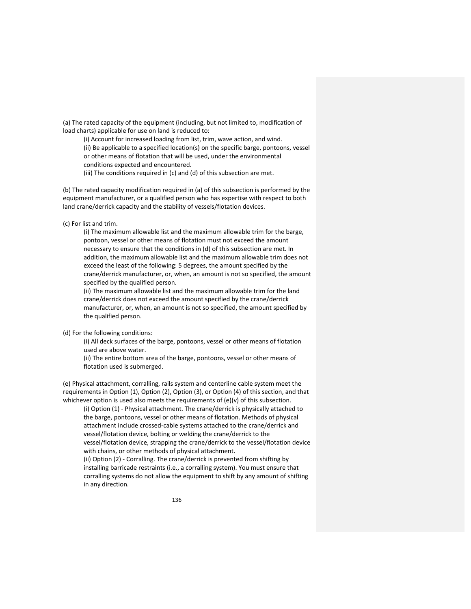(a) The rated capacity of the equipment (including, but not limited to, modification of load charts) applicable for use on land is reduced to:

(i) Account for increased loading from list, trim, wave action, and wind.

(ii) Be applicable to a specified location(s) on the specific barge, pontoons, vessel or other means of flotation that will be used, under the environmental

conditions expected and encountered.

(iii) The conditions required in (c) and (d) of this subsection are met.

(b) The rated capacity modification required in (a) of this subsection is performed by the equipment manufacturer, or a qualified person who has expertise with respect to both land crane/derrick capacity and the stability of vessels/flotation devices.

(c) For list and trim.

(i) The maximum allowable list and the maximum allowable trim for the barge, pontoon, vessel or other means of flotation must not exceed the amount necessary to ensure that the conditions in (d) of this subsection are met. In addition, the maximum allowable list and the maximum allowable trim does not exceed the least of the following: 5 degrees, the amount specified by the crane/derrick manufacturer, or, when, an amount is not so specified, the amount specified by the qualified person.

(ii) The maximum allowable list and the maximum allowable trim for the land crane/derrick does not exceed the amount specified by the crane/derrick manufacturer, or, when, an amount is not so specified, the amount specified by the qualified person.

## (d) For the following conditions:

(i) All deck surfaces of the barge, pontoons, vessel or other means of flotation used are above water.

(ii) The entire bottom area of the barge, pontoons, vessel or other means of flotation used is submerged.

(e) Physical attachment, corralling, rails system and centerline cable system meet the requirements in Option (1), Option (2), Option (3), or Option (4) of this section, and that whichever option is used also meets the requirements of (e)(v) of this subsection.

(i) Option (1) ‐ Physical attachment. The crane/derrick is physically attached to the barge, pontoons, vessel or other means of flotation. Methods of physical attachment include crossed‐cable systems attached to the crane/derrick and vessel/flotation device, bolting or welding the crane/derrick to the vessel/flotation device, strapping the crane/derrick to the vessel/flotation device with chains, or other methods of physical attachment.

(ii) Option (2) ‐ Corralling. The crane/derrick is prevented from shifting by installing barricade restraints (i.e., a corralling system). You must ensure that corralling systems do not allow the equipment to shift by any amount of shifting in any direction.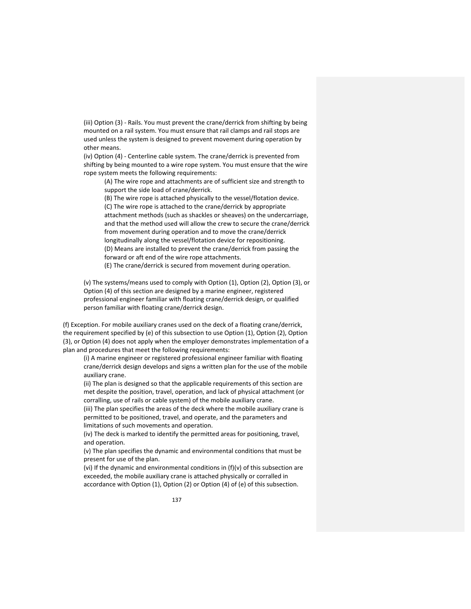(iii) Option (3) ‐ Rails. You must prevent the crane/derrick from shifting by being mounted on a rail system. You must ensure that rail clamps and rail stops are used unless the system is designed to prevent movement during operation by other means.

(iv) Option (4) ‐ Centerline cable system. The crane/derrick is prevented from shifting by being mounted to a wire rope system. You must ensure that the wire rope system meets the following requirements:

(A) The wire rope and attachments are of sufficient size and strength to support the side load of crane/derrick.

(B) The wire rope is attached physically to the vessel/flotation device. (C) The wire rope is attached to the crane/derrick by appropriate attachment methods (such as shackles or sheaves) on the undercarriage, and that the method used will allow the crew to secure the crane/derrick from movement during operation and to move the crane/derrick longitudinally along the vessel/flotation device for repositioning. (D) Means are installed to prevent the crane/derrick from passing the forward or aft end of the wire rope attachments.

(E) The crane/derrick is secured from movement during operation.

(v) The systems/means used to comply with Option (1), Option (2), Option (3), or Option (4) of this section are designed by a marine engineer, registered professional engineer familiar with floating crane/derrick design, or qualified person familiar with floating crane/derrick design.

(f) Exception. For mobile auxiliary cranes used on the deck of a floating crane/derrick, the requirement specified by (e) of this subsection to use Option (1), Option (2), Option (3), or Option (4) does not apply when the employer demonstrates implementation of a plan and procedures that meet the following requirements:

(i) A marine engineer or registered professional engineer familiar with floating crane/derrick design develops and signs a written plan for the use of the mobile auxiliary crane.

(ii) The plan is designed so that the applicable requirements of this section are met despite the position, travel, operation, and lack of physical attachment (or corralling, use of rails or cable system) of the mobile auxiliary crane.

(iii) The plan specifies the areas of the deck where the mobile auxiliary crane is permitted to be positioned, travel, and operate, and the parameters and limitations of such movements and operation.

(iv) The deck is marked to identify the permitted areas for positioning, travel, and operation.

(v) The plan specifies the dynamic and environmental conditions that must be present for use of the plan.

(vi) If the dynamic and environmental conditions in  $(f)(v)$  of this subsection are exceeded, the mobile auxiliary crane is attached physically or corralled in accordance with Option (1), Option (2) or Option (4) of (e) of this subsection.